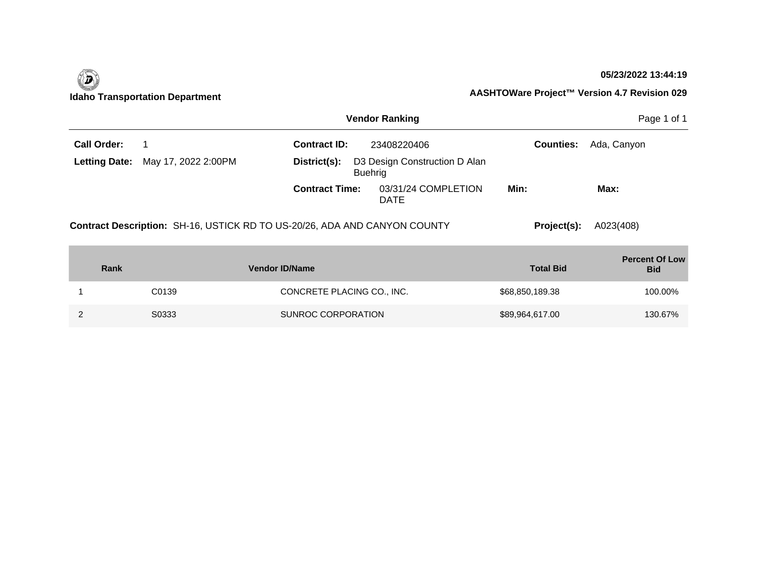|                      |                                                                           |                            |                | <b>Vendor Ranking</b>              |                  |                  |             | Page 1 of 1                         |
|----------------------|---------------------------------------------------------------------------|----------------------------|----------------|------------------------------------|------------------|------------------|-------------|-------------------------------------|
| <b>Call Order:</b>   | 1                                                                         | <b>Contract ID:</b>        |                | 23408220406                        |                  | <b>Counties:</b> | Ada, Canyon |                                     |
| <b>Letting Date:</b> | May 17, 2022 2:00PM                                                       | District(s):               | <b>Buehrig</b> | D3 Design Construction D Alan      |                  |                  |             |                                     |
|                      |                                                                           | <b>Contract Time:</b>      |                | 03/31/24 COMPLETION<br><b>DATE</b> | Min:             |                  | Max:        |                                     |
|                      | Contract Description: SH-16, USTICK RD TO US-20/26, ADA AND CANYON COUNTY |                            |                |                                    |                  | Project(s):      | A023(408)   |                                     |
| Rank                 |                                                                           | <b>Vendor ID/Name</b>      |                |                                    | <b>Total Bid</b> |                  |             | <b>Percent Of Low</b><br><b>Bid</b> |
|                      | C0139                                                                     | CONCRETE PLACING CO., INC. |                |                                    | \$68,850,189.38  |                  |             | 100.00%                             |
| $\overline{2}$       | S0333                                                                     | SUNROC CORPORATION         |                |                                    | \$89,964,617.00  |                  |             | 130.67%                             |

**05/23/2022 13:44:19**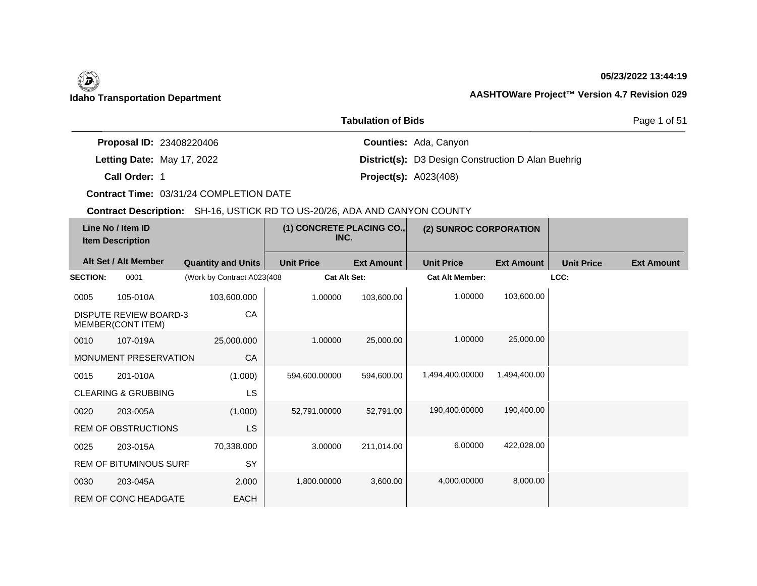# **05/23/2022 13:44:19**

|                                 | <b>Tabulation of Bids</b>                                 | Page 1 of 51 |
|---------------------------------|-----------------------------------------------------------|--------------|
| <b>Proposal ID: 23408220406</b> | <b>Counties: Ada, Canyon</b>                              |              |
| Letting Date: May 17, 2022      | <b>District(s):</b> D3 Design Construction D Alan Buehrig |              |

**Call Order:**

1 **Project(s):** A023(408) **Contract Time:** 03/31/24 COMPLETION DATE

|                 | Line No / Item ID<br><b>Item Description</b>       |                            | (1) CONCRETE PLACING CO.,<br>INC. |                   | (2) SUNROC CORPORATION |                   |                   |                   |
|-----------------|----------------------------------------------------|----------------------------|-----------------------------------|-------------------|------------------------|-------------------|-------------------|-------------------|
|                 | Alt Set / Alt Member                               | <b>Quantity and Units</b>  | <b>Unit Price</b>                 | <b>Ext Amount</b> | <b>Unit Price</b>      | <b>Ext Amount</b> | <b>Unit Price</b> | <b>Ext Amount</b> |
| <b>SECTION:</b> | 0001                                               | (Work by Contract A023(408 | <b>Cat Alt Set:</b>               |                   | <b>Cat Alt Member:</b> |                   | LCC:              |                   |
| 0005            | 105-010A                                           | 103,600.000                | 1.00000                           | 103,600.00        | 1.00000                | 103,600.00        |                   |                   |
|                 | <b>DISPUTE REVIEW BOARD-3</b><br>MEMBER(CONT ITEM) | CA                         |                                   |                   |                        |                   |                   |                   |
| 0010            | 107-019A                                           | 25,000.000                 | 1.00000                           | 25,000.00         | 1.00000                | 25,000.00         |                   |                   |
|                 | MONUMENT PRESERVATION                              | CA                         |                                   |                   |                        |                   |                   |                   |
| 0015            | 201-010A                                           | (1.000)                    | 594,600.00000                     | 594,600.00        | 1,494,400.00000        | 1,494,400.00      |                   |                   |
|                 | <b>CLEARING &amp; GRUBBING</b>                     | LS                         |                                   |                   |                        |                   |                   |                   |
| 0020            | 203-005A                                           | (1.000)                    | 52,791.00000                      | 52,791.00         | 190,400.00000          | 190,400.00        |                   |                   |
|                 | <b>REM OF OBSTRUCTIONS</b>                         | <b>LS</b>                  |                                   |                   |                        |                   |                   |                   |
| 0025            | 203-015A                                           | 70,338.000                 | 3.00000                           | 211,014.00        | 6.00000                | 422,028.00        |                   |                   |
|                 | <b>REM OF BITUMINOUS SURF</b>                      | SY                         |                                   |                   |                        |                   |                   |                   |
| 0030            | 203-045A                                           | 2.000                      | 1,800.00000                       | 3,600.00          | 4,000.00000            | 8,000.00          |                   |                   |
|                 | <b>REM OF CONC HEADGATE</b>                        | <b>EACH</b>                |                                   |                   |                        |                   |                   |                   |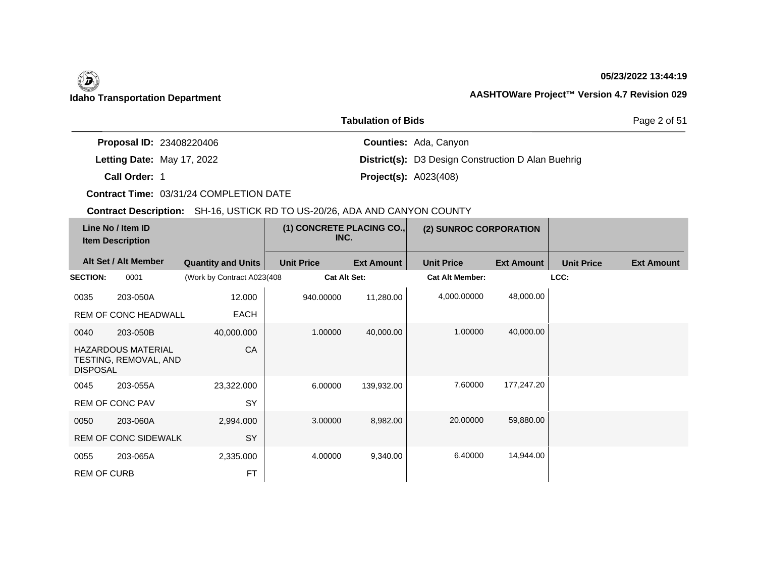# **05/23/2022 13:44:19**

|                                 | <b>Tabulation of Bids</b>                                 | Page 2 of 51 |
|---------------------------------|-----------------------------------------------------------|--------------|
| <b>Proposal ID: 23408220406</b> | <b>Counties: Ada, Canyon</b>                              |              |
| Letting Date: May 17, 2022      | <b>District(s):</b> D3 Design Construction D Alan Buehrig |              |

**Call Order:**

1 **Project(s):** A023(408)

**Contract Time:** 03/31/24 COMPLETION DATE

|                    | Line No / Item ID<br><b>Item Description</b>       |                             | (1) CONCRETE PLACING CO.,<br>INC. |                   | (2) SUNROC CORPORATION |                   |                   |                   |
|--------------------|----------------------------------------------------|-----------------------------|-----------------------------------|-------------------|------------------------|-------------------|-------------------|-------------------|
|                    | Alt Set / Alt Member                               | <b>Quantity and Units</b>   | <b>Unit Price</b>                 | <b>Ext Amount</b> | <b>Unit Price</b>      | <b>Ext Amount</b> | <b>Unit Price</b> | <b>Ext Amount</b> |
| <b>SECTION:</b>    | 0001                                               | (Work by Contract A023(408) | <b>Cat Alt Set:</b>               |                   | <b>Cat Alt Member:</b> |                   | LCC:              |                   |
| 0035               | 203-050A                                           | 12.000                      | 940.00000                         | 11,280.00         | 4,000.00000            | 48,000.00         |                   |                   |
|                    | REM OF CONC HEADWALL                               | EACH                        |                                   |                   |                        |                   |                   |                   |
| 0040               | 203-050B                                           | 40,000.000                  | 1.00000                           | 40,000.00         | 1.00000                | 40,000.00         |                   |                   |
| <b>DISPOSAL</b>    | <b>HAZARDOUS MATERIAL</b><br>TESTING, REMOVAL, AND | CA                          |                                   |                   |                        |                   |                   |                   |
| 0045               | 203-055A                                           | 23,322.000                  | 6.00000                           | 139,932.00        | 7.60000                | 177,247.20        |                   |                   |
|                    | <b>REM OF CONC PAV</b>                             | SY                          |                                   |                   |                        |                   |                   |                   |
| 0050               | 203-060A                                           | 2,994.000                   | 3.00000                           | 8,982.00          | 20.00000               | 59,880.00         |                   |                   |
|                    | <b>REM OF CONC SIDEWALK</b>                        | <b>SY</b>                   |                                   |                   |                        |                   |                   |                   |
| 0055               | 203-065A                                           | 2,335.000                   | 4.00000                           | 9,340.00          | 6.40000                | 14,944.00         |                   |                   |
| <b>REM OF CURB</b> |                                                    | <b>FT</b>                   |                                   |                   |                        |                   |                   |                   |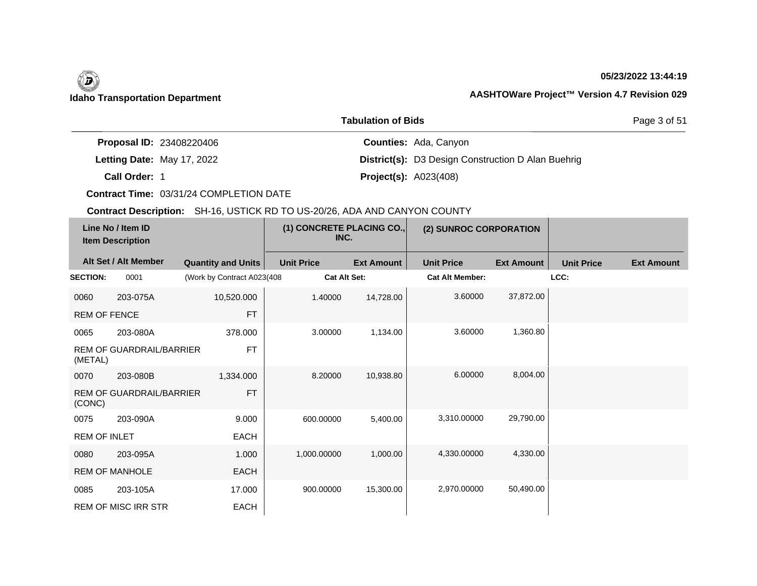# **05/23/2022 13:44:19**

|                                 | <b>Tabulation of Bids</b>                                 | Page 3 of 51 |
|---------------------------------|-----------------------------------------------------------|--------------|
| <b>Proposal ID: 23408220406</b> | <b>Counties: Ada, Canyon</b>                              |              |
| Letting Date: May 17, 2022      | <b>District(s):</b> D3 Design Construction D Alan Buehrig |              |
| Call Order: 1                   | <b>Project(s): A023(408)</b>                              |              |

**Contract Time:** 03/31/24 COMPLETION DATE

|                     | Line No / Item ID<br><b>Item Description</b> |                             | (1) CONCRETE PLACING CO.,<br>INC. |                   | (2) SUNROC CORPORATION |                   |                   |                   |
|---------------------|----------------------------------------------|-----------------------------|-----------------------------------|-------------------|------------------------|-------------------|-------------------|-------------------|
|                     | Alt Set / Alt Member                         | <b>Quantity and Units</b>   | <b>Unit Price</b>                 | <b>Ext Amount</b> | <b>Unit Price</b>      | <b>Ext Amount</b> | <b>Unit Price</b> | <b>Ext Amount</b> |
| <b>SECTION:</b>     | 0001                                         | (Work by Contract A023(408) | <b>Cat Alt Set:</b>               |                   | <b>Cat Alt Member:</b> |                   | LCC:              |                   |
| 0060                | 203-075A                                     | 10,520.000                  | 1.40000                           | 14,728.00         | 3.60000                | 37,872.00         |                   |                   |
| <b>REM OF FENCE</b> |                                              | <b>FT</b>                   |                                   |                   |                        |                   |                   |                   |
| 0065                | 203-080A                                     | 378.000                     | 3.00000                           | 1,134.00          | 3.60000                | 1,360.80          |                   |                   |
| (METAL)             | <b>REM OF GUARDRAIL/BARRIER</b>              | FT                          |                                   |                   |                        |                   |                   |                   |
| 0070                | 203-080B                                     | 1,334.000                   | 8.20000                           | 10,938.80         | 6.00000                | 8,004.00          |                   |                   |
| (CONC)              | <b>REM OF GUARDRAIL/BARRIER</b>              | <b>FT</b>                   |                                   |                   |                        |                   |                   |                   |
| 0075                | 203-090A                                     | 9.000                       | 600.00000                         | 5,400.00          | 3,310.00000            | 29,790.00         |                   |                   |
| <b>REM OF INLET</b> |                                              | <b>EACH</b>                 |                                   |                   |                        |                   |                   |                   |
| 0080                | 203-095A                                     | 1.000                       | 1,000.00000                       | 1,000.00          | 4,330.00000            | 4,330.00          |                   |                   |
|                     | <b>REM OF MANHOLE</b>                        | EACH                        |                                   |                   |                        |                   |                   |                   |
| 0085                | 203-105A                                     | 17.000                      | 900.00000                         | 15,300.00         | 2,970.00000            | 50,490.00         |                   |                   |
|                     | <b>REM OF MISC IRR STR</b>                   | EACH                        |                                   |                   |                        |                   |                   |                   |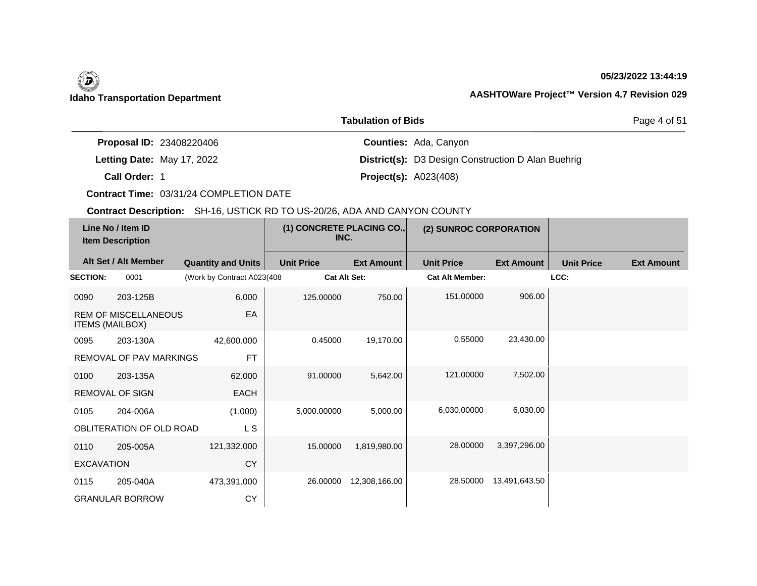## **05/23/2022 13:44:19**

|                                 | <b>Tabulation of Bids</b>                                 | Page 4 of 51 |
|---------------------------------|-----------------------------------------------------------|--------------|
| <b>Proposal ID: 23408220406</b> | <b>Counties: Ada, Canyon</b>                              |              |
| Letting Date: May 17, 2022      | <b>District(s):</b> D3 Design Construction D Alan Buehrig |              |
| Call Order: 1                   | <b>Project(s): A023(408)</b>                              |              |

**Contract Time:** 03/31/24 COMPLETION DATE

| Line No / Item ID<br><b>Item Description</b> |                                                       | (1) CONCRETE PLACING CO.,<br>INC. |                     | (2) SUNROC CORPORATION |                        |                   |                   |                   |
|----------------------------------------------|-------------------------------------------------------|-----------------------------------|---------------------|------------------------|------------------------|-------------------|-------------------|-------------------|
|                                              | Alt Set / Alt Member                                  | <b>Quantity and Units</b>         | <b>Unit Price</b>   | <b>Ext Amount</b>      | <b>Unit Price</b>      | <b>Ext Amount</b> | <b>Unit Price</b> | <b>Ext Amount</b> |
| <b>SECTION:</b>                              | 0001                                                  | (Work by Contract A023(408        | <b>Cat Alt Set:</b> |                        | <b>Cat Alt Member:</b> |                   | LCC:              |                   |
| 0090                                         | 203-125B                                              | 6.000                             | 125.00000           | 750.00                 | 151.00000              | 906.00            |                   |                   |
|                                              | <b>REM OF MISCELLANEOUS</b><br><b>ITEMS (MAILBOX)</b> | EA                                |                     |                        |                        |                   |                   |                   |
| 0095                                         | 203-130A                                              | 42,600.000                        | 0.45000             | 19,170.00              | 0.55000                | 23,430.00         |                   |                   |
|                                              | <b>REMOVAL OF PAV MARKINGS</b>                        | <b>FT</b>                         |                     |                        |                        |                   |                   |                   |
| 0100                                         | 203-135A                                              | 62.000                            | 91.00000            | 5,642.00               | 121.00000              | 7,502.00          |                   |                   |
|                                              | <b>REMOVAL OF SIGN</b>                                | <b>EACH</b>                       |                     |                        |                        |                   |                   |                   |
| 0105                                         | 204-006A                                              | (1.000)                           | 5,000.00000         | 5,000.00               | 6.030.00000            | 6,030.00          |                   |                   |
|                                              | OBLITERATION OF OLD ROAD                              | L S                               |                     |                        |                        |                   |                   |                   |
| 0110                                         | 205-005A                                              | 121,332.000                       | 15.00000            | 1,819,980.00           | 28,00000               | 3,397,296.00      |                   |                   |
| <b>EXCAVATION</b>                            |                                                       | <b>CY</b>                         |                     |                        |                        |                   |                   |                   |
| 0115                                         | 205-040A                                              | 473,391.000                       | 26.00000            | 12,308,166.00          | 28.50000               | 13,491,643.50     |                   |                   |
|                                              | <b>GRANULAR BORROW</b>                                | <b>CY</b>                         |                     |                        |                        |                   |                   |                   |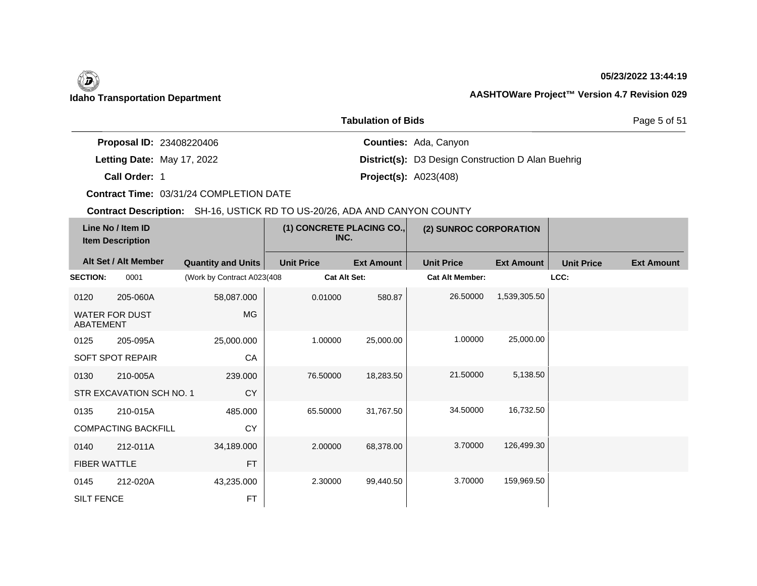## **05/23/2022 13:44:19**

|                                 | <b>Tabulation of Bids</b>                                 | Page 5 of 51 |  |
|---------------------------------|-----------------------------------------------------------|--------------|--|
| <b>Proposal ID: 23408220406</b> | <b>Counties: Ada, Canyon</b>                              |              |  |
| Letting Date: May 17, 2022      | <b>District(s):</b> D3 Design Construction D Alan Buehrig |              |  |
| Call Order: 1                   | <b>Project(s): A023(408)</b>                              |              |  |

**Contract Time:** 03/31/24 COMPLETION DATE

|                     | Line No / Item ID<br><b>Item Description</b> |                             | (1) CONCRETE PLACING CO.,<br>INC. |                   | (2) SUNROC CORPORATION |                   |                   |                   |
|---------------------|----------------------------------------------|-----------------------------|-----------------------------------|-------------------|------------------------|-------------------|-------------------|-------------------|
|                     | Alt Set / Alt Member                         | <b>Quantity and Units</b>   | <b>Unit Price</b>                 | <b>Ext Amount</b> | <b>Unit Price</b>      | <b>Ext Amount</b> | <b>Unit Price</b> | <b>Ext Amount</b> |
| <b>SECTION:</b>     | 0001                                         | (Work by Contract A023(408) | <b>Cat Alt Set:</b>               |                   | <b>Cat Alt Member:</b> |                   | LCC:              |                   |
| 0120                | 205-060A                                     | 58,087.000                  | 0.01000                           | 580.87            | 26.50000               | 1,539,305.50      |                   |                   |
| <b>ABATEMENT</b>    | <b>WATER FOR DUST</b>                        | MG                          |                                   |                   |                        |                   |                   |                   |
| 0125                | 205-095A                                     | 25,000.000                  | 1.00000                           | 25,000.00         | 1.00000                | 25,000.00         |                   |                   |
|                     | SOFT SPOT REPAIR                             | CA                          |                                   |                   |                        |                   |                   |                   |
| 0130                | 210-005A                                     | 239.000                     | 76.50000                          | 18,283.50         | 21.50000               | 5,138.50          |                   |                   |
|                     | STR EXCAVATION SCH NO. 1                     | <b>CY</b>                   |                                   |                   |                        |                   |                   |                   |
| 0135                | 210-015A                                     | 485.000                     | 65.50000                          | 31,767.50         | 34.50000               | 16,732.50         |                   |                   |
|                     | <b>COMPACTING BACKFILL</b>                   | <b>CY</b>                   |                                   |                   |                        |                   |                   |                   |
| 0140                | 212-011A                                     | 34,189.000                  | 2.00000                           | 68,378.00         | 3.70000                | 126,499.30        |                   |                   |
| <b>FIBER WATTLE</b> |                                              | <b>FT</b>                   |                                   |                   |                        |                   |                   |                   |
| 0145                | 212-020A                                     | 43,235.000                  | 2.30000                           | 99,440.50         | 3.70000                | 159,969.50        |                   |                   |
| <b>SILT FENCE</b>   |                                              | <b>FT</b>                   |                                   |                   |                        |                   |                   |                   |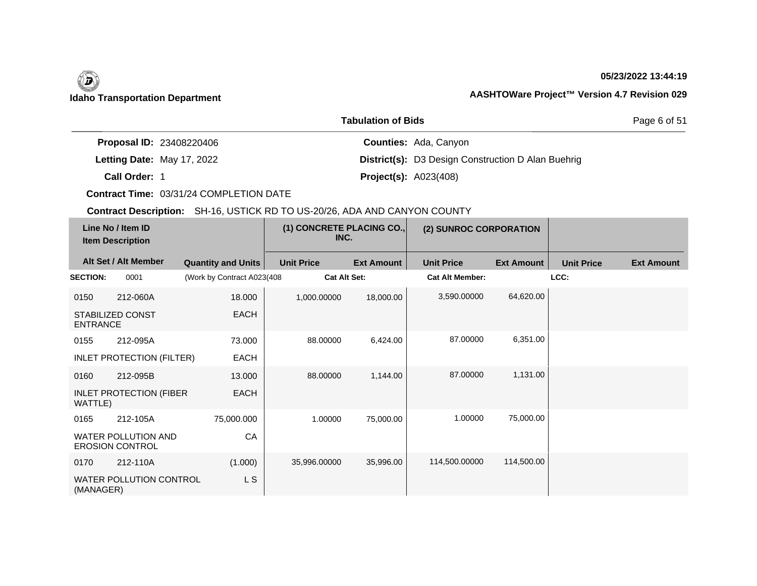# **05/23/2022 13:44:19**

|                                 | <b>Tabulation of Bids</b>                                 | Page 6 of 51 |
|---------------------------------|-----------------------------------------------------------|--------------|
| <b>Proposal ID: 23408220406</b> | <b>Counties: Ada, Canyon</b>                              |              |
| Letting Date: May 17, 2022      | <b>District(s):</b> D3 Design Construction D Alan Buehrig |              |

**Call Order:**

1 **Project(s):** A023(408)

**Contract Time:** 03/31/24 COMPLETION DATE

| Line No / Item ID<br><b>Item Description</b> |                                                      | (1) CONCRETE PLACING CO.,<br>INC. |                     | (2) SUNROC CORPORATION |                        |                   |                   |                   |
|----------------------------------------------|------------------------------------------------------|-----------------------------------|---------------------|------------------------|------------------------|-------------------|-------------------|-------------------|
|                                              | Alt Set / Alt Member                                 | <b>Quantity and Units</b>         | <b>Unit Price</b>   | <b>Ext Amount</b>      | <b>Unit Price</b>      | <b>Ext Amount</b> | <b>Unit Price</b> | <b>Ext Amount</b> |
| <b>SECTION:</b>                              | 0001                                                 | (Work by Contract A023(408)       | <b>Cat Alt Set:</b> |                        | <b>Cat Alt Member:</b> |                   | LCC:              |                   |
| 0150                                         | 212-060A                                             | 18.000                            | 1,000.00000         | 18,000.00              | 3,590.00000            | 64,620.00         |                   |                   |
| <b>ENTRANCE</b>                              | STABILIZED CONST                                     | <b>EACH</b>                       |                     |                        |                        |                   |                   |                   |
| 0155                                         | 212-095A                                             | 73.000                            | 88.00000            | 6,424.00               | 87.00000               | 6,351.00          |                   |                   |
|                                              | <b>INLET PROTECTION (FILTER)</b>                     | <b>EACH</b>                       |                     |                        |                        |                   |                   |                   |
| 0160                                         | 212-095B                                             | 13.000                            | 88,00000            | 1,144.00               | 87.00000               | 1,131.00          |                   |                   |
| WATTLE)                                      | <b>INLET PROTECTION (FIBER</b>                       | <b>EACH</b>                       |                     |                        |                        |                   |                   |                   |
| 0165                                         | 212-105A                                             | 75,000.000                        | 1.00000             | 75,000.00              | 1.00000                | 75,000.00         |                   |                   |
|                                              | <b>WATER POLLUTION AND</b><br><b>EROSION CONTROL</b> | CA                                |                     |                        |                        |                   |                   |                   |
| 0170                                         | 212-110A                                             | (1.000)                           | 35,996.00000        | 35,996.00              | 114,500.00000          | 114,500.00        |                   |                   |
| (MANAGER)                                    | <b>WATER POLLUTION CONTROL</b>                       | L S                               |                     |                        |                        |                   |                   |                   |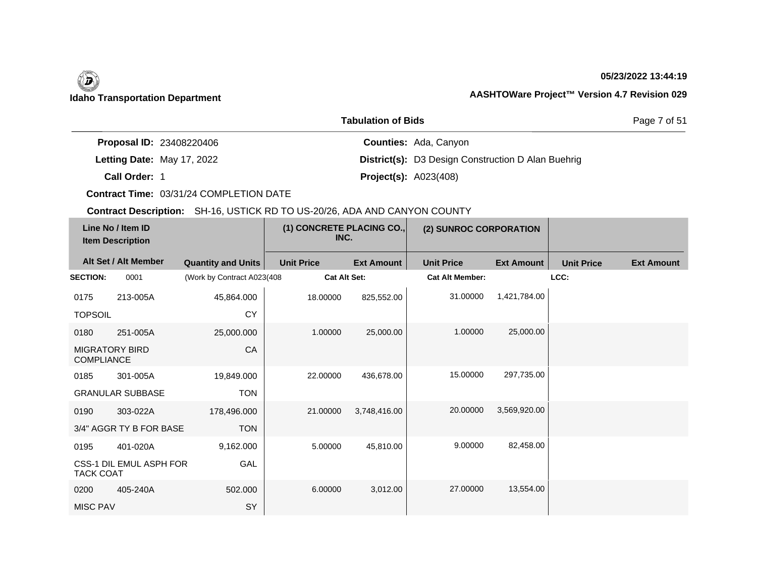## **05/23/2022 13:44:19**

|                                 | <b>Tabulation of Bids</b>                                 | Page 7 of 51 |
|---------------------------------|-----------------------------------------------------------|--------------|
| <b>Proposal ID: 23408220406</b> | <b>Counties: Ada, Canyon</b>                              |              |
| Letting Date: May 17, 2022      | <b>District(s):</b> D3 Design Construction D Alan Buehrig |              |
| Call Order: 1                   | <b>Project(s): A023(408)</b>                              |              |

**Contract Time:** 03/31/24 COMPLETION DATE

| Line No / Item ID<br><b>Item Description</b> |                                | (1) CONCRETE PLACING CO.,<br>INC. |                   | (2) SUNROC CORPORATION |                        |                   |                   |                   |
|----------------------------------------------|--------------------------------|-----------------------------------|-------------------|------------------------|------------------------|-------------------|-------------------|-------------------|
|                                              | Alt Set / Alt Member           | <b>Quantity and Units</b>         | <b>Unit Price</b> | <b>Ext Amount</b>      | <b>Unit Price</b>      | <b>Ext Amount</b> | <b>Unit Price</b> | <b>Ext Amount</b> |
| <b>SECTION:</b>                              | 0001                           | (Work by Contract A023(408        | Cat Alt Set:      |                        | <b>Cat Alt Member:</b> |                   | LCC:              |                   |
| 0175                                         | 213-005A                       | 45,864.000                        | 18.00000          | 825,552.00             | 31.00000               | 1,421,784.00      |                   |                   |
| <b>TOPSOIL</b>                               |                                | <b>CY</b>                         |                   |                        |                        |                   |                   |                   |
| 0180                                         | 251-005A                       | 25,000.000                        | 1.00000           | 25,000.00              | 1.00000                | 25,000.00         |                   |                   |
| <b>MIGRATORY BIRD</b><br><b>COMPLIANCE</b>   |                                | CA                                |                   |                        |                        |                   |                   |                   |
| 0185                                         | 301-005A                       | 19,849.000                        | 22.00000          | 436,678.00             | 15.00000               | 297,735.00        |                   |                   |
|                                              | <b>GRANULAR SUBBASE</b>        | <b>TON</b>                        |                   |                        |                        |                   |                   |                   |
| 0190                                         | 303-022A                       | 178,496.000                       | 21.00000          | 3,748,416.00           | 20.00000               | 3,569,920.00      |                   |                   |
|                                              | 3/4" AGGR TY B FOR BASE        | <b>TON</b>                        |                   |                        |                        |                   |                   |                   |
| 0195                                         | 401-020A                       | 9,162.000                         | 5.00000           | 45,810.00              | 9.00000                | 82,458.00         |                   |                   |
| <b>TACK COAT</b>                             | <b>CSS-1 DIL EMUL ASPH FOR</b> | GAL                               |                   |                        |                        |                   |                   |                   |
| 0200                                         | 405-240A                       | 502.000                           | 6.00000           | 3,012.00               | 27,00000               | 13,554.00         |                   |                   |
| <b>MISC PAV</b>                              |                                | SY                                |                   |                        |                        |                   |                   |                   |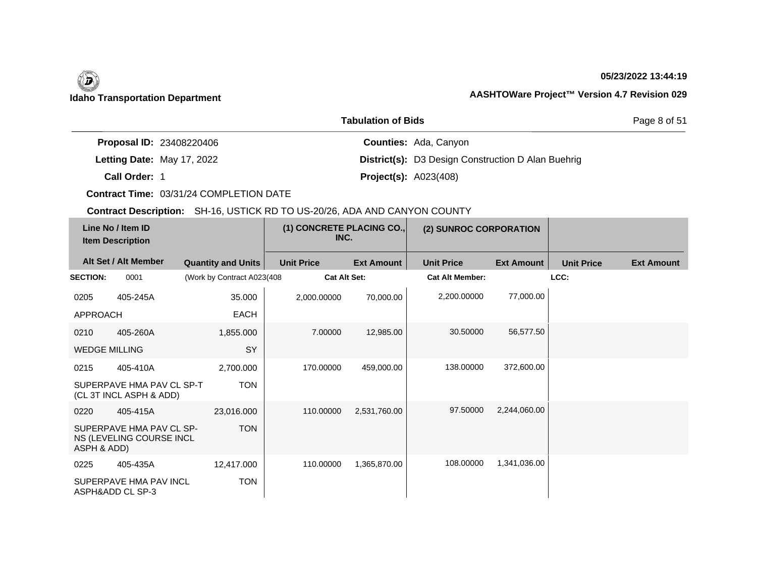**05/23/2022 13:44:19**

|                                 | <b>Tabulation of Bids</b>                                 | Page 8 of 51 |
|---------------------------------|-----------------------------------------------------------|--------------|
| <b>Proposal ID: 23408220406</b> | <b>Counties:</b> Ada, Canyon                              |              |
| Letting Date: May 17, 2022      | <b>District(s):</b> D3 Design Construction D Alan Buehrig |              |

**Call Order:**

1 **Project(s):** A023(408)

**Contract Time:** 03/31/24 COMPLETION DATE

| Line No / Item ID<br><b>Item Description</b> |                                                      | (1) CONCRETE PLACING CO.,<br>INC. |                   | (2) SUNROC CORPORATION |                        |                   |                   |                   |
|----------------------------------------------|------------------------------------------------------|-----------------------------------|-------------------|------------------------|------------------------|-------------------|-------------------|-------------------|
|                                              | Alt Set / Alt Member                                 | <b>Quantity and Units</b>         | <b>Unit Price</b> | <b>Ext Amount</b>      | <b>Unit Price</b>      | <b>Ext Amount</b> | <b>Unit Price</b> | <b>Ext Amount</b> |
| <b>SECTION:</b>                              | 0001                                                 | (Work by Contract A023(408)       | Cat Alt Set:      |                        | <b>Cat Alt Member:</b> |                   | LCC:              |                   |
| 0205                                         | 405-245A                                             | 35.000                            | 2,000.00000       | 70,000.00              | 2,200.00000            | 77,000.00         |                   |                   |
| <b>APPROACH</b>                              |                                                      | EACH                              |                   |                        |                        |                   |                   |                   |
| 0210                                         | 405-260A                                             | 1,855.000                         | 7.00000           | 12,985.00              | 30.50000               | 56,577.50         |                   |                   |
| <b>WEDGE MILLING</b>                         |                                                      | <b>SY</b>                         |                   |                        |                        |                   |                   |                   |
| 0215                                         | 405-410A                                             | 2,700.000                         | 170.00000         | 459,000.00             | 138,00000              | 372,600.00        |                   |                   |
|                                              | SUPERPAVE HMA PAV CL SP-T<br>(CL 3T INCL ASPH & ADD) | <b>TON</b>                        |                   |                        |                        |                   |                   |                   |
| 0220                                         | 405-415A                                             | 23,016.000                        | 110.00000         | 2,531,760.00           | 97.50000               | 2,244,060.00      |                   |                   |
| ASPH & ADD)                                  | SUPERPAVE HMA PAV CL SP-<br>NS (LEVELING COURSE INCL | <b>TON</b>                        |                   |                        |                        |                   |                   |                   |
| 0225                                         | 405-435A                                             | 12,417.000                        | 110.00000         | 1,365,870.00           | 108.00000              | 1,341,036.00      |                   |                   |
|                                              | SUPERPAVE HMA PAV INCL<br>ASPH&ADD CL SP-3           | <b>TON</b>                        |                   |                        |                        |                   |                   |                   |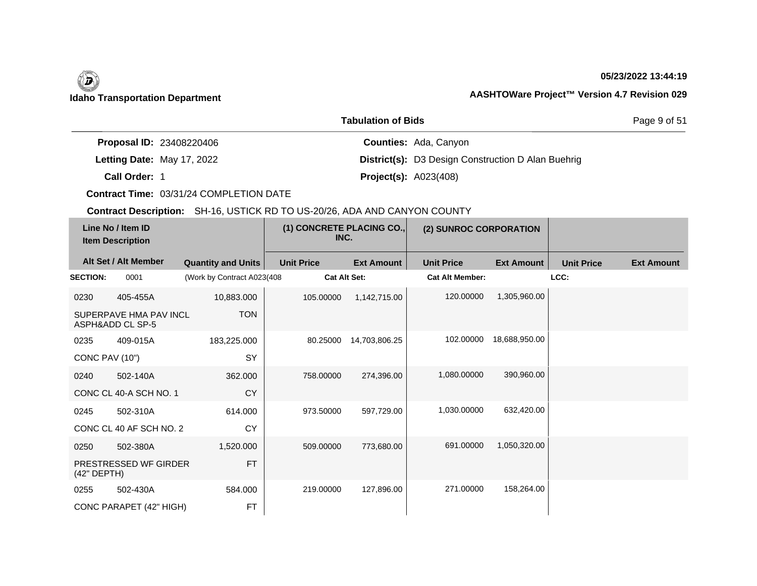# **05/23/2022 13:44:19**

|                                 | <b>Tabulation of Bids</b>                                 | Page 9 of 51 |
|---------------------------------|-----------------------------------------------------------|--------------|
| <b>Proposal ID: 23408220406</b> | <b>Counties: Ada, Canyon</b>                              |              |
| Letting Date: May 17, 2022      | <b>District(s): D3 Design Construction D Alan Buehrig</b> |              |

**Call Order:**

1 **Project(s):** A023(408)

**Contract Time:** 03/31/24 COMPLETION DATE

|                 | Line No / Item ID<br><b>Item Description</b> |                            | (1) CONCRETE PLACING CO.,<br>INC. |                   | (2) SUNROC CORPORATION |                   |                   |                   |
|-----------------|----------------------------------------------|----------------------------|-----------------------------------|-------------------|------------------------|-------------------|-------------------|-------------------|
|                 | Alt Set / Alt Member                         | <b>Quantity and Units</b>  | <b>Unit Price</b>                 | <b>Ext Amount</b> | <b>Unit Price</b>      | <b>Ext Amount</b> | <b>Unit Price</b> | <b>Ext Amount</b> |
| <b>SECTION:</b> | 0001                                         | (Work by Contract A023(408 | <b>Cat Alt Set:</b>               |                   | <b>Cat Alt Member:</b> |                   | LCC:              |                   |
| 0230            | 405-455A                                     | 10,883.000                 | 105.00000                         | 1,142,715.00      | 120.00000              | 1,305,960.00      |                   |                   |
|                 | SUPERPAVE HMA PAV INCL<br>ASPH&ADD CL SP-5   | <b>TON</b>                 |                                   |                   |                        |                   |                   |                   |
| 0235            | 409-015A                                     | 183,225.000                | 80.25000                          | 14,703,806.25     | 102.00000              | 18,688,950.00     |                   |                   |
| CONC PAV (10")  |                                              | SY                         |                                   |                   |                        |                   |                   |                   |
| 0240            | 502-140A                                     | 362.000                    | 758,00000                         | 274,396.00        | 1,080.00000            | 390,960.00        |                   |                   |
|                 | CONC CL 40-A SCH NO. 1                       | <b>CY</b>                  |                                   |                   |                        |                   |                   |                   |
| 0245            | 502-310A                                     | 614.000                    | 973.50000                         | 597,729.00        | 1,030.00000            | 632,420.00        |                   |                   |
|                 | CONC CL 40 AF SCH NO. 2                      | CY                         |                                   |                   |                        |                   |                   |                   |
| 0250            | 502-380A                                     | 1,520.000                  | 509.00000                         | 773,680.00        | 691.00000              | 1,050,320.00      |                   |                   |
| $(42"$ DEPTH)   | PRESTRESSED WF GIRDER                        | <b>FT</b>                  |                                   |                   |                        |                   |                   |                   |
| 0255            | 502-430A                                     | 584.000                    | 219.00000                         | 127,896.00        | 271.00000              | 158,264.00        |                   |                   |
|                 | CONC PARAPET (42" HIGH)                      | <b>FT</b>                  |                                   |                   |                        |                   |                   |                   |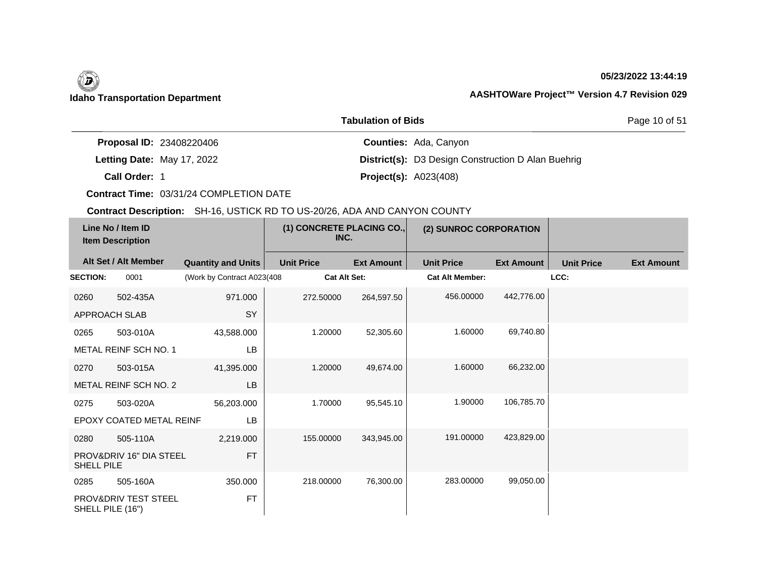## **05/23/2022 13:44:19**

|                                 | <b>Tabulation of Bids</b>                                 | Page 10 of 51 |
|---------------------------------|-----------------------------------------------------------|---------------|
| <b>Proposal ID: 23408220406</b> | <b>Counties: Ada, Canyon</b>                              |               |
| Letting Date: May 17, 2022      | <b>District(s):</b> D3 Design Construction D Alan Buehrig |               |
| Call Order: 1                   | <b>Project(s): A023(408)</b>                              |               |

**Contract Time:** 03/31/24 COMPLETION DATE

| Line No / Item ID<br><b>Item Description</b> |                                 | (1) CONCRETE PLACING CO.,<br>INC. |                     | (2) SUNROC CORPORATION |                        |                   |                   |                   |
|----------------------------------------------|---------------------------------|-----------------------------------|---------------------|------------------------|------------------------|-------------------|-------------------|-------------------|
|                                              | Alt Set / Alt Member            | <b>Quantity and Units</b>         | <b>Unit Price</b>   | <b>Ext Amount</b>      | <b>Unit Price</b>      | <b>Ext Amount</b> | <b>Unit Price</b> | <b>Ext Amount</b> |
| <b>SECTION:</b>                              | 0001                            | (Work by Contract A023(408        | <b>Cat Alt Set:</b> |                        | <b>Cat Alt Member:</b> |                   | LCC:              |                   |
| 0260                                         | 502-435A                        | 971.000                           | 272.50000           | 264,597.50             | 456,00000              | 442,776.00        |                   |                   |
|                                              | APPROACH SLAB                   | SY                                |                     |                        |                        |                   |                   |                   |
| 0265                                         | 503-010A                        | 43,588.000                        | 1.20000             | 52,305.60              | 1.60000                | 69,740.80         |                   |                   |
|                                              | METAL REINF SCH NO. 1           | <b>LB</b>                         |                     |                        |                        |                   |                   |                   |
| 0270                                         | 503-015A                        | 41,395.000                        | 1.20000             | 49,674.00              | 1.60000                | 66,232.00         |                   |                   |
|                                              | METAL REINF SCH NO. 2           | <b>LB</b>                         |                     |                        |                        |                   |                   |                   |
| 0275                                         | 503-020A                        | 56,203.000                        | 1.70000             | 95,545.10              | 1.90000                | 106,785.70        |                   |                   |
|                                              | EPOXY COATED METAL REINF        | LB                                |                     |                        |                        |                   |                   |                   |
| 0280                                         | 505-110A                        | 2,219.000                         | 155.00000           | 343,945.00             | 191.00000              | 423,829.00        |                   |                   |
| <b>SHELL PILE</b>                            | PROV&DRIV 16" DIA STEEL         | <b>FT</b>                         |                     |                        |                        |                   |                   |                   |
| 0285                                         | 505-160A                        | 350,000                           | 218.00000           | 76,300.00              | 283.00000              | 99,050.00         |                   |                   |
| SHELL PILE (16")                             | <b>PROV&amp;DRIV TEST STEEL</b> | <b>FT</b>                         |                     |                        |                        |                   |                   |                   |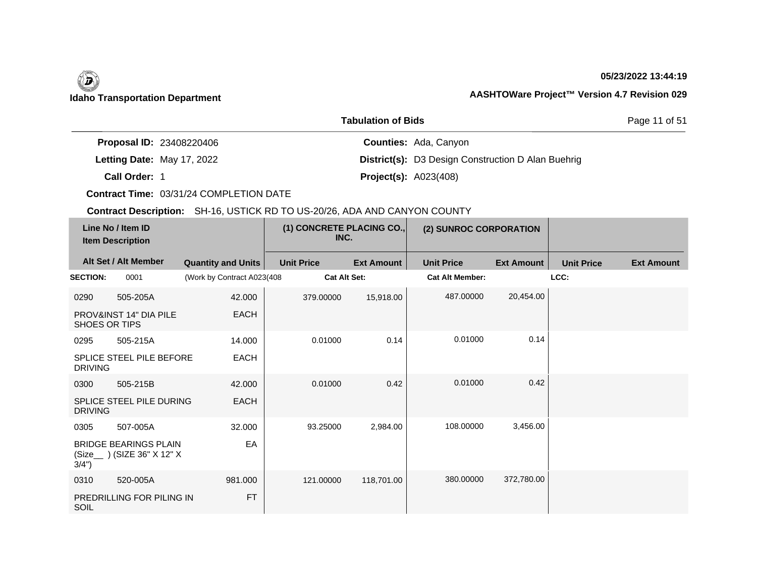**05/23/2022 13:44:19**

|                                 | <b>Tabulation of Bids</b>                                 | Page 11 of 51 |
|---------------------------------|-----------------------------------------------------------|---------------|
| <b>Proposal ID: 23408220406</b> | <b>Counties: Ada, Canyon</b>                              |               |
| Letting Date: May 17, 2022      | <b>District(s):</b> D3 Design Construction D Alan Buehrig |               |

Letting Date: May 17, 2022

**Call Order:**

1 **Project(s):** A023(408)

**Contract Time:** 03/31/24 COMPLETION DATE

| Line No / Item ID<br><b>Item Description</b> |                                                            | (1) CONCRETE PLACING CO.,<br>INC. |                     | (2) SUNROC CORPORATION |                        |                   |                   |                   |
|----------------------------------------------|------------------------------------------------------------|-----------------------------------|---------------------|------------------------|------------------------|-------------------|-------------------|-------------------|
|                                              | Alt Set / Alt Member                                       | <b>Quantity and Units</b>         | <b>Unit Price</b>   | <b>Ext Amount</b>      | <b>Unit Price</b>      | <b>Ext Amount</b> | <b>Unit Price</b> | <b>Ext Amount</b> |
| <b>SECTION:</b>                              | 0001                                                       | (Work by Contract A023(408        | <b>Cat Alt Set:</b> |                        | <b>Cat Alt Member:</b> |                   | LCC:              |                   |
| 0290                                         | 505-205A                                                   | 42.000                            | 379.00000           | 15,918.00              | 487.00000              | 20,454.00         |                   |                   |
|                                              | PROV&INST 14" DIA PILE<br>SHOES OR TIPS                    | <b>EACH</b>                       |                     |                        |                        |                   |                   |                   |
| 0295                                         | 505-215A                                                   | 14.000                            | 0.01000             | 0.14                   | 0.01000                | 0.14              |                   |                   |
| <b>DRIVING</b>                               | <b>SPLICE STEEL PILE BEFORE</b>                            | <b>EACH</b>                       |                     |                        |                        |                   |                   |                   |
| 0300                                         | 505-215B                                                   | 42,000                            | 0.01000             | 0.42                   | 0.01000                | 0.42              |                   |                   |
| <b>DRIVING</b>                               | <b>SPLICE STEEL PILE DURING</b>                            | <b>EACH</b>                       |                     |                        |                        |                   |                   |                   |
| 0305                                         | 507-005A                                                   | 32.000                            | 93.25000            | 2,984.00               | 108.00000              | 3,456.00          |                   |                   |
| 3/4")                                        | <b>BRIDGE BEARINGS PLAIN</b><br>(Size__) (SIZE 36" X 12" X | EA                                |                     |                        |                        |                   |                   |                   |
| 0310                                         | 520-005A                                                   | 981.000                           | 121.00000           | 118,701.00             | 380.00000              | 372,780.00        |                   |                   |
| SOIL                                         | PREDRILLING FOR PILING IN                                  | <b>FT</b>                         |                     |                        |                        |                   |                   |                   |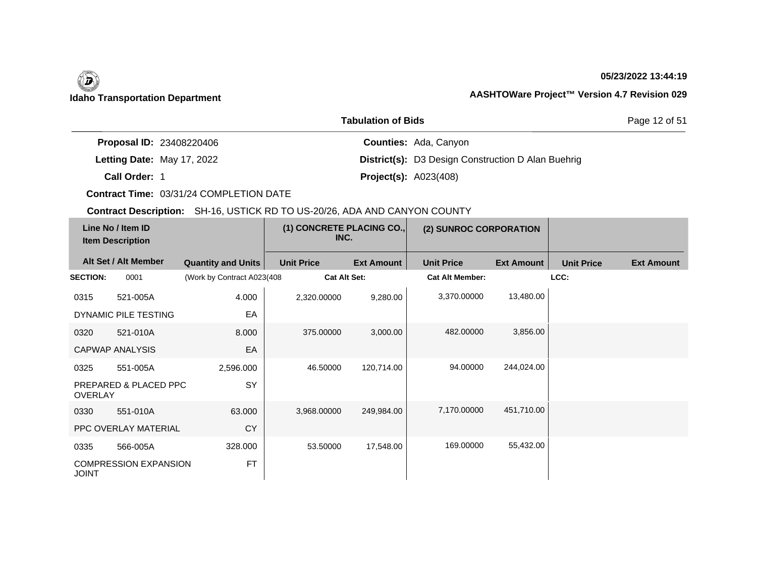# **05/23/2022 13:44:19**

|                                 | <b>Tabulation of Bids</b>                                 | Page 12 of 51 |  |
|---------------------------------|-----------------------------------------------------------|---------------|--|
| <b>Proposal ID: 23408220406</b> | <b>Counties: Ada, Canyon</b>                              |               |  |
| Letting Date: May 17, 2022      | <b>District(s):</b> D3 Design Construction D Alan Buehrig |               |  |
| Call Order: 1                   | <b>Project(s):</b> $A023(408)$                            |               |  |

**Contract Time:** 03/31/24 COMPLETION DATE

| Line No / Item ID<br><b>Item Description</b> |                              |                            | (1) CONCRETE PLACING CO.,<br>INC. |                   | (2) SUNROC CORPORATION |                   |                   |                   |
|----------------------------------------------|------------------------------|----------------------------|-----------------------------------|-------------------|------------------------|-------------------|-------------------|-------------------|
|                                              | Alt Set / Alt Member         | <b>Quantity and Units</b>  | <b>Unit Price</b>                 | <b>Ext Amount</b> | <b>Unit Price</b>      | <b>Ext Amount</b> | <b>Unit Price</b> | <b>Ext Amount</b> |
| <b>SECTION:</b>                              | 0001                         | (Work by Contract A023(408 | <b>Cat Alt Set:</b>               |                   | <b>Cat Alt Member:</b> |                   | LCC:              |                   |
| 0315                                         | 521-005A                     | 4.000                      | 2,320.00000                       | 9,280.00          | 3,370.00000            | 13,480.00         |                   |                   |
|                                              | DYNAMIC PILE TESTING         | EA                         |                                   |                   |                        |                   |                   |                   |
| 0320                                         | 521-010A                     | 8.000                      | 375.00000                         | 3,000.00          | 482.00000              | 3,856.00          |                   |                   |
|                                              | <b>CAPWAP ANALYSIS</b>       | EA                         |                                   |                   |                        |                   |                   |                   |
| 0325                                         | 551-005A                     | 2,596.000                  | 46.50000                          | 120,714.00        | 94.00000               | 244,024.00        |                   |                   |
| <b>OVERLAY</b>                               | PREPARED & PLACED PPC        | SY                         |                                   |                   |                        |                   |                   |                   |
| 0330                                         | 551-010A                     | 63.000                     | 3,968.00000                       | 249,984.00        | 7,170.00000            | 451,710.00        |                   |                   |
|                                              | PPC OVERLAY MATERIAL         | CY                         |                                   |                   |                        |                   |                   |                   |
| 0335                                         | 566-005A                     | 328.000                    | 53.50000                          | 17,548.00         | 169.00000              | 55,432.00         |                   |                   |
| <b>JOINT</b>                                 | <b>COMPRESSION EXPANSION</b> | <b>FT</b>                  |                                   |                   |                        |                   |                   |                   |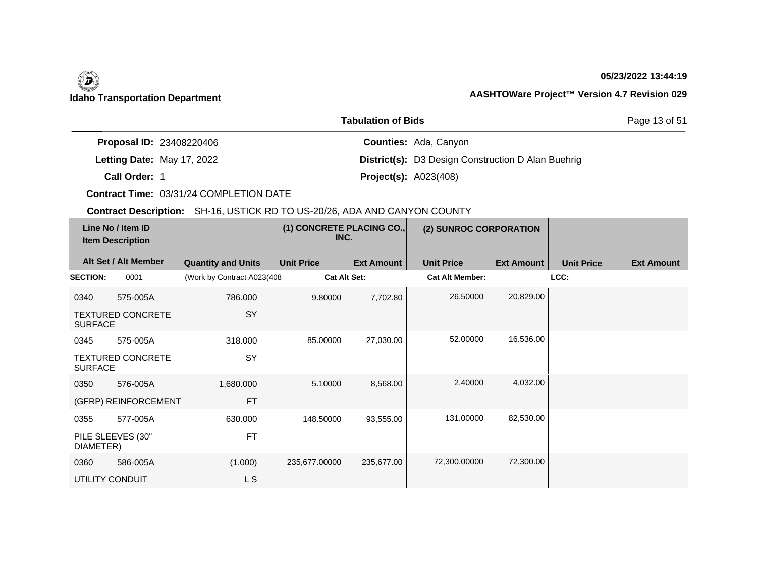**05/23/2022 13:44:19**

| AASHTOWare Project™ Version 4.7 Revision 029 |
|----------------------------------------------|
|                                              |

|                                 | Page 13 of 51                                             |  |
|---------------------------------|-----------------------------------------------------------|--|
| <b>Proposal ID: 23408220406</b> | <b>Counties: Ada, Canyon</b>                              |  |
| Letting Date: May 17, 2022      | <b>District(s):</b> D3 Design Construction D Alan Buehrig |  |
| Call Order: 1                   | <b>Project(s): A023(408)</b>                              |  |

**Contract Time:** 03/31/24 COMPLETION DATE

| Line No / Item ID<br><b>Item Description</b> |                          |                            | (1) CONCRETE PLACING CO.,<br>INC. |                   | (2) SUNROC CORPORATION |                   |                   |                   |
|----------------------------------------------|--------------------------|----------------------------|-----------------------------------|-------------------|------------------------|-------------------|-------------------|-------------------|
|                                              | Alt Set / Alt Member     | <b>Quantity and Units</b>  | <b>Unit Price</b>                 | <b>Ext Amount</b> | <b>Unit Price</b>      | <b>Ext Amount</b> | <b>Unit Price</b> | <b>Ext Amount</b> |
| <b>SECTION:</b>                              | 0001                     | (Work by Contract A023(408 | <b>Cat Alt Set:</b>               |                   | <b>Cat Alt Member:</b> |                   | LCC:              |                   |
| 0340                                         | 575-005A                 | 786.000                    | 9.80000                           | 7,702.80          | 26.50000               | 20,829.00         |                   |                   |
| <b>SURFACE</b>                               | <b>TEXTURED CONCRETE</b> | <b>SY</b>                  |                                   |                   |                        |                   |                   |                   |
| 0345                                         | 575-005A                 | 318.000                    | 85.00000                          | 27,030.00         | 52.00000               | 16,536.00         |                   |                   |
| <b>SURFACE</b>                               | <b>TEXTURED CONCRETE</b> | <b>SY</b>                  |                                   |                   |                        |                   |                   |                   |
| 0350                                         | 576-005A                 | 1,680.000                  | 5.10000                           | 8,568.00          | 2.40000                | 4,032.00          |                   |                   |
|                                              | (GFRP) REINFORCEMENT     | <b>FT</b>                  |                                   |                   |                        |                   |                   |                   |
| 0355                                         | 577-005A                 | 630.000                    | 148.50000                         | 93,555.00         | 131.00000              | 82,530.00         |                   |                   |
| DIAMETER)                                    | PILE SLEEVES (30"        | <b>FT</b>                  |                                   |                   |                        |                   |                   |                   |
| 0360                                         | 586-005A                 | (1.000)                    | 235,677.00000                     | 235,677.00        | 72,300.00000           | 72,300.00         |                   |                   |
| UTILITY CONDUIT                              |                          | L S                        |                                   |                   |                        |                   |                   |                   |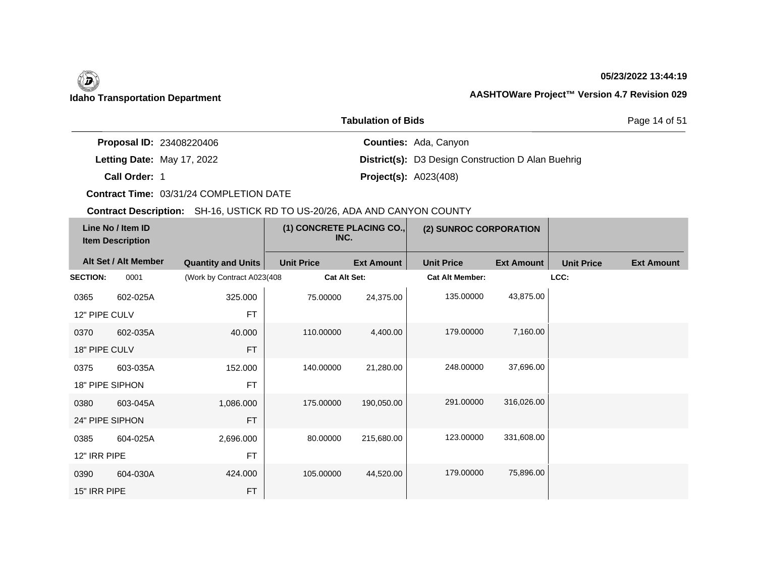## **05/23/2022 13:44:19**

|                                 | <b>Tabulation of Bids</b>                                 | Page 14 of 51 |  |
|---------------------------------|-----------------------------------------------------------|---------------|--|
| <b>Proposal ID: 23408220406</b> | <b>Counties: Ada, Canyon</b>                              |               |  |
| Letting Date: May 17, 2022      | <b>District(s):</b> D3 Design Construction D Alan Buehrig |               |  |
| Call Order: 1                   | <b>Project(s): A023(408)</b>                              |               |  |

**Contract Time:** 03/31/24 COMPLETION DATE

| Line No / Item ID<br><b>Item Description</b> |                      | (1) CONCRETE PLACING CO.,<br>INC. |                     | (2) SUNROC CORPORATION |                        |                   |                   |                   |
|----------------------------------------------|----------------------|-----------------------------------|---------------------|------------------------|------------------------|-------------------|-------------------|-------------------|
|                                              | Alt Set / Alt Member | <b>Quantity and Units</b>         | <b>Unit Price</b>   | <b>Ext Amount</b>      | <b>Unit Price</b>      | <b>Ext Amount</b> | <b>Unit Price</b> | <b>Ext Amount</b> |
| <b>SECTION:</b>                              | 0001                 | (Work by Contract A023(408        | <b>Cat Alt Set:</b> |                        | <b>Cat Alt Member:</b> |                   | LCC:              |                   |
| 0365                                         | 602-025A             | 325.000                           | 75.00000            | 24,375.00              | 135.00000              | 43,875.00         |                   |                   |
| 12" PIPE CULV                                |                      | <b>FT</b>                         |                     |                        |                        |                   |                   |                   |
| 0370                                         | 602-035A             | 40.000                            | 110.00000           | 4,400.00               | 179.00000              | 7,160.00          |                   |                   |
| 18" PIPE CULV                                |                      | <b>FT</b>                         |                     |                        |                        |                   |                   |                   |
| 0375                                         | 603-035A             | 152.000                           | 140.00000           | 21,280.00              | 248,00000              | 37,696.00         |                   |                   |
| 18" PIPE SIPHON                              |                      | <b>FT</b>                         |                     |                        |                        |                   |                   |                   |
| 0380                                         | 603-045A             | 1,086.000                         | 175.00000           | 190,050.00             | 291.00000              | 316,026.00        |                   |                   |
| 24" PIPE SIPHON                              |                      | <b>FT</b>                         |                     |                        |                        |                   |                   |                   |
| 0385                                         | 604-025A             | 2,696.000                         | 80.00000            | 215,680.00             | 123.00000              | 331,608.00        |                   |                   |
| 12" IRR PIPE                                 |                      | <b>FT</b>                         |                     |                        |                        |                   |                   |                   |
| 0390                                         | 604-030A             | 424.000                           | 105.00000           | 44,520.00              | 179.00000              | 75,896.00         |                   |                   |
| 15" IRR PIPE                                 |                      | <b>FT</b>                         |                     |                        |                        |                   |                   |                   |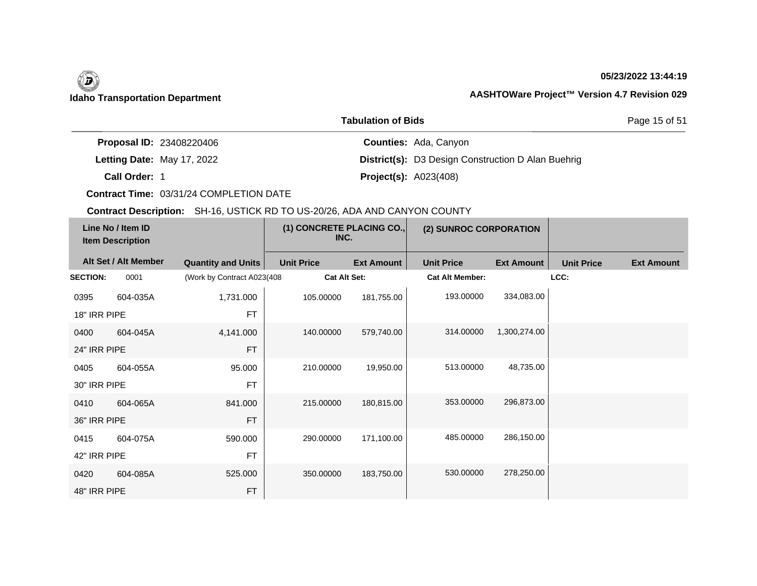# **05/23/2022 13:44:19**

|                                 | <b>Tabulation of Bids</b>                                 | Page 15 of 51 |
|---------------------------------|-----------------------------------------------------------|---------------|
| <b>Proposal ID: 23408220406</b> | <b>Counties: Ada, Canyon</b>                              |               |
| Letting Date: May 17, 2022      | <b>District(s):</b> D3 Design Construction D Alan Buehrig |               |
| Call Order: 1                   | <b>Project(s): A023(408)</b>                              |               |

**Contract Time:** 03/31/24 COMPLETION DATE

| Line No / Item ID<br><b>Item Description</b> |                      | (1) CONCRETE PLACING CO.,<br>INC. |                     | (2) SUNROC CORPORATION |                        |                   |                   |                   |
|----------------------------------------------|----------------------|-----------------------------------|---------------------|------------------------|------------------------|-------------------|-------------------|-------------------|
|                                              | Alt Set / Alt Member | <b>Quantity and Units</b>         | <b>Unit Price</b>   | <b>Ext Amount</b>      | <b>Unit Price</b>      | <b>Ext Amount</b> | <b>Unit Price</b> | <b>Ext Amount</b> |
| <b>SECTION:</b>                              | 0001                 | (Work by Contract A023(408        | <b>Cat Alt Set:</b> |                        | <b>Cat Alt Member:</b> |                   | LCC:              |                   |
| 0395                                         | 604-035A             | 1,731.000                         | 105.00000           | 181,755.00             | 193.00000              | 334,083.00        |                   |                   |
| 18" IRR PIPE                                 |                      | <b>FT</b>                         |                     |                        |                        |                   |                   |                   |
| 0400                                         | 604-045A             | 4,141.000                         | 140.00000           | 579,740.00             | 314.00000              | 1,300,274.00      |                   |                   |
| 24" IRR PIPE                                 |                      | <b>FT</b>                         |                     |                        |                        |                   |                   |                   |
| 0405                                         | 604-055A             | 95.000                            | 210.00000           | 19,950.00              | 513.00000              | 48,735.00         |                   |                   |
| 30" IRR PIPE                                 |                      | <b>FT</b>                         |                     |                        |                        |                   |                   |                   |
| 0410                                         | 604-065A             | 841.000                           | 215.00000           | 180,815.00             | 353.00000              | 296,873.00        |                   |                   |
| 36" IRR PIPE                                 |                      | <b>FT</b>                         |                     |                        |                        |                   |                   |                   |
| 0415                                         | 604-075A             | 590.000                           | 290.00000           | 171,100.00             | 485,00000              | 286,150.00        |                   |                   |
| 42" IRR PIPE                                 |                      | <b>FT</b>                         |                     |                        |                        |                   |                   |                   |
| 0420                                         | 604-085A             | 525.000                           | 350.00000           | 183,750.00             | 530.00000              | 278,250.00        |                   |                   |
| 48" IRR PIPE                                 |                      | <b>FT</b>                         |                     |                        |                        |                   |                   |                   |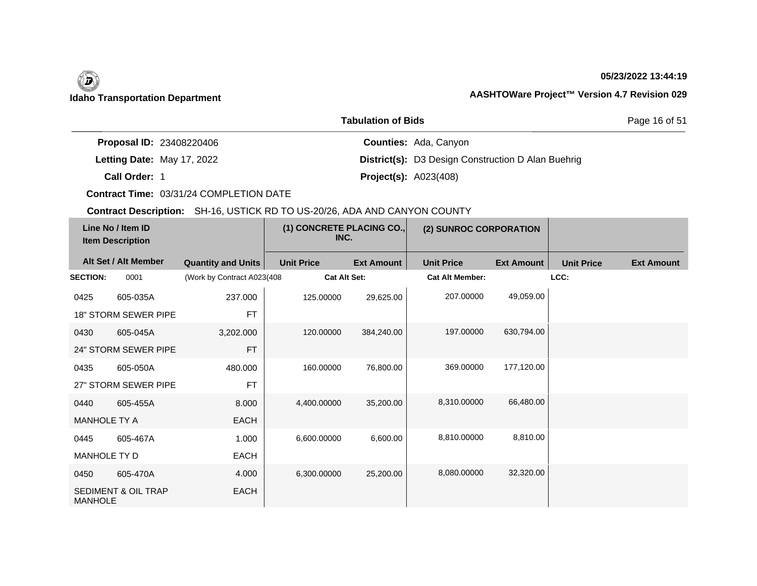# **05/23/2022 13:44:19**

|                                 | <b>Tabulation of Bids</b>                                 | Page 16 of 51 |
|---------------------------------|-----------------------------------------------------------|---------------|
| <b>Proposal ID: 23408220406</b> | <b>Counties: Ada, Canyon</b>                              |               |
| Letting Date: May 17, 2022      | <b>District(s):</b> D3 Design Construction D Alan Buehrig |               |
| Call Order: 1                   | <b>Project(s): A023(408)</b>                              |               |

**Contract Time:** 03/31/24 COMPLETION DATE

| Line No / Item ID<br><b>Item Description</b> |                                | (1) CONCRETE PLACING CO.,<br>INC. |                     | (2) SUNROC CORPORATION |                        |                   |                   |                   |
|----------------------------------------------|--------------------------------|-----------------------------------|---------------------|------------------------|------------------------|-------------------|-------------------|-------------------|
|                                              | Alt Set / Alt Member           | <b>Quantity and Units</b>         | <b>Unit Price</b>   | <b>Ext Amount</b>      | <b>Unit Price</b>      | <b>Ext Amount</b> | <b>Unit Price</b> | <b>Ext Amount</b> |
| <b>SECTION:</b>                              | 0001                           | (Work by Contract A023(408        | <b>Cat Alt Set:</b> |                        | <b>Cat Alt Member:</b> |                   | LCC:              |                   |
| 0425                                         | 605-035A                       | 237.000                           | 125.00000           | 29,625.00              | 207.00000              | 49,059.00         |                   |                   |
|                                              | <b>18" STORM SEWER PIPE</b>    | <b>FT</b>                         |                     |                        |                        |                   |                   |                   |
| 0430                                         | 605-045A                       | 3,202.000                         | 120,00000           | 384,240.00             | 197.00000              | 630,794.00        |                   |                   |
|                                              | 24" STORM SEWER PIPE           | <b>FT</b>                         |                     |                        |                        |                   |                   |                   |
| 0435                                         | 605-050A                       | 480.000                           | 160.00000           | 76,800.00              | 369,00000              | 177,120.00        |                   |                   |
|                                              | 27" STORM SEWER PIPE           | <b>FT</b>                         |                     |                        |                        |                   |                   |                   |
| 0440                                         | 605-455A                       | 8.000                             | 4,400.00000         | 35,200.00              | 8.310.00000            | 66,480.00         |                   |                   |
| MANHOLE TY A                                 |                                | <b>EACH</b>                       |                     |                        |                        |                   |                   |                   |
| 0445                                         | 605-467A                       | 1.000                             | 6,600.00000         | 6,600.00               | 8,810.00000            | 8,810.00          |                   |                   |
| MANHOLE TY D                                 |                                | <b>EACH</b>                       |                     |                        |                        |                   |                   |                   |
| 0450                                         | 605-470A                       | 4.000                             | 6,300.00000         | 25,200.00              | 8,080.00000            | 32,320.00         |                   |                   |
| <b>MANHOLE</b>                               | <b>SEDIMENT &amp; OIL TRAP</b> | <b>EACH</b>                       |                     |                        |                        |                   |                   |                   |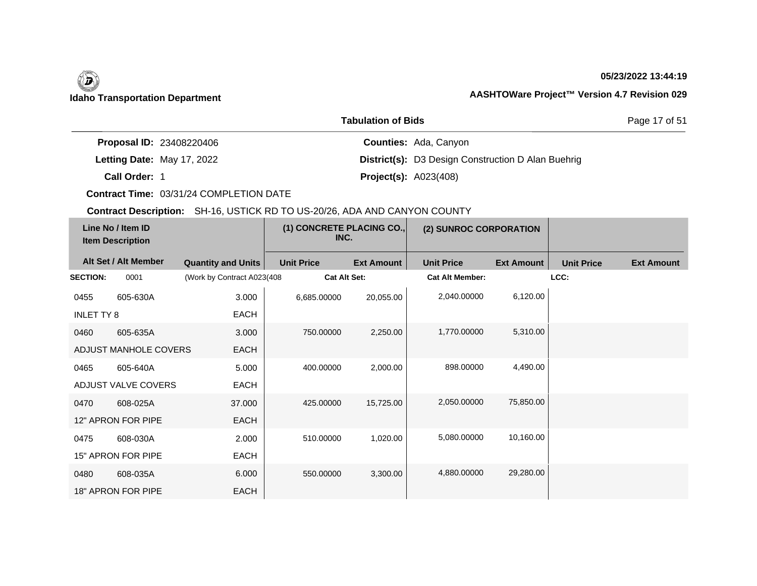# **05/23/2022 13:44:19**

|                                 | <b>Tabulation of Bids</b>                                 | Page 17 of 51 |
|---------------------------------|-----------------------------------------------------------|---------------|
| <b>Proposal ID: 23408220406</b> | <b>Counties: Ada, Canyon</b>                              |               |
| Letting Date: May 17, 2022      | <b>District(s):</b> D3 Design Construction D Alan Buehrig |               |
| Call Order: 1                   | <b>Project(s): A023(408)</b>                              |               |

**Contract Time:** 03/31/24 COMPLETION DATE

| Line No / Item ID<br><b>Item Description</b> |                       | (1) CONCRETE PLACING CO.,<br>INC. |                   | (2) SUNROC CORPORATION |                        |                   |                   |                   |
|----------------------------------------------|-----------------------|-----------------------------------|-------------------|------------------------|------------------------|-------------------|-------------------|-------------------|
|                                              | Alt Set / Alt Member  | <b>Quantity and Units</b>         | <b>Unit Price</b> | <b>Ext Amount</b>      | <b>Unit Price</b>      | <b>Ext Amount</b> | <b>Unit Price</b> | <b>Ext Amount</b> |
| <b>SECTION:</b>                              | 0001                  | (Work by Contract A023(408        | Cat Alt Set:      |                        | <b>Cat Alt Member:</b> |                   | LCC:              |                   |
| 0455                                         | 605-630A              | 3.000                             | 6,685.00000       | 20,055.00              | 2,040.00000            | 6,120.00          |                   |                   |
| <b>INLET TY 8</b>                            |                       | <b>EACH</b>                       |                   |                        |                        |                   |                   |                   |
| 0460                                         | 605-635A              | 3.000                             | 750.00000         | 2,250.00               | 1,770.00000            | 5,310.00          |                   |                   |
|                                              | ADJUST MANHOLE COVERS | <b>EACH</b>                       |                   |                        |                        |                   |                   |                   |
| 0465                                         | 605-640A              | 5.000                             | 400.00000         | 2,000.00               | 898,00000              | 4,490.00          |                   |                   |
|                                              | ADJUST VALVE COVERS   | <b>EACH</b>                       |                   |                        |                        |                   |                   |                   |
| 0470                                         | 608-025A              | 37.000                            | 425.00000         | 15,725.00              | 2,050.00000            | 75,850.00         |                   |                   |
|                                              | 12" APRON FOR PIPE    | <b>EACH</b>                       |                   |                        |                        |                   |                   |                   |
| 0475                                         | 608-030A              | 2.000                             | 510.00000         | 1,020.00               | 5,080.00000            | 10,160.00         |                   |                   |
|                                              | 15" APRON FOR PIPE    | <b>EACH</b>                       |                   |                        |                        |                   |                   |                   |
| 0480                                         | 608-035A              | 6.000                             | 550.00000         | 3,300.00               | 4,880.00000            | 29,280.00         |                   |                   |
|                                              | 18" APRON FOR PIPE    | EACH                              |                   |                        |                        |                   |                   |                   |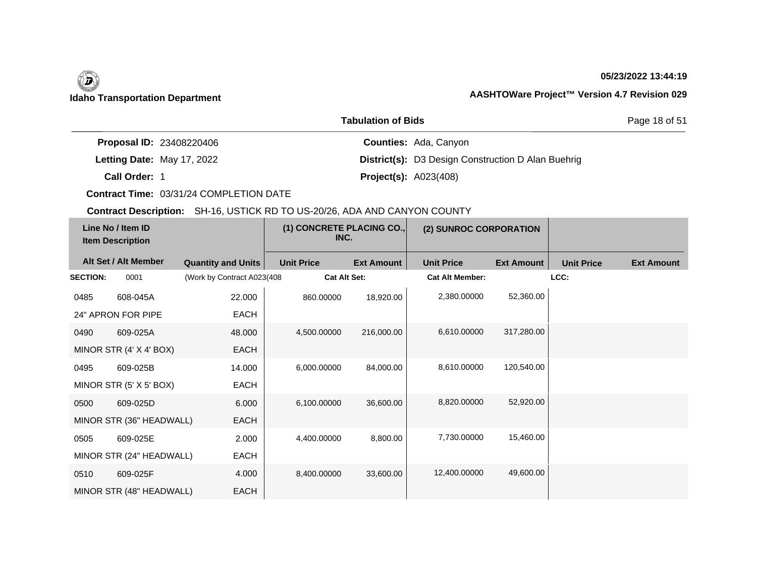# **05/23/2022 13:44:19**

|                                 | <b>Tabulation of Bids</b>                                 | Page 18 of 51 |
|---------------------------------|-----------------------------------------------------------|---------------|
| <b>Proposal ID: 23408220406</b> | <b>Counties: Ada, Canyon</b>                              |               |
| Letting Date: May 17, 2022      | <b>District(s): D3 Design Construction D Alan Buehrig</b> |               |

**Call Order:**

1 **Project(s):** A023(408)

**Contract Time:** 03/31/24 COMPLETION DATE

| Line No / Item ID<br><b>Item Description</b> |                          | (1) CONCRETE PLACING CO.,<br>INC. |                     | (2) SUNROC CORPORATION |                        |                   |                   |                   |
|----------------------------------------------|--------------------------|-----------------------------------|---------------------|------------------------|------------------------|-------------------|-------------------|-------------------|
|                                              | Alt Set / Alt Member     | <b>Quantity and Units</b>         | <b>Unit Price</b>   | <b>Ext Amount</b>      | <b>Unit Price</b>      | <b>Ext Amount</b> | <b>Unit Price</b> | <b>Ext Amount</b> |
| <b>SECTION:</b>                              | 0001                     | (Work by Contract A023(408        | <b>Cat Alt Set:</b> |                        | <b>Cat Alt Member:</b> |                   | LCC:              |                   |
| 0485                                         | 608-045A                 | 22.000                            | 860.00000           | 18,920.00              | 2,380.00000            | 52,360.00         |                   |                   |
|                                              | 24" APRON FOR PIPE       | <b>EACH</b>                       |                     |                        |                        |                   |                   |                   |
| 0490                                         | 609-025A                 | 48.000                            | 4,500.00000         | 216,000.00             | 6,610.00000            | 317,280.00        |                   |                   |
|                                              | MINOR STR (4' X 4' BOX)  | <b>EACH</b>                       |                     |                        |                        |                   |                   |                   |
| 0495                                         | 609-025B                 | 14.000                            | 6,000.00000         | 84,000.00              | 8,610.00000            | 120,540.00        |                   |                   |
|                                              | MINOR STR (5' X 5' BOX)  | <b>EACH</b>                       |                     |                        |                        |                   |                   |                   |
| 0500                                         | 609-025D                 | 6.000                             | 6,100.00000         | 36,600.00              | 8,820.00000            | 52,920.00         |                   |                   |
|                                              | MINOR STR (36" HEADWALL) | <b>EACH</b>                       |                     |                        |                        |                   |                   |                   |
| 0505                                         | 609-025E                 | 2.000                             | 4,400.00000         | 8,800.00               | 7,730.00000            | 15,460.00         |                   |                   |
|                                              | MINOR STR (24" HEADWALL) | <b>EACH</b>                       |                     |                        |                        |                   |                   |                   |
| 0510                                         | 609-025F                 | 4.000                             | 8,400.00000         | 33,600.00              | 12.400.00000           | 49,600.00         |                   |                   |
|                                              | MINOR STR (48" HEADWALL) | <b>EACH</b>                       |                     |                        |                        |                   |                   |                   |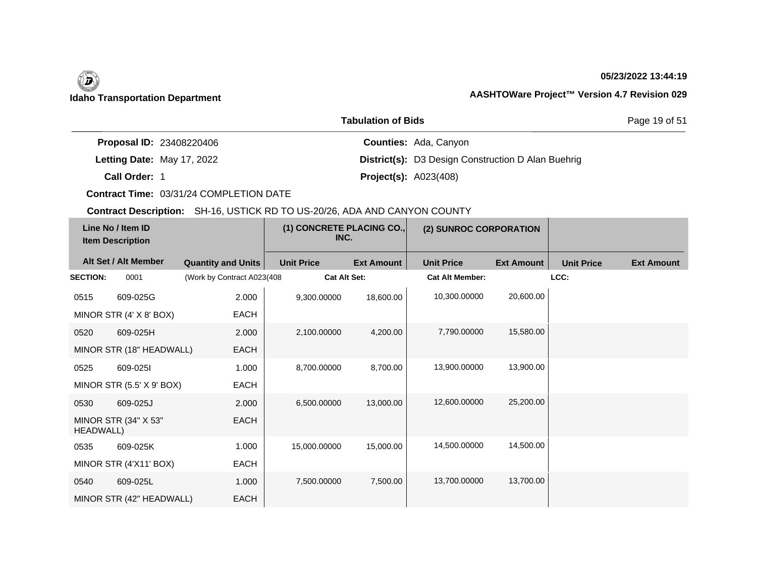## **05/23/2022 13:44:19**

|                                 | <b>Tabulation of Bids</b>                                 | Page 19 of 51 |
|---------------------------------|-----------------------------------------------------------|---------------|
| <b>Proposal ID: 23408220406</b> | <b>Counties: Ada, Canyon</b>                              |               |
| Letting Date: May 17, 2022      | <b>District(s):</b> D3 Design Construction D Alan Buehrig |               |
| Call Order: 1                   | <b>Project(s): A023(408)</b>                              |               |

**Contract Time:** 03/31/24 COMPLETION DATE

|                  | Line No / Item ID<br><b>Item Description</b> |                             | (1) CONCRETE PLACING CO.,<br>INC. |                   | (2) SUNROC CORPORATION |                   |                   |                   |
|------------------|----------------------------------------------|-----------------------------|-----------------------------------|-------------------|------------------------|-------------------|-------------------|-------------------|
|                  | Alt Set / Alt Member                         | <b>Quantity and Units</b>   | <b>Unit Price</b>                 | <b>Ext Amount</b> | <b>Unit Price</b>      | <b>Ext Amount</b> | <b>Unit Price</b> | <b>Ext Amount</b> |
| <b>SECTION:</b>  | 0001                                         | (Work by Contract A023(408) | <b>Cat Alt Set:</b>               |                   | <b>Cat Alt Member:</b> |                   | LCC:              |                   |
| 0515             | 609-025G                                     | 2.000                       | 9,300.00000                       | 18,600.00         | 10,300.00000           | 20,600.00         |                   |                   |
|                  | MINOR STR (4' X 8' BOX)                      | EACH                        |                                   |                   |                        |                   |                   |                   |
| 0520             | 609-025H                                     | 2.000                       | 2,100.00000                       | 4,200.00          | 7,790.00000            | 15,580.00         |                   |                   |
|                  | MINOR STR (18" HEADWALL)                     | <b>EACH</b>                 |                                   |                   |                        |                   |                   |                   |
| 0525             | 609-0251                                     | 1.000                       | 8,700.00000                       | 8,700.00          | 13,900.00000           | 13,900.00         |                   |                   |
|                  | MINOR STR (5.5' X 9' BOX)                    | EACH                        |                                   |                   |                        |                   |                   |                   |
| 0530             | 609-025J                                     | 2.000                       | 6,500.00000                       | 13,000.00         | 12,600.00000           | 25,200.00         |                   |                   |
| <b>HEADWALL)</b> | MINOR STR (34" X 53"                         | EACH                        |                                   |                   |                        |                   |                   |                   |
| 0535             | 609-025K                                     | 1.000                       | 15,000.00000                      | 15,000.00         | 14,500.00000           | 14,500.00         |                   |                   |
|                  | MINOR STR (4'X11' BOX)                       | EACH                        |                                   |                   |                        |                   |                   |                   |
| 0540             | 609-025L                                     | 1.000                       | 7,500.00000                       | 7,500.00          | 13,700.00000           | 13,700.00         |                   |                   |
|                  | MINOR STR (42" HEADWALL)                     | <b>EACH</b>                 |                                   |                   |                        |                   |                   |                   |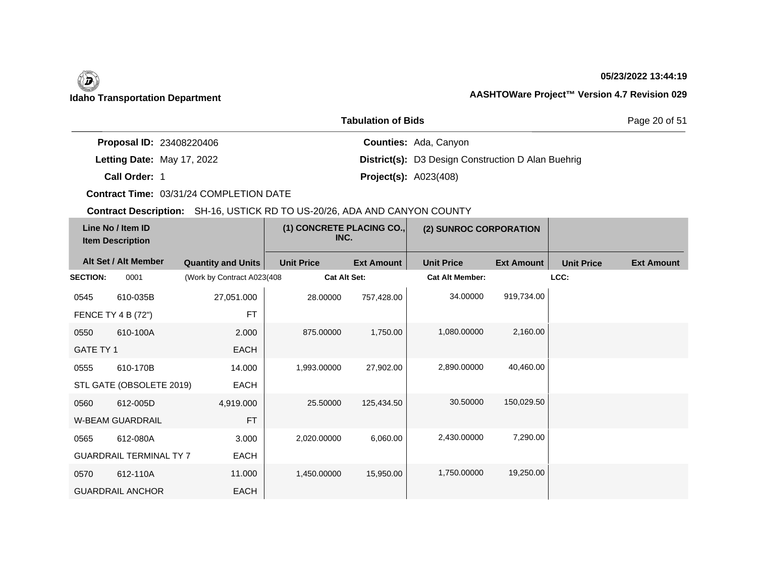## **05/23/2022 13:44:19**

|                                 | <b>Tabulation of Bids</b>                                 | Page 20 of 51 |
|---------------------------------|-----------------------------------------------------------|---------------|
| <b>Proposal ID: 23408220406</b> | <b>Counties: Ada, Canyon</b>                              |               |
| Letting Date: May 17, 2022      | <b>District(s):</b> D3 Design Construction D Alan Buehrig |               |
| <b>Call Order: 1</b>            | <b>Project(s): A023(408)</b>                              |               |

**Contract Time:** 03/31/24 COMPLETION DATE

| Line No / Item ID<br><b>Item Description</b> |                                | (1) CONCRETE PLACING CO.,<br>INC. |                     | (2) SUNROC CORPORATION |                        |                   |                   |                   |
|----------------------------------------------|--------------------------------|-----------------------------------|---------------------|------------------------|------------------------|-------------------|-------------------|-------------------|
|                                              | Alt Set / Alt Member           | <b>Quantity and Units</b>         | <b>Unit Price</b>   | <b>Ext Amount</b>      | <b>Unit Price</b>      | <b>Ext Amount</b> | <b>Unit Price</b> | <b>Ext Amount</b> |
| <b>SECTION:</b>                              | 0001                           | (Work by Contract A023(408        | <b>Cat Alt Set:</b> |                        | <b>Cat Alt Member:</b> |                   | LCC:              |                   |
| 0545                                         | 610-035B                       | 27,051.000                        | 28.00000            | 757,428.00             | 34.00000               | 919,734.00        |                   |                   |
|                                              | FENCE TY 4 B (72")             | <b>FT</b>                         |                     |                        |                        |                   |                   |                   |
| 0550                                         | 610-100A                       | 2.000                             | 875.00000           | 1,750.00               | 1,080.00000            | 2,160.00          |                   |                   |
| GATE TY 1                                    |                                | <b>EACH</b>                       |                     |                        |                        |                   |                   |                   |
| 0555                                         | 610-170B                       | 14.000                            | 1,993.00000         | 27,902.00              | 2,890.00000            | 40,460.00         |                   |                   |
|                                              | STL GATE (OBSOLETE 2019)       | EACH                              |                     |                        |                        |                   |                   |                   |
| 0560                                         | 612-005D                       | 4,919.000                         | 25.50000            | 125,434.50             | 30.50000               | 150,029.50        |                   |                   |
|                                              | <b>W-BEAM GUARDRAIL</b>        | <b>FT</b>                         |                     |                        |                        |                   |                   |                   |
| 0565                                         | 612-080A                       | 3.000                             | 2,020.00000         | 6,060.00               | 2,430.00000            | 7,290.00          |                   |                   |
|                                              | <b>GUARDRAIL TERMINAL TY 7</b> | <b>EACH</b>                       |                     |                        |                        |                   |                   |                   |
| 0570                                         | 612-110A                       | 11.000                            | 1,450.00000         | 15,950.00              | 1,750.00000            | 19,250.00         |                   |                   |
|                                              | <b>GUARDRAIL ANCHOR</b>        | EACH                              |                     |                        |                        |                   |                   |                   |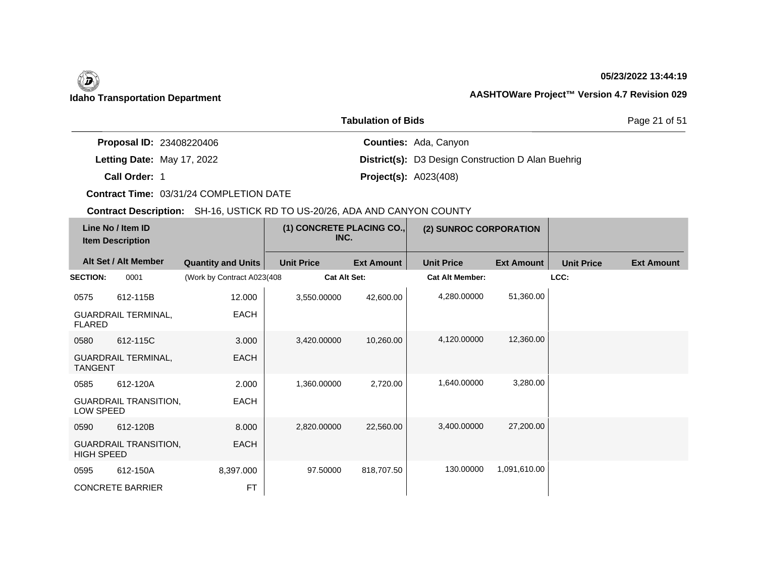**05/23/2022 13:44:19**

|                    | <b>Tabulation of Bids</b>    | Page 21 of 51 |
|--------------------|------------------------------|---------------|
| al ID: 23408220406 | <b>Counties: Ada, Canyon</b> |               |
| _ _ _ _ _ _ _ _ _  | _ _ _ _ _                    |               |

**Propos** 

Letting Date: May 17, 2022

**Call Order:**

**Letting Date:** May 17, 2022 **District(s): D3 Design Construction D Alan Buehrig (in the state of the state of the state of the state of the state of the state of the state of the state of the state of the state of the sta** 1 **Project(s):** A023(408)

**Contract Time:** 03/31/24 COMPLETION DATE

| Line No / Item ID<br><b>Item Description</b> |                              | (1) CONCRETE PLACING CO.,<br>INC. |                     | (2) SUNROC CORPORATION |                        |                   |                   |                   |
|----------------------------------------------|------------------------------|-----------------------------------|---------------------|------------------------|------------------------|-------------------|-------------------|-------------------|
|                                              | Alt Set / Alt Member         | <b>Quantity and Units</b>         | <b>Unit Price</b>   | <b>Ext Amount</b>      | <b>Unit Price</b>      | <b>Ext Amount</b> | <b>Unit Price</b> | <b>Ext Amount</b> |
| <b>SECTION:</b>                              | 0001                         | (Work by Contract A023(408)       | <b>Cat Alt Set:</b> |                        | <b>Cat Alt Member:</b> |                   | LCC:              |                   |
| 0575                                         | 612-115B                     | 12.000                            | 3,550.00000         | 42,600.00              | 4,280.00000            | 51,360.00         |                   |                   |
| <b>FLARED</b>                                | <b>GUARDRAIL TERMINAL,</b>   | EACH                              |                     |                        |                        |                   |                   |                   |
| 0580                                         | 612-115C                     | 3.000                             | 3,420.00000         | 10,260.00              | 4,120.00000            | 12,360.00         |                   |                   |
| <b>TANGENT</b>                               | <b>GUARDRAIL TERMINAL,</b>   | <b>EACH</b>                       |                     |                        |                        |                   |                   |                   |
| 0585                                         | 612-120A                     | 2.000                             | 1,360.00000         | 2,720.00               | 1,640.00000            | 3,280.00          |                   |                   |
| LOW SPEED                                    | <b>GUARDRAIL TRANSITION,</b> | <b>EACH</b>                       |                     |                        |                        |                   |                   |                   |
| 0590                                         | 612-120B                     | 8.000                             | 2,820.00000         | 22,560.00              | 3,400.00000            | 27,200.00         |                   |                   |
| <b>HIGH SPEED</b>                            | <b>GUARDRAIL TRANSITION,</b> | <b>EACH</b>                       |                     |                        |                        |                   |                   |                   |
| 0595                                         | 612-150A                     | 8,397.000                         | 97.50000            | 818,707.50             | 130.00000              | 1,091,610.00      |                   |                   |
|                                              | <b>CONCRETE BARRIER</b>      | <b>FT</b>                         |                     |                        |                        |                   |                   |                   |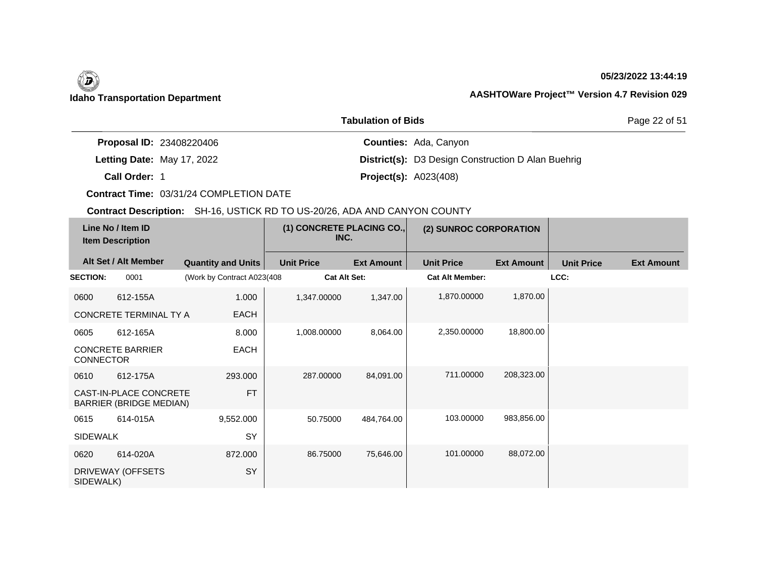## **05/23/2022 13:44:19**

|                                 | Page 22 of 51                                             |  |
|---------------------------------|-----------------------------------------------------------|--|
| <b>Proposal ID: 23408220406</b> | <b>Counties: Ada, Canyon</b>                              |  |
| Letting Date: May 17, 2022      | <b>District(s):</b> D3 Design Construction D Alan Buehrig |  |
| Call Order: 1                   | <b>Project(s): A023(408)</b>                              |  |

**Contract Time:** 03/31/24 COMPLETION DATE

|                  | Line No / Item ID<br><b>Item Description</b>      |                             | (1) CONCRETE PLACING CO.,<br>INC. |                   | (2) SUNROC CORPORATION |                   |                   |                   |
|------------------|---------------------------------------------------|-----------------------------|-----------------------------------|-------------------|------------------------|-------------------|-------------------|-------------------|
|                  | Alt Set / Alt Member                              | <b>Quantity and Units</b>   | <b>Unit Price</b>                 | <b>Ext Amount</b> | <b>Unit Price</b>      | <b>Ext Amount</b> | <b>Unit Price</b> | <b>Ext Amount</b> |
| <b>SECTION:</b>  | 0001                                              | (Work by Contract A023(408) | Cat Alt Set:                      |                   | <b>Cat Alt Member:</b> |                   | LCC:              |                   |
| 0600             | 612-155A                                          | 1.000                       | 1,347.00000                       | 1,347.00          | 1,870.00000            | 1,870.00          |                   |                   |
|                  | CONCRETE TERMINAL TY A                            | <b>EACH</b>                 |                                   |                   |                        |                   |                   |                   |
| 0605             | 612-165A                                          | 8.000                       | 1,008.00000                       | 8,064.00          | 2,350.00000            | 18,800.00         |                   |                   |
| <b>CONNECTOR</b> | <b>CONCRETE BARRIER</b>                           | <b>EACH</b>                 |                                   |                   |                        |                   |                   |                   |
| 0610             | 612-175A                                          | 293.000                     | 287.00000                         | 84,091.00         | 711.00000              | 208,323.00        |                   |                   |
|                  | CAST-IN-PLACE CONCRETE<br>BARRIER (BRIDGE MEDIAN) | <b>FT</b>                   |                                   |                   |                        |                   |                   |                   |
| 0615             | 614-015A                                          | 9,552.000                   | 50.75000                          | 484,764.00        | 103.00000              | 983,856.00        |                   |                   |
| <b>SIDEWALK</b>  |                                                   | SY                          |                                   |                   |                        |                   |                   |                   |
| 0620             | 614-020A                                          | 872.000                     | 86.75000                          | 75,646.00         | 101.00000              | 88,072.00         |                   |                   |
| SIDEWALK)        | DRIVEWAY (OFFSETS                                 | SY                          |                                   |                   |                        |                   |                   |                   |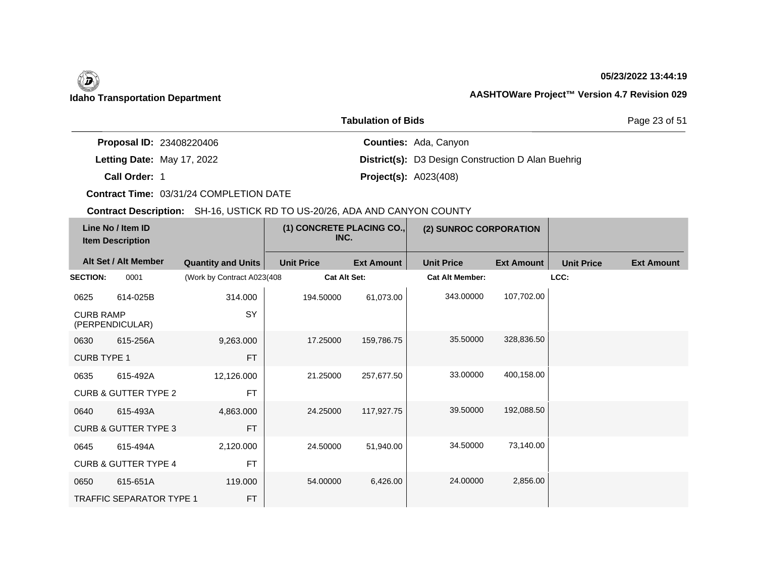## **05/23/2022 13:44:19**

|                                 | <b>Tabulation of Bids</b>                                 | Page 23 of 51 |  |  |
|---------------------------------|-----------------------------------------------------------|---------------|--|--|
| <b>Proposal ID: 23408220406</b> | <b>Counties: Ada, Canyon</b>                              |               |  |  |
| Letting Date: May 17, 2022      | <b>District(s):</b> D3 Design Construction D Alan Buehrig |               |  |  |
| Call Order: 1                   | <b>Project(s): A023(408)</b>                              |               |  |  |

**Contract Time:** 03/31/24 COMPLETION DATE

| Line No / Item ID<br><b>Item Description</b> |                                 | (1) CONCRETE PLACING CO.,<br>INC. |                     | (2) SUNROC CORPORATION |                        |                   |                   |                   |
|----------------------------------------------|---------------------------------|-----------------------------------|---------------------|------------------------|------------------------|-------------------|-------------------|-------------------|
|                                              | Alt Set / Alt Member            | <b>Quantity and Units</b>         | <b>Unit Price</b>   | <b>Ext Amount</b>      | <b>Unit Price</b>      | <b>Ext Amount</b> | <b>Unit Price</b> | <b>Ext Amount</b> |
| <b>SECTION:</b>                              | 0001                            | (Work by Contract A023(408        | <b>Cat Alt Set:</b> |                        | <b>Cat Alt Member:</b> |                   | LCC:              |                   |
| 0625                                         | 614-025B                        | 314.000                           | 194.50000           | 61,073.00              | 343.00000              | 107,702.00        |                   |                   |
| <b>CURB RAMP</b>                             | (PERPENDICULAR)                 | SY                                |                     |                        |                        |                   |                   |                   |
| 0630                                         | 615-256A                        | 9,263.000                         | 17.25000            | 159,786.75             | 35.50000               | 328,836.50        |                   |                   |
| <b>CURB TYPE 1</b>                           |                                 | <b>FT</b>                         |                     |                        |                        |                   |                   |                   |
| 0635                                         | 615-492A                        | 12,126.000                        | 21.25000            | 257,677.50             | 33.00000               | 400,158.00        |                   |                   |
|                                              | <b>CURB &amp; GUTTER TYPE 2</b> | <b>FT</b>                         |                     |                        |                        |                   |                   |                   |
| 0640                                         | 615-493A                        | 4,863.000                         | 24.25000            | 117,927.75             | 39.50000               | 192,088.50        |                   |                   |
|                                              | <b>CURB &amp; GUTTER TYPE 3</b> | <b>FT</b>                         |                     |                        |                        |                   |                   |                   |
| 0645                                         | 615-494A                        | 2,120.000                         | 24.50000            | 51,940.00              | 34.50000               | 73,140.00         |                   |                   |
|                                              | <b>CURB &amp; GUTTER TYPE 4</b> | <b>FT</b>                         |                     |                        |                        |                   |                   |                   |
| 0650                                         | 615-651A                        | 119.000                           | 54.00000            | 6,426.00               | 24.00000               | 2,856.00          |                   |                   |
|                                              | <b>TRAFFIC SEPARATOR TYPE 1</b> | <b>FT</b>                         |                     |                        |                        |                   |                   |                   |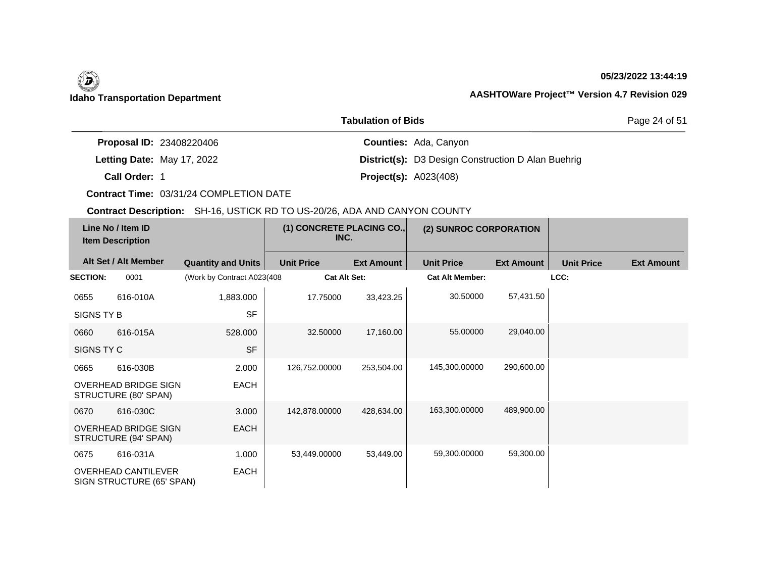# **05/23/2022 13:44:19**

|                                 | <b>Tabulation of Bids</b>                                 | Page 24 of 51 |  |
|---------------------------------|-----------------------------------------------------------|---------------|--|
| <b>Proposal ID: 23408220406</b> | <b>Counties: Ada, Canyon</b>                              |               |  |
| Letting Date: May 17, 2022      | <b>District(s):</b> D3 Design Construction D Alan Buehrig |               |  |
| Call Order: 1                   | <b>Project(s): A023(408)</b>                              |               |  |

**Contract Time:** 03/31/24 COMPLETION DATE

| Line No / Item ID<br><b>Item Description</b> |                                                     | (1) CONCRETE PLACING CO.,<br>INC. |                     | (2) SUNROC CORPORATION |                        |                   |                   |                   |
|----------------------------------------------|-----------------------------------------------------|-----------------------------------|---------------------|------------------------|------------------------|-------------------|-------------------|-------------------|
|                                              | Alt Set / Alt Member                                | <b>Quantity and Units</b>         | <b>Unit Price</b>   | <b>Ext Amount</b>      | <b>Unit Price</b>      | <b>Ext Amount</b> | <b>Unit Price</b> | <b>Ext Amount</b> |
| <b>SECTION:</b>                              | 0001                                                | (Work by Contract A023(408)       | <b>Cat Alt Set:</b> |                        | <b>Cat Alt Member:</b> |                   | LCC:              |                   |
| 0655                                         | 616-010A                                            | 1,883.000                         | 17.75000            | 33,423.25              | 30.50000               | 57,431.50         |                   |                   |
| SIGNS TY B                                   |                                                     | <b>SF</b>                         |                     |                        |                        |                   |                   |                   |
| 0660                                         | 616-015A                                            | 528.000                           | 32.50000            | 17,160.00              | 55.00000               | 29,040.00         |                   |                   |
| SIGNS TY C                                   |                                                     | <b>SF</b>                         |                     |                        |                        |                   |                   |                   |
| 0665                                         | 616-030B                                            | 2.000                             | 126,752.00000       | 253,504.00             | 145,300.00000          | 290,600.00        |                   |                   |
|                                              | <b>OVERHEAD BRIDGE SIGN</b><br>STRUCTURE (80' SPAN) | <b>EACH</b>                       |                     |                        |                        |                   |                   |                   |
| 0670                                         | 616-030C                                            | 3.000                             | 142,878.00000       | 428,634.00             | 163,300.00000          | 489,900.00        |                   |                   |
|                                              | <b>OVERHEAD BRIDGE SIGN</b><br>STRUCTURE (94' SPAN) | <b>EACH</b>                       |                     |                        |                        |                   |                   |                   |
| 0675                                         | 616-031A                                            | 1.000                             | 53,449.00000        | 53,449.00              | 59,300.00000           | 59,300.00         |                   |                   |
|                                              | OVERHEAD CANTILEVER<br>SIGN STRUCTURE (65' SPAN)    | EACH                              |                     |                        |                        |                   |                   |                   |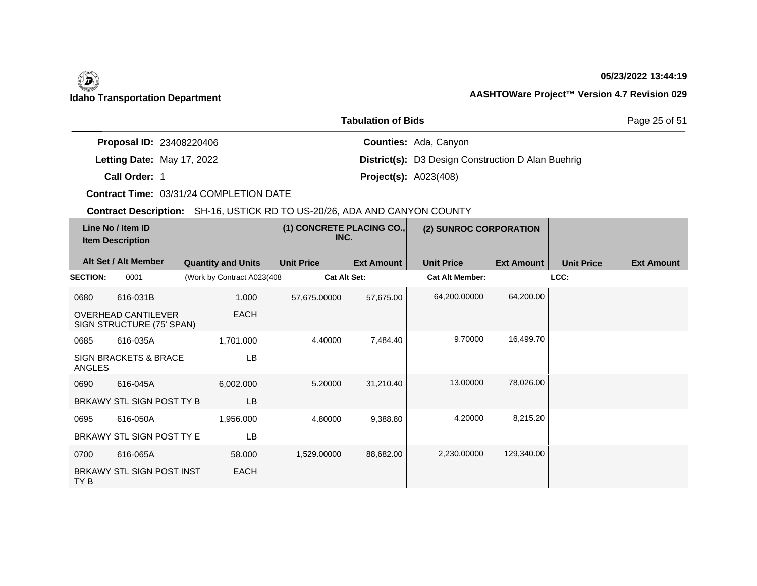## **05/23/2022 13:44:19**

|                                 | <b>Tabulation of Bids</b>                                 | Page 25 of 51 |  |
|---------------------------------|-----------------------------------------------------------|---------------|--|
| <b>Proposal ID: 23408220406</b> | <b>Counties: Ada, Canyon</b>                              |               |  |
| Letting Date: May 17, 2022      | <b>District(s):</b> D3 Design Construction D Alan Buehrig |               |  |
| Call Order: 1                   | <b>Project(s): A023(408)</b>                              |               |  |

**Contract Time:** 03/31/24 COMPLETION DATE

|                 | Line No / Item ID<br><b>Item Description</b>            |                             | (1) CONCRETE PLACING CO.,<br>INC. |                   | (2) SUNROC CORPORATION |                   |                   |                   |
|-----------------|---------------------------------------------------------|-----------------------------|-----------------------------------|-------------------|------------------------|-------------------|-------------------|-------------------|
|                 | Alt Set / Alt Member                                    | <b>Quantity and Units</b>   | <b>Unit Price</b>                 | <b>Ext Amount</b> | <b>Unit Price</b>      | <b>Ext Amount</b> | <b>Unit Price</b> | <b>Ext Amount</b> |
| <b>SECTION:</b> | 0001                                                    | (Work by Contract A023(408) | <b>Cat Alt Set:</b>               |                   | <b>Cat Alt Member:</b> |                   | LCC:              |                   |
| 0680            | 616-031B                                                | 1.000                       | 57,675.00000                      | 57,675.00         | 64,200.00000           | 64,200.00         |                   |                   |
|                 | <b>OVERHEAD CANTILEVER</b><br>SIGN STRUCTURE (75' SPAN) | <b>EACH</b>                 |                                   |                   |                        |                   |                   |                   |
| 0685            | 616-035A                                                | 1,701.000                   | 4.40000                           | 7,484.40          | 9.70000                | 16,499.70         |                   |                   |
| <b>ANGLES</b>   | SIGN BRACKETS & BRACE                                   | LB                          |                                   |                   |                        |                   |                   |                   |
| 0690            | 616-045A                                                | 6,002.000                   | 5.20000                           | 31,210.40         | 13.00000               | 78,026.00         |                   |                   |
|                 | BRKAWY STL SIGN POST TY B                               | <b>LB</b>                   |                                   |                   |                        |                   |                   |                   |
| 0695            | 616-050A                                                | 1,956.000                   | 4.80000                           | 9,388.80          | 4.20000                | 8,215.20          |                   |                   |
|                 | BRKAWY STL SIGN POST TY E                               | <b>LB</b>                   |                                   |                   |                        |                   |                   |                   |
| 0700            | 616-065A                                                | 58.000                      | 1,529.00000                       | 88,682.00         | 2,230.00000            | 129,340.00        |                   |                   |
| TY <sub>B</sub> | BRKAWY STL SIGN POST INST                               | <b>EACH</b>                 |                                   |                   |                        |                   |                   |                   |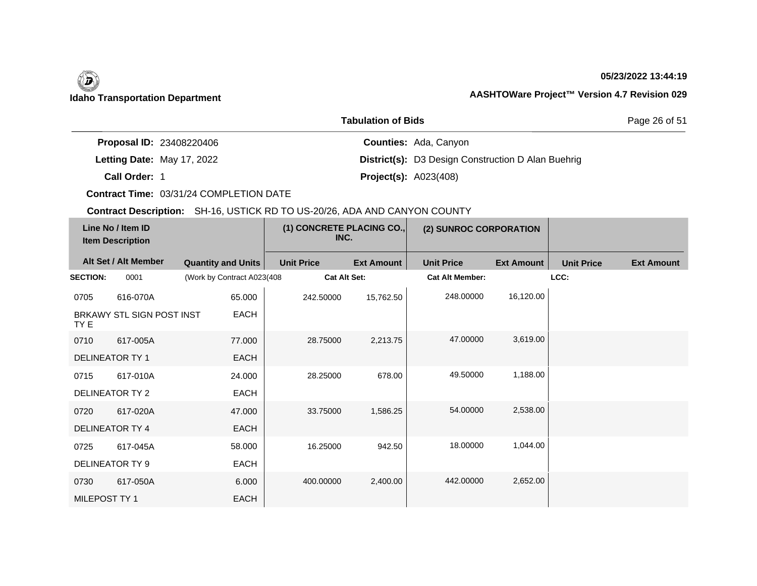# **05/23/2022 13:44:19**

|                                 | <b>Tabulation of Bids</b>                                 | Page 26 of 51 |  |  |
|---------------------------------|-----------------------------------------------------------|---------------|--|--|
| <b>Proposal ID: 23408220406</b> | <b>Counties: Ada, Canyon</b>                              |               |  |  |
| Letting Date: May 17, 2022      | <b>District(s):</b> D3 Design Construction D Alan Buehrig |               |  |  |
| <b>Call Order:</b>              | <b>Project(s): A023(408)</b>                              |               |  |  |

**Contract Time:** 03/31/24 COMPLETION DATE

| Line No / Item ID<br><b>Item Description</b> |                           | (1) CONCRETE PLACING CO.,<br>INC. |                     | (2) SUNROC CORPORATION |                        |                   |                   |                   |
|----------------------------------------------|---------------------------|-----------------------------------|---------------------|------------------------|------------------------|-------------------|-------------------|-------------------|
|                                              | Alt Set / Alt Member      | <b>Quantity and Units</b>         | <b>Unit Price</b>   | <b>Ext Amount</b>      | <b>Unit Price</b>      | <b>Ext Amount</b> | <b>Unit Price</b> | <b>Ext Amount</b> |
| <b>SECTION:</b>                              | 0001                      | (Work by Contract A023(408        | <b>Cat Alt Set:</b> |                        | <b>Cat Alt Member:</b> |                   | LCC:              |                   |
| 0705                                         | 616-070A                  | 65.000                            | 242.50000           | 15,762.50              | 248.00000              | 16,120.00         |                   |                   |
| TY E                                         | BRKAWY STL SIGN POST INST | <b>EACH</b>                       |                     |                        |                        |                   |                   |                   |
| 0710                                         | 617-005A                  | 77.000                            | 28.75000            | 2,213.75               | 47.00000               | 3,619.00          |                   |                   |
| DELINEATOR TY 1                              |                           | <b>EACH</b>                       |                     |                        |                        |                   |                   |                   |
| 0715                                         | 617-010A                  | 24.000                            | 28.25000            | 678.00                 | 49.50000               | 1,188.00          |                   |                   |
|                                              | DELINEATOR TY 2           | EACH                              |                     |                        |                        |                   |                   |                   |
| 0720                                         | 617-020A                  | 47.000                            | 33.75000            | 1,586.25               | 54.00000               | 2,538.00          |                   |                   |
|                                              | <b>DELINEATOR TY 4</b>    | <b>EACH</b>                       |                     |                        |                        |                   |                   |                   |
| 0725                                         | 617-045A                  | 58.000                            | 16.25000            | 942.50                 | 18.00000               | 1,044.00          |                   |                   |
| DELINEATOR TY 9                              |                           | EACH                              |                     |                        |                        |                   |                   |                   |
| 0730                                         | 617-050A                  | 6.000                             | 400.00000           | 2,400.00               | 442.00000              | 2,652.00          |                   |                   |
| MILEPOST TY 1                                |                           | <b>EACH</b>                       |                     |                        |                        |                   |                   |                   |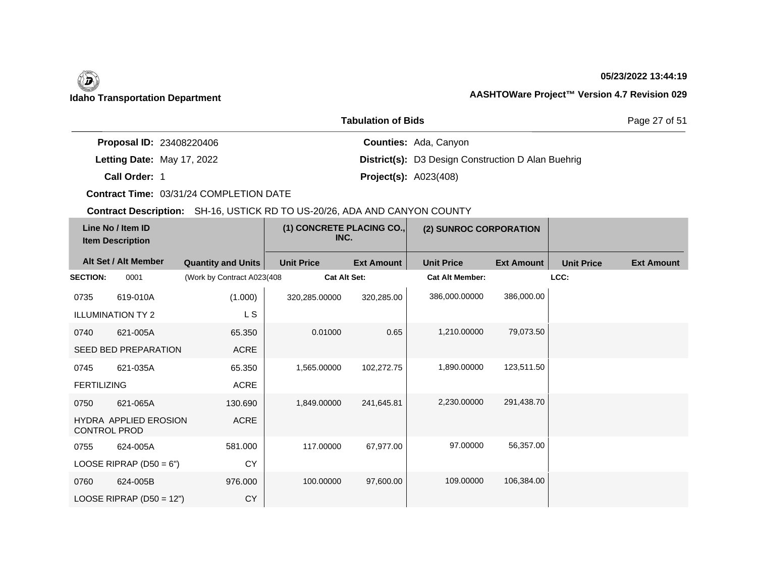## **05/23/2022 13:44:19**

|                                 | <b>Tabulation of Bids</b>                                 | Page 27 of 51 |  |  |
|---------------------------------|-----------------------------------------------------------|---------------|--|--|
| <b>Proposal ID: 23408220406</b> | <b>Counties: Ada, Canyon</b>                              |               |  |  |
| Letting Date: May 17, 2022      | <b>District(s):</b> D3 Design Construction D Alan Buehrig |               |  |  |
| Call Order: 1                   | <b>Project(s): A023(408)</b>                              |               |  |  |

**Contract Time:** 03/31/24 COMPLETION DATE

| Line No / Item ID<br><b>Item Description</b> |                              | (1) CONCRETE PLACING CO.,<br>INC. |                     | (2) SUNROC CORPORATION |                        |                   |                   |                   |
|----------------------------------------------|------------------------------|-----------------------------------|---------------------|------------------------|------------------------|-------------------|-------------------|-------------------|
|                                              | Alt Set / Alt Member         | <b>Quantity and Units</b>         | <b>Unit Price</b>   | <b>Ext Amount</b>      | <b>Unit Price</b>      | <b>Ext Amount</b> | <b>Unit Price</b> | <b>Ext Amount</b> |
| <b>SECTION:</b>                              | 0001                         | (Work by Contract A023(408)       | <b>Cat Alt Set:</b> |                        | <b>Cat Alt Member:</b> |                   | LCC:              |                   |
| 0735                                         | 619-010A                     | (1.000)                           | 320,285.00000       | 320,285.00             | 386,000.00000          | 386,000.00        |                   |                   |
|                                              | <b>ILLUMINATION TY 2</b>     | L S                               |                     |                        |                        |                   |                   |                   |
| 0740                                         | 621-005A                     | 65.350                            | 0.01000             | 0.65                   | 1,210.00000            | 79,073.50         |                   |                   |
|                                              | <b>SEED BED PREPARATION</b>  | <b>ACRE</b>                       |                     |                        |                        |                   |                   |                   |
| 0745                                         | 621-035A                     | 65.350                            | 1,565.00000         | 102,272.75             | 1,890.00000            | 123,511.50        |                   |                   |
| <b>FERTILIZING</b>                           |                              | <b>ACRE</b>                       |                     |                        |                        |                   |                   |                   |
| 0750                                         | 621-065A                     | 130.690                           | 1.849.00000         | 241,645.81             | 2.230.00000            | 291,438.70        |                   |                   |
| <b>CONTROL PROD</b>                          | HYDRA APPLIED EROSION        | ACRE                              |                     |                        |                        |                   |                   |                   |
| 0755                                         | 624-005A                     | 581.000                           | 117.00000           | 67,977.00              | 97.00000               | 56,357.00         |                   |                   |
|                                              | LOOSE RIPRAP $(D50 = 6")$    | <b>CY</b>                         |                     |                        |                        |                   |                   |                   |
| 0760                                         | 624-005B                     | 976.000                           | 100.00000           | 97,600.00              | 109.00000              | 106,384.00        |                   |                   |
|                                              | LOOSE RIPRAP ( $D50 = 12"$ ) | <b>CY</b>                         |                     |                        |                        |                   |                   |                   |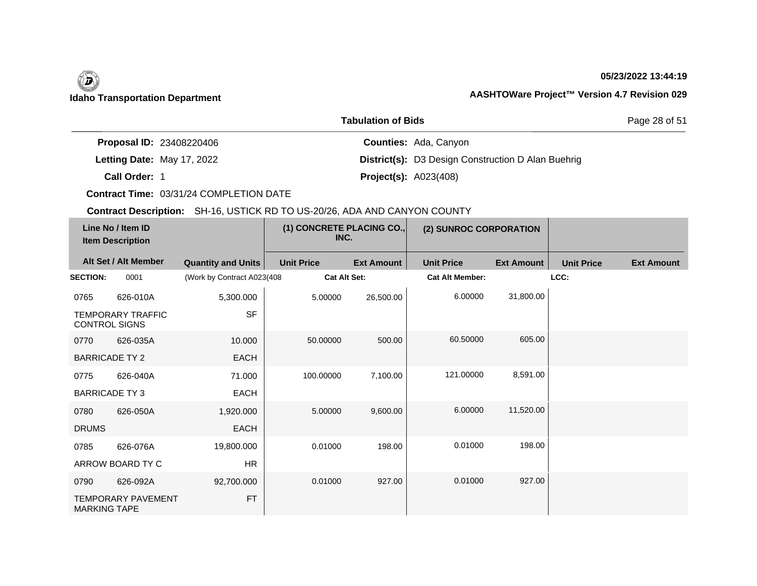## **05/23/2022 13:44:19**

|                                 | <b>Tabulation of Bids</b>                                 | Page 28 of 51 |  |
|---------------------------------|-----------------------------------------------------------|---------------|--|
| <b>Proposal ID: 23408220406</b> | <b>Counties: Ada, Canyon</b>                              |               |  |
| Letting Date: May 17, 2022      | <b>District(s):</b> D3 Design Construction D Alan Buehrig |               |  |
| Call Order: 1                   | <b>Project(s): A023(408)</b>                              |               |  |

**Contract Time:** 03/31/24 COMPLETION DATE

| Line No / Item ID<br><b>Item Description</b> |                           | (1) CONCRETE PLACING CO.,<br>INC. |                     | (2) SUNROC CORPORATION |                        |                   |                   |                   |
|----------------------------------------------|---------------------------|-----------------------------------|---------------------|------------------------|------------------------|-------------------|-------------------|-------------------|
|                                              | Alt Set / Alt Member      | <b>Quantity and Units</b>         | <b>Unit Price</b>   | <b>Ext Amount</b>      | <b>Unit Price</b>      | <b>Ext Amount</b> | <b>Unit Price</b> | <b>Ext Amount</b> |
| <b>SECTION:</b>                              | 0001                      | (Work by Contract A023(408)       | <b>Cat Alt Set:</b> |                        | <b>Cat Alt Member:</b> |                   | LCC:              |                   |
| 0765                                         | 626-010A                  | 5,300.000                         | 5.00000             | 26,500.00              | 6.00000                | 31,800.00         |                   |                   |
| <b>CONTROL SIGNS</b>                         | <b>TEMPORARY TRAFFIC</b>  | <b>SF</b>                         |                     |                        |                        |                   |                   |                   |
| 0770                                         | 626-035A                  | 10.000                            | 50.00000            | 500.00                 | 60.50000               | 605.00            |                   |                   |
| <b>BARRICADE TY 2</b>                        |                           | <b>EACH</b>                       |                     |                        |                        |                   |                   |                   |
| 0775                                         | 626-040A                  | 71.000                            | 100.00000           | 7,100.00               | 121.00000              | 8,591.00          |                   |                   |
| <b>BARRICADE TY 3</b>                        |                           | EACH                              |                     |                        |                        |                   |                   |                   |
| 0780                                         | 626-050A                  | 1,920.000                         | 5.00000             | 9,600.00               | 6.00000                | 11,520.00         |                   |                   |
| <b>DRUMS</b>                                 |                           | <b>EACH</b>                       |                     |                        |                        |                   |                   |                   |
| 0785                                         | 626-076A                  | 19,800.000                        | 0.01000             | 198.00                 | 0.01000                | 198.00            |                   |                   |
|                                              | ARROW BOARD TY C          | <b>HR</b>                         |                     |                        |                        |                   |                   |                   |
| 0790                                         | 626-092A                  | 92,700.000                        | 0.01000             | 927.00                 | 0.01000                | 927.00            |                   |                   |
| <b>MARKING TAPE</b>                          | <b>TEMPORARY PAVEMENT</b> | <b>FT</b>                         |                     |                        |                        |                   |                   |                   |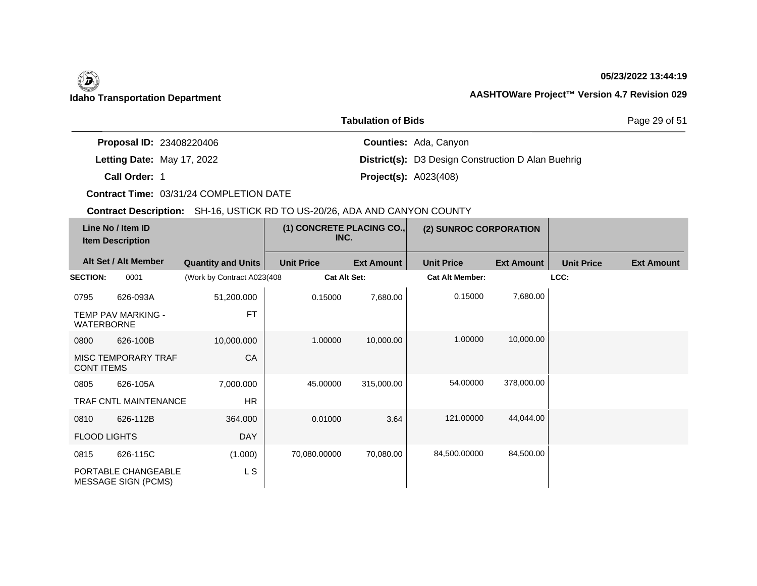## **05/23/2022 13:44:19**

|                                 | <b>Tabulation of Bids</b>                                 | Page 29 of 51 |  |
|---------------------------------|-----------------------------------------------------------|---------------|--|
| <b>Proposal ID: 23408220406</b> | <b>Counties: Ada, Canyon</b>                              |               |  |
| Letting Date: May 17, 2022      | <b>District(s):</b> D3 Design Construction D Alan Buehrig |               |  |
| <b>Call Order:</b>              | <b>Project(s): A023(408)</b>                              |               |  |

**Contract Time:** 03/31/24 COMPLETION DATE

| Line No / Item ID<br><b>Item Description</b> |                                                   | (1) CONCRETE PLACING CO.,<br>INC. |                     | (2) SUNROC CORPORATION |                        |                   |                   |                   |
|----------------------------------------------|---------------------------------------------------|-----------------------------------|---------------------|------------------------|------------------------|-------------------|-------------------|-------------------|
|                                              | Alt Set / Alt Member                              | <b>Quantity and Units</b>         | <b>Unit Price</b>   | <b>Ext Amount</b>      | <b>Unit Price</b>      | <b>Ext Amount</b> | <b>Unit Price</b> | <b>Ext Amount</b> |
| <b>SECTION:</b>                              | 0001                                              | (Work by Contract A023(408        | <b>Cat Alt Set:</b> |                        | <b>Cat Alt Member:</b> |                   | LCC:              |                   |
| 0795                                         | 626-093A                                          | 51,200.000                        | 0.15000             | 7,680.00               | 0.15000                | 7,680.00          |                   |                   |
| <b>WATERBORNE</b>                            | <b>TEMP PAV MARKING -</b>                         | <b>FT</b>                         |                     |                        |                        |                   |                   |                   |
| 0800                                         | 626-100B                                          | 10,000.000                        | 1.00000             | 10,000.00              | 1.00000                | 10,000.00         |                   |                   |
| <b>CONT ITEMS</b>                            | <b>MISC TEMPORARY TRAF</b>                        | CA                                |                     |                        |                        |                   |                   |                   |
| 0805                                         | 626-105A                                          | 7,000.000                         | 45.00000            | 315,000.00             | 54.00000               | 378,000.00        |                   |                   |
|                                              | TRAF CNTL MAINTENANCE                             | <b>HR</b>                         |                     |                        |                        |                   |                   |                   |
| 0810                                         | 626-112B                                          | 364.000                           | 0.01000             | 3.64                   | 121.00000              | 44,044.00         |                   |                   |
| <b>FLOOD LIGHTS</b>                          |                                                   | <b>DAY</b>                        |                     |                        |                        |                   |                   |                   |
| 0815                                         | 626-115C                                          | (1.000)                           | 70,080.00000        | 70,080.00              | 84,500.00000           | 84,500.00         |                   |                   |
|                                              | PORTABLE CHANGEABLE<br><b>MESSAGE SIGN (PCMS)</b> | L S                               |                     |                        |                        |                   |                   |                   |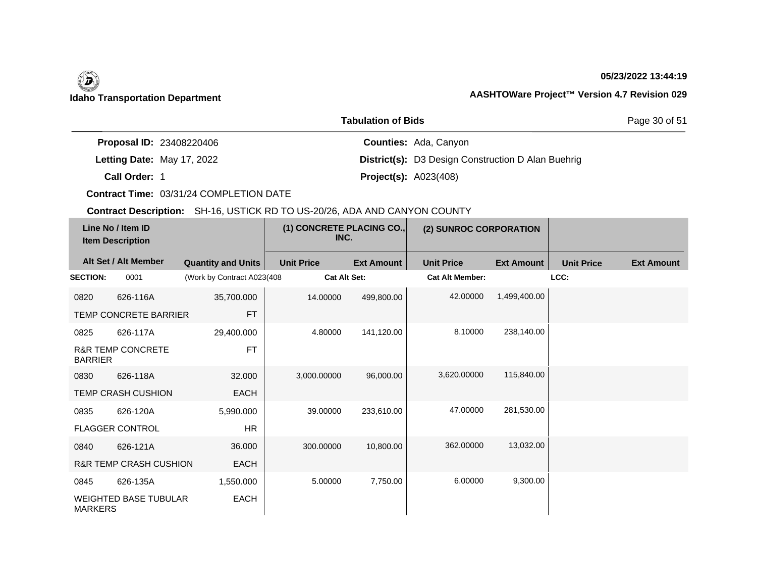## **05/23/2022 13:44:19**

|                                 | <b>Tabulation of Bids</b>                                 | Page 30 of 51 |  |
|---------------------------------|-----------------------------------------------------------|---------------|--|
| <b>Proposal ID: 23408220406</b> | <b>Counties: Ada, Canyon</b>                              |               |  |
| Letting Date: May 17, 2022      | <b>District(s):</b> D3 Design Construction D Alan Buehrig |               |  |
| Call Order: 1                   | <b>Project(s): A023(408)</b>                              |               |  |

**Contract Time:** 03/31/24 COMPLETION DATE

| Line No / Item ID<br><b>Item Description</b> |                                   | (1) CONCRETE PLACING CO.,<br>INC. |                     | (2) SUNROC CORPORATION |                        |                   |                   |                   |
|----------------------------------------------|-----------------------------------|-----------------------------------|---------------------|------------------------|------------------------|-------------------|-------------------|-------------------|
|                                              | Alt Set / Alt Member              | <b>Quantity and Units</b>         | <b>Unit Price</b>   | <b>Ext Amount</b>      | <b>Unit Price</b>      | <b>Ext Amount</b> | <b>Unit Price</b> | <b>Ext Amount</b> |
| <b>SECTION:</b>                              | 0001                              | (Work by Contract A023(408        | <b>Cat Alt Set:</b> |                        | <b>Cat Alt Member:</b> |                   | LCC:              |                   |
| 0820                                         | 626-116A                          | 35,700.000                        | 14.00000            | 499,800.00             | 42.00000               | 1,499,400.00      |                   |                   |
|                                              | TEMP CONCRETE BARRIER             | <b>FT</b>                         |                     |                        |                        |                   |                   |                   |
| 0825                                         | 626-117A                          | 29,400.000                        | 4.80000             | 141,120.00             | 8.10000                | 238,140.00        |                   |                   |
| <b>BARRIER</b>                               | <b>R&amp;R TEMP CONCRETE</b>      | <b>FT</b>                         |                     |                        |                        |                   |                   |                   |
| 0830                                         | 626-118A                          | 32,000                            | 3,000.00000         | 96,000.00              | 3,620.00000            | 115,840.00        |                   |                   |
|                                              | <b>TEMP CRASH CUSHION</b>         | <b>EACH</b>                       |                     |                        |                        |                   |                   |                   |
| 0835                                         | 626-120A                          | 5,990.000                         | 39.00000            | 233,610.00             | 47.00000               | 281,530.00        |                   |                   |
|                                              | <b>FLAGGER CONTROL</b>            | <b>HR</b>                         |                     |                        |                        |                   |                   |                   |
| 0840                                         | 626-121A                          | 36.000                            | 300.00000           | 10,800.00              | 362.00000              | 13,032.00         |                   |                   |
|                                              | <b>R&amp;R TEMP CRASH CUSHION</b> | EACH                              |                     |                        |                        |                   |                   |                   |
| 0845                                         | 626-135A                          | 1,550.000                         | 5.00000             | 7,750.00               | 6.00000                | 9,300.00          |                   |                   |
| <b>MARKERS</b>                               | <b>WEIGHTED BASE TUBULAR</b>      | <b>EACH</b>                       |                     |                        |                        |                   |                   |                   |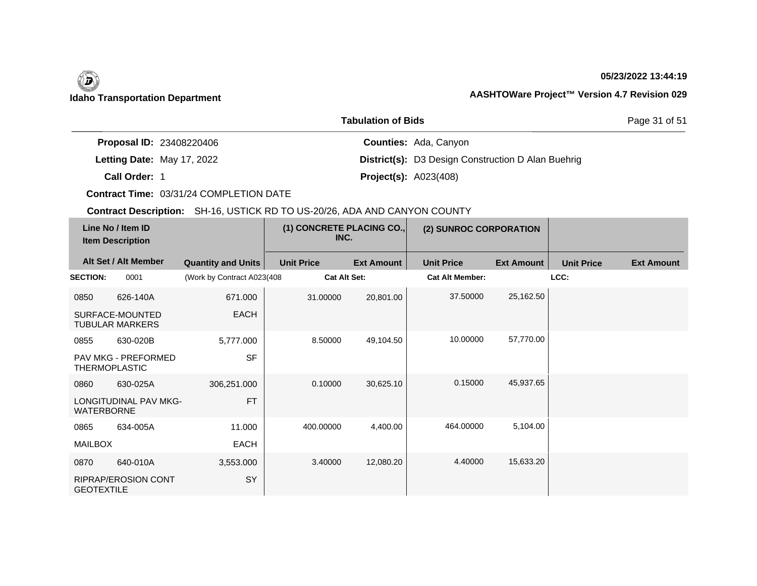**05/23/2022 13:44:19**

|                                 | <b>Tabulation of Bids</b>                                 | Page 31 of 51 |
|---------------------------------|-----------------------------------------------------------|---------------|
| <b>Proposal ID: 23408220406</b> | <b>Counties: Ada, Canyon</b>                              |               |
| Letting Date: May 17, 2022      | <b>District(s):</b> D3 Design Construction D Alan Buehrig |               |

**Call Order:**

1 **Project(s):** A023(408)

**Contract Time:** 03/31/24 COMPLETION DATE

| Line No / Item ID<br><b>Item Description</b> |                                           | (1) CONCRETE PLACING CO.,<br>INC. |                     | (2) SUNROC CORPORATION |                        |                   |                   |                   |
|----------------------------------------------|-------------------------------------------|-----------------------------------|---------------------|------------------------|------------------------|-------------------|-------------------|-------------------|
|                                              | Alt Set / Alt Member                      | <b>Quantity and Units</b>         | <b>Unit Price</b>   | <b>Ext Amount</b>      | <b>Unit Price</b>      | <b>Ext Amount</b> | <b>Unit Price</b> | <b>Ext Amount</b> |
| <b>SECTION:</b>                              | 0001                                      | (Work by Contract A023(408)       | <b>Cat Alt Set:</b> |                        | <b>Cat Alt Member:</b> |                   | LCC:              |                   |
| 0850                                         | 626-140A                                  | 671.000                           | 31.00000            | 20,801.00              | 37.50000               | 25,162.50         |                   |                   |
|                                              | SURFACE-MOUNTED<br><b>TUBULAR MARKERS</b> | <b>EACH</b>                       |                     |                        |                        |                   |                   |                   |
| 0855                                         | 630-020B                                  | 5,777.000                         | 8.50000             | 49,104.50              | 10.00000               | 57,770.00         |                   |                   |
| <b>THERMOPLASTIC</b>                         | <b>PAV MKG - PREFORMED</b>                | <b>SF</b>                         |                     |                        |                        |                   |                   |                   |
| 0860                                         | 630-025A                                  | 306,251.000                       | 0.10000             | 30,625.10              | 0.15000                | 45,937.65         |                   |                   |
| <b>WATERBORNE</b>                            | <b>LONGITUDINAL PAV MKG-</b>              | <b>FT</b>                         |                     |                        |                        |                   |                   |                   |
| 0865                                         | 634-005A                                  | 11.000                            | 400.00000           | 4,400.00               | 464.00000              | 5,104.00          |                   |                   |
| <b>MAILBOX</b>                               |                                           | <b>EACH</b>                       |                     |                        |                        |                   |                   |                   |
| 0870                                         | 640-010A                                  | 3,553.000                         | 3.40000             | 12,080.20              | 4.40000                | 15,633.20         |                   |                   |
| <b>GEOTEXTILE</b>                            | <b>RIPRAP/EROSION CONT</b>                | SY                                |                     |                        |                        |                   |                   |                   |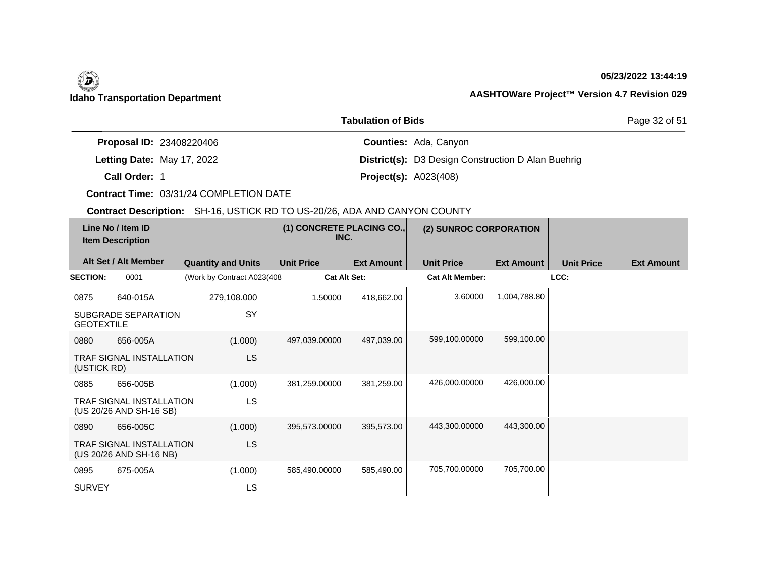# (D)

# **05/23/2022 13:44:19**

## **Idaho Transportation Department AASHTOWare Project™ Version 4.7 Revision 029**

|                                 | <b>Tabulation of Bids</b>                                 | Page 32 of 51 |  |
|---------------------------------|-----------------------------------------------------------|---------------|--|
| <b>Proposal ID: 23408220406</b> | <b>Counties: Ada, Canyon</b>                              |               |  |
| Letting Date: May 17, 2022      | <b>District(s):</b> D3 Design Construction D Alan Buehrig |               |  |
| Call Order: 1                   | <b>Project(s): A023(408)</b>                              |               |  |

**Contract Time:** 03/31/24 COMPLETION DATE

| Line No / Item ID<br><b>Item Description</b> |                                                            | (1) CONCRETE PLACING CO.,<br>INC. |                     | (2) SUNROC CORPORATION |                        |                   |                   |                   |
|----------------------------------------------|------------------------------------------------------------|-----------------------------------|---------------------|------------------------|------------------------|-------------------|-------------------|-------------------|
|                                              | Alt Set / Alt Member                                       | <b>Quantity and Units</b>         | <b>Unit Price</b>   | <b>Ext Amount</b>      | <b>Unit Price</b>      | <b>Ext Amount</b> | <b>Unit Price</b> | <b>Ext Amount</b> |
| <b>SECTION:</b>                              | 0001                                                       | (Work by Contract A023(408        | <b>Cat Alt Set:</b> |                        | <b>Cat Alt Member:</b> |                   | LCC:              |                   |
| 0875                                         | 640-015A                                                   | 279,108.000                       | 1.50000             | 418,662.00             | 3.60000                | 1,004,788.80      |                   |                   |
| <b>GEOTEXTILE</b>                            | SUBGRADE SEPARATION                                        | SY                                |                     |                        |                        |                   |                   |                   |
| 0880                                         | 656-005A                                                   | (1.000)                           | 497.039.00000       | 497,039.00             | 599,100.00000          | 599,100.00        |                   |                   |
| (USTICK RD)                                  | TRAF SIGNAL INSTALLATION                                   | <b>LS</b>                         |                     |                        |                        |                   |                   |                   |
| 0885                                         | 656-005B                                                   | (1.000)                           | 381,259.00000       | 381,259.00             | 426,000.00000          | 426,000.00        |                   |                   |
|                                              | <b>TRAF SIGNAL INSTALLATION</b><br>(US 20/26 AND SH-16 SB) | <b>LS</b>                         |                     |                        |                        |                   |                   |                   |
| 0890                                         | 656-005C                                                   | (1.000)                           | 395,573.00000       | 395,573.00             | 443,300.00000          | 443,300.00        |                   |                   |
|                                              | <b>TRAF SIGNAL INSTALLATION</b><br>(US 20/26 AND SH-16 NB) | <b>LS</b>                         |                     |                        |                        |                   |                   |                   |
| 0895                                         | 675-005A                                                   | (1.000)                           | 585,490.00000       | 585,490.00             | 705,700.00000          | 705,700.00        |                   |                   |
| <b>SURVEY</b>                                |                                                            | LS                                |                     |                        |                        |                   |                   |                   |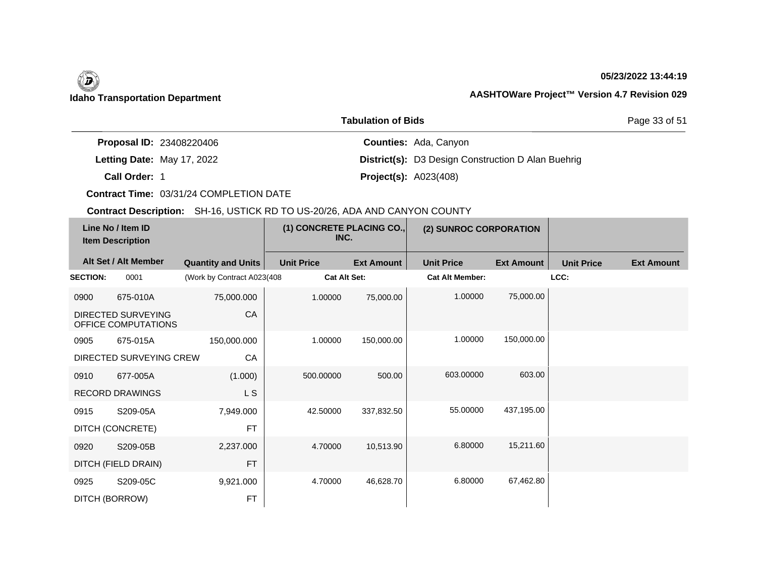## **05/23/2022 13:44:19**

|                                 | <b>Tabulation of Bids</b>                                 | Page 33 of 51 |
|---------------------------------|-----------------------------------------------------------|---------------|
| <b>Proposal ID: 23408220406</b> | <b>Counties: Ada, Canyon</b>                              |               |
| Letting Date: May 17, 2022      | <b>District(s):</b> D3 Design Construction D Alan Buehrig |               |
| Call Order: 1                   | <b>Project(s): A023(408)</b>                              |               |

**Contract Time:** 03/31/24 COMPLETION DATE

|                 | Line No / Item ID<br><b>Item Description</b>     |                            | (1) CONCRETE PLACING CO.,<br>INC. |                   | (2) SUNROC CORPORATION |                   |                   |                   |
|-----------------|--------------------------------------------------|----------------------------|-----------------------------------|-------------------|------------------------|-------------------|-------------------|-------------------|
|                 | Alt Set / Alt Member                             | <b>Quantity and Units</b>  | <b>Unit Price</b>                 | <b>Ext Amount</b> | <b>Unit Price</b>      | <b>Ext Amount</b> | <b>Unit Price</b> | <b>Ext Amount</b> |
| <b>SECTION:</b> | 0001                                             | (Work by Contract A023(408 | <b>Cat Alt Set:</b>               |                   | <b>Cat Alt Member:</b> |                   | LCC:              |                   |
| 0900            | 675-010A                                         | 75,000.000                 | 1.00000                           | 75,000.00         | 1.00000                | 75,000.00         |                   |                   |
|                 | <b>DIRECTED SURVEYING</b><br>OFFICE COMPUTATIONS | CA                         |                                   |                   |                        |                   |                   |                   |
| 0905            | 675-015A                                         | 150,000.000                | 1.00000                           | 150,000.00        | 1.00000                | 150,000.00        |                   |                   |
|                 | DIRECTED SURVEYING CREW                          | CA                         |                                   |                   |                        |                   |                   |                   |
| 0910            | 677-005A                                         | (1.000)                    | 500.00000                         | 500.00            | 603.00000              | 603.00            |                   |                   |
|                 | <b>RECORD DRAWINGS</b>                           | L S                        |                                   |                   |                        |                   |                   |                   |
| 0915            | S209-05A                                         | 7,949.000                  | 42.50000                          | 337,832.50        | 55.00000               | 437,195.00        |                   |                   |
|                 | DITCH (CONCRETE)                                 | <b>FT</b>                  |                                   |                   |                        |                   |                   |                   |
| 0920            | S209-05B                                         | 2,237.000                  | 4.70000                           | 10,513.90         | 6.80000                | 15,211.60         |                   |                   |
|                 | DITCH (FIELD DRAIN)                              | <b>FT</b>                  |                                   |                   |                        |                   |                   |                   |
| 0925            | S209-05C                                         | 9,921.000                  | 4.70000                           | 46,628.70         | 6.80000                | 67,462.80         |                   |                   |
|                 | DITCH (BORROW)                                   | <b>FT</b>                  |                                   |                   |                        |                   |                   |                   |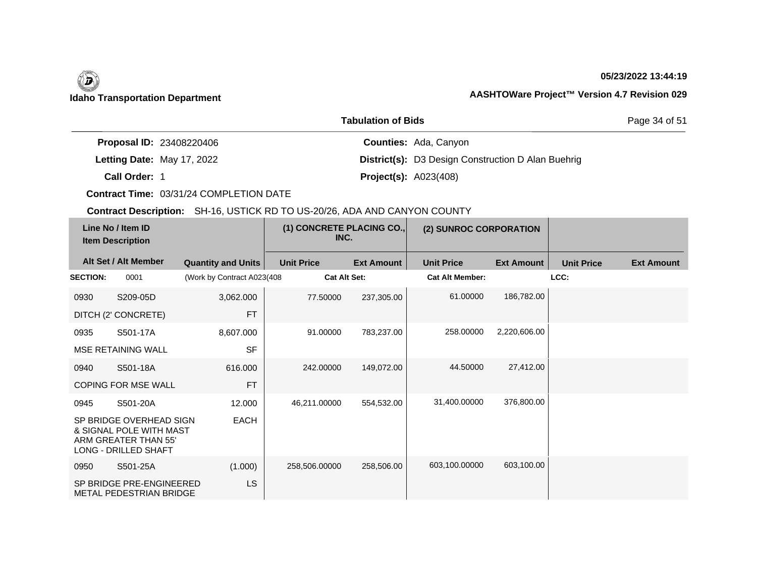# **05/23/2022 13:44:19**

|                                 | <b>Tabulation of Bids</b>                                 | Page 34 of 51 |
|---------------------------------|-----------------------------------------------------------|---------------|
| <b>Proposal ID: 23408220406</b> | <b>Counties: Ada, Canyon</b>                              |               |
| Letting Date: May 17, 2022      | <b>District(s):</b> D3 Design Construction D Alan Buehrig |               |
| Call Order: 1                   | <b>Project(s):</b> $A023(408)$                            |               |

**Contract Time:** 03/31/24 COMPLETION DATE

| Line No / Item ID<br><b>Item Description</b> |                                                                                                    | (1) CONCRETE PLACING CO.,<br>INC. |                     | (2) SUNROC CORPORATION |                        |                   |                   |                   |
|----------------------------------------------|----------------------------------------------------------------------------------------------------|-----------------------------------|---------------------|------------------------|------------------------|-------------------|-------------------|-------------------|
|                                              | Alt Set / Alt Member                                                                               | <b>Quantity and Units</b>         | <b>Unit Price</b>   | <b>Ext Amount</b>      | <b>Unit Price</b>      | <b>Ext Amount</b> | <b>Unit Price</b> | <b>Ext Amount</b> |
| <b>SECTION:</b>                              | 0001                                                                                               | (Work by Contract A023(408        | <b>Cat Alt Set:</b> |                        | <b>Cat Alt Member:</b> |                   | LCC:              |                   |
| 0930                                         | S209-05D                                                                                           | 3,062.000                         | 77.50000            | 237,305.00             | 61.00000               | 186,782.00        |                   |                   |
|                                              | DITCH (2' CONCRETE)                                                                                | <b>FT</b>                         |                     |                        |                        |                   |                   |                   |
| 0935                                         | S501-17A                                                                                           | 8,607.000                         | 91.00000            | 783,237.00             | 258.00000              | 2,220,606.00      |                   |                   |
|                                              | MSE RETAINING WALL                                                                                 | <b>SF</b>                         |                     |                        |                        |                   |                   |                   |
| 0940                                         | S501-18A                                                                                           | 616.000                           | 242,00000           | 149,072.00             | 44.50000               | 27,412.00         |                   |                   |
|                                              | <b>COPING FOR MSE WALL</b>                                                                         | <b>FT</b>                         |                     |                        |                        |                   |                   |                   |
| 0945                                         | S501-20A                                                                                           | 12.000                            | 46,211.00000        | 554,532.00             | 31,400.00000           | 376,800.00        |                   |                   |
|                                              | SP BRIDGE OVERHEAD SIGN<br>& SIGNAL POLE WITH MAST<br>ARM GREATER THAN 55'<br>LONG - DRILLED SHAFT | <b>EACH</b>                       |                     |                        |                        |                   |                   |                   |
| 0950                                         | S501-25A                                                                                           | (1.000)                           | 258,506.00000       | 258,506.00             | 603,100.00000          | 603,100.00        |                   |                   |
|                                              | SP BRIDGE PRE-ENGINEERED<br><b>METAL PEDESTRIAN BRIDGE</b>                                         | <b>LS</b>                         |                     |                        |                        |                   |                   |                   |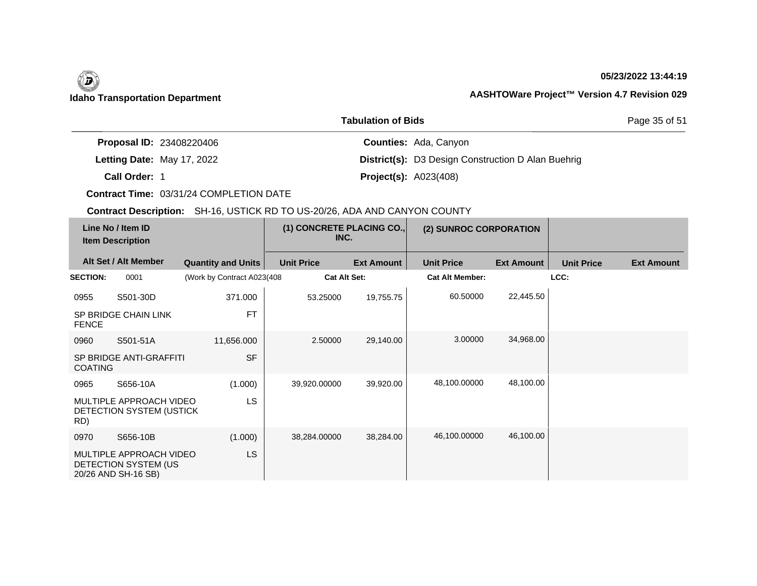# **05/23/2022 13:44:19**

|                                 | Page 35 of 51                                             |  |
|---------------------------------|-----------------------------------------------------------|--|
| <b>Proposal ID: 23408220406</b> | <b>Counties: Ada, Canyon</b>                              |  |
| Letting Date: May 17, 2022      | <b>District(s):</b> D3 Design Construction D Alan Buehrig |  |
| Call Order: 1                   | <b>Project(s): A023(408)</b>                              |  |

**Contract Time:** 03/31/24 COMPLETION DATE

|                 | Line No / Item ID<br><b>Item Description</b>                           |                            | (1) CONCRETE PLACING CO.,<br>INC. |                   | (2) SUNROC CORPORATION |                   |                   |                   |
|-----------------|------------------------------------------------------------------------|----------------------------|-----------------------------------|-------------------|------------------------|-------------------|-------------------|-------------------|
|                 | Alt Set / Alt Member                                                   | <b>Quantity and Units</b>  | <b>Unit Price</b>                 | <b>Ext Amount</b> | <b>Unit Price</b>      | <b>Ext Amount</b> | <b>Unit Price</b> | <b>Ext Amount</b> |
| <b>SECTION:</b> | 0001                                                                   | (Work by Contract A023(408 | <b>Cat Alt Set:</b>               |                   | <b>Cat Alt Member:</b> |                   | LCC:              |                   |
| 0955            | S501-30D                                                               | 371.000                    | 53.25000                          | 19,755.75         | 60.50000               | 22,445.50         |                   |                   |
| <b>FENCE</b>    | SP BRIDGE CHAIN LINK                                                   | <b>FT</b>                  |                                   |                   |                        |                   |                   |                   |
| 0960            | S501-51A                                                               | 11,656.000                 | 2.50000                           | 29,140.00         | 3.00000                | 34,968.00         |                   |                   |
| <b>COATING</b>  | SP BRIDGE ANTI-GRAFFITI                                                | <b>SF</b>                  |                                   |                   |                        |                   |                   |                   |
| 0965            | S656-10A                                                               | (1.000)                    | 39,920.00000                      | 39,920.00         | 48,100.00000           | 48,100.00         |                   |                   |
| RD)             | MULTIPLE APPROACH VIDEO<br>DETECTION SYSTEM (USTICK                    | LS                         |                                   |                   |                        |                   |                   |                   |
| 0970            | S656-10B                                                               | (1.000)                    | 38,284.00000                      | 38,284.00         | 46,100.00000           | 46,100.00         |                   |                   |
|                 | MULTIPLE APPROACH VIDEO<br>DETECTION SYSTEM (US<br>20/26 AND SH-16 SB) | LS                         |                                   |                   |                        |                   |                   |                   |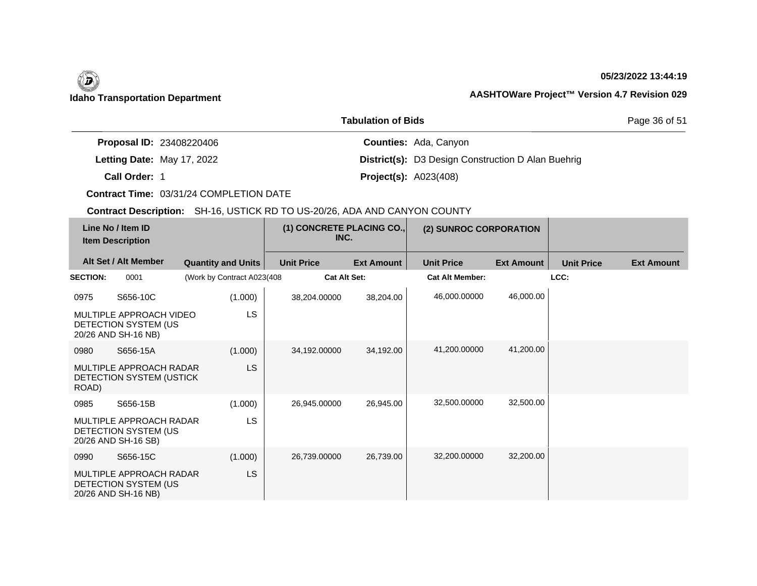## (D) **Idaho Transportation Department**

**05/23/2022 13:44:19**

|                                 | <b>Tabulation of Bids</b>                                 | Page 36 of 51 |  |
|---------------------------------|-----------------------------------------------------------|---------------|--|
| <b>Proposal ID: 23408220406</b> | <b>Counties: Ada, Canyon</b>                              |               |  |
| Letting Date: May 17, 2022      | <b>District(s):</b> D3 Design Construction D Alan Buehrig |               |  |
| <b>Call Order:</b>              | <b>Project(s): A023(408)</b>                              |               |  |

**Contract Time:** 03/31/24 COMPLETION DATE

| Line No / Item ID<br><b>Item Description</b> |                                                                        | (1) CONCRETE PLACING CO.,<br>INC. |                     | (2) SUNROC CORPORATION |                        |                   |                   |                   |
|----------------------------------------------|------------------------------------------------------------------------|-----------------------------------|---------------------|------------------------|------------------------|-------------------|-------------------|-------------------|
|                                              | Alt Set / Alt Member                                                   | <b>Quantity and Units</b>         | <b>Unit Price</b>   | <b>Ext Amount</b>      | <b>Unit Price</b>      | <b>Ext Amount</b> | <b>Unit Price</b> | <b>Ext Amount</b> |
| <b>SECTION:</b>                              | 0001                                                                   | (Work by Contract A023(408        | <b>Cat Alt Set:</b> |                        | <b>Cat Alt Member:</b> |                   | LCC:              |                   |
| 0975                                         | S656-10C                                                               | (1.000)                           | 38,204.00000        | 38,204.00              | 46,000.00000           | 46,000.00         |                   |                   |
|                                              | MULTIPLE APPROACH VIDEO<br>DETECTION SYSTEM (US<br>20/26 AND SH-16 NB) | <b>LS</b>                         |                     |                        |                        |                   |                   |                   |
| 0980                                         | S656-15A                                                               | (1.000)                           | 34,192.00000        | 34,192.00              | 41,200.00000           | 41,200.00         |                   |                   |
| ROAD)                                        | MULTIPLE APPROACH RADAR<br>DETECTION SYSTEM (USTICK                    | <b>LS</b>                         |                     |                        |                        |                   |                   |                   |
| 0985                                         | S656-15B                                                               | (1.000)                           | 26,945.00000        | 26,945.00              | 32,500.00000           | 32,500.00         |                   |                   |
|                                              | MULTIPLE APPROACH RADAR<br>DETECTION SYSTEM (US<br>20/26 AND SH-16 SB) | <b>LS</b>                         |                     |                        |                        |                   |                   |                   |
| 0990                                         | S656-15C                                                               | (1.000)                           | 26,739.00000        | 26,739.00              | 32,200.00000           | 32,200.00         |                   |                   |
|                                              | MULTIPLE APPROACH RADAR<br>DETECTION SYSTEM (US<br>20/26 AND SH-16 NB) | LS                                |                     |                        |                        |                   |                   |                   |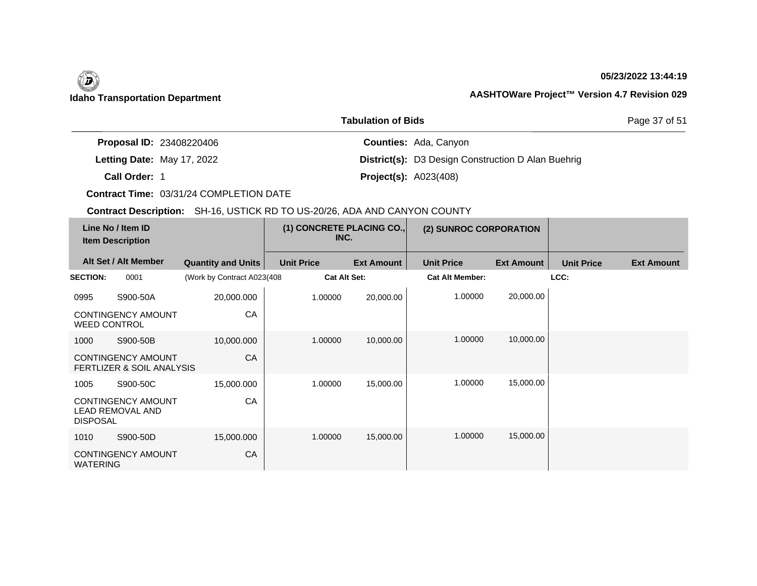## **05/23/2022 13:44:19**

|                                 | Page 37 of 51                                             |  |
|---------------------------------|-----------------------------------------------------------|--|
| <b>Proposal ID: 23408220406</b> | <b>Counties: Ada, Canyon</b>                              |  |
| Letting Date: May 17, 2022      | <b>District(s):</b> D3 Design Construction D Alan Buehrig |  |
| <b>Call Order:</b>              | <b>Project(s): A023(408)</b>                              |  |

**Contract Time:** 03/31/24 COMPLETION DATE

| Line No / Item ID<br><b>Item Description</b> |                                                                   | (1) CONCRETE PLACING CO.,<br>INC. |                     | (2) SUNROC CORPORATION |                        |                   |                   |                   |
|----------------------------------------------|-------------------------------------------------------------------|-----------------------------------|---------------------|------------------------|------------------------|-------------------|-------------------|-------------------|
|                                              | Alt Set / Alt Member                                              | <b>Quantity and Units</b>         | <b>Unit Price</b>   | <b>Ext Amount</b>      | <b>Unit Price</b>      | <b>Ext Amount</b> | <b>Unit Price</b> | <b>Ext Amount</b> |
| <b>SECTION:</b>                              | 0001                                                              | (Work by Contract A023(408)       | <b>Cat Alt Set:</b> |                        | <b>Cat Alt Member:</b> |                   | LCC:              |                   |
| 0995                                         | S900-50A                                                          | 20,000.000                        | 1.00000             | 20,000.00              | 1.00000                | 20,000.00         |                   |                   |
| <b>WEED CONTROL</b>                          | <b>CONTINGENCY AMOUNT</b>                                         | CA                                |                     |                        |                        |                   |                   |                   |
| 1000                                         | S900-50B                                                          | 10,000.000                        | 1.00000             | 10,000.00              | 1.00000                | 10,000.00         |                   |                   |
|                                              | <b>CONTINGENCY AMOUNT</b><br><b>FERTLIZER &amp; SOIL ANALYSIS</b> | CA                                |                     |                        |                        |                   |                   |                   |
| 1005                                         | S900-50C                                                          | 15,000.000                        | 1.00000             | 15,000.00              | 1.00000                | 15,000.00         |                   |                   |
| <b>DISPOSAL</b>                              | <b>CONTINGENCY AMOUNT</b><br><b>LEAD REMOVAL AND</b>              | CA                                |                     |                        |                        |                   |                   |                   |
| 1010                                         | S900-50D                                                          | 15,000.000                        | 1.00000             | 15,000.00              | 1.00000                | 15,000.00         |                   |                   |
| <b>WATERING</b>                              | <b>CONTINGENCY AMOUNT</b>                                         | CA                                |                     |                        |                        |                   |                   |                   |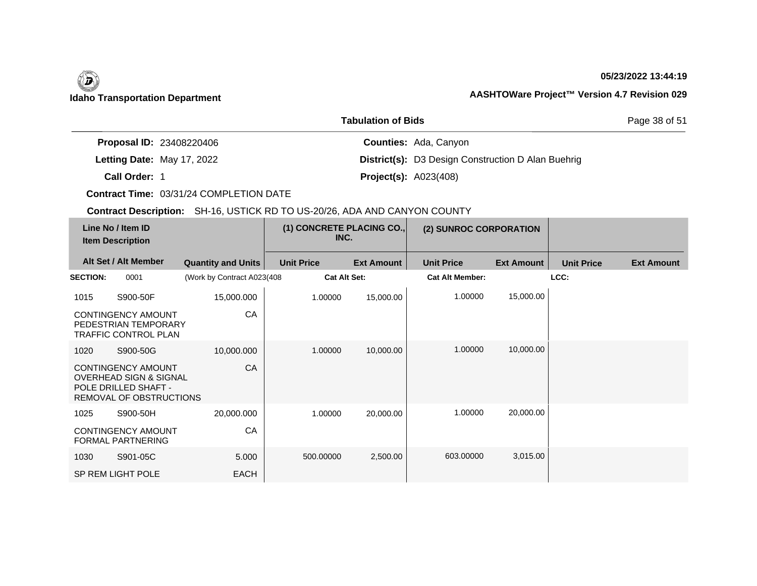# **05/23/2022 13:44:19**

|                                 | Page 38 of 51                                             |  |
|---------------------------------|-----------------------------------------------------------|--|
| <b>Proposal ID: 23408220406</b> | <b>Counties: Ada, Canyon</b>                              |  |
| Letting Date: May 17, 2022      | <b>District(s):</b> D3 Design Construction D Alan Buehrig |  |
| Call Order: 1                   | <b>Project(s): A023(408)</b>                              |  |

**Contract Time:** 03/31/24 COMPLETION DATE

|                 | Line No / Item ID<br><b>Item Description</b>                                                                      |                             |                   | (1) CONCRETE PLACING CO.,<br>INC. | (2) SUNROC CORPORATION |                   |                   |                   |
|-----------------|-------------------------------------------------------------------------------------------------------------------|-----------------------------|-------------------|-----------------------------------|------------------------|-------------------|-------------------|-------------------|
|                 | Alt Set / Alt Member                                                                                              | <b>Quantity and Units</b>   | <b>Unit Price</b> | <b>Ext Amount</b>                 | <b>Unit Price</b>      | <b>Ext Amount</b> | <b>Unit Price</b> | <b>Ext Amount</b> |
| <b>SECTION:</b> | 0001                                                                                                              | (Work by Contract A023(408) |                   | <b>Cat Alt Set:</b>               | <b>Cat Alt Member:</b> |                   | LCC:              |                   |
| 1015            | S900-50F                                                                                                          | 15,000.000                  | 1.00000           | 15,000.00                         | 1.00000                | 15,000.00         |                   |                   |
|                 | <b>CONTINGENCY AMOUNT</b><br>PEDESTRIAN TEMPORARY<br><b>TRAFFIC CONTROL PLAN</b>                                  | CA                          |                   |                                   |                        |                   |                   |                   |
| 1020            | S900-50G                                                                                                          | 10,000.000                  | 1.00000           | 10,000.00                         | 1.00000                | 10,000.00         |                   |                   |
|                 | <b>CONTINGENCY AMOUNT</b><br><b>OVERHEAD SIGN &amp; SIGNAL</b><br>POLE DRILLED SHAFT -<br>REMOVAL OF OBSTRUCTIONS | CA                          |                   |                                   |                        |                   |                   |                   |
| 1025            | S900-50H                                                                                                          | 20,000.000                  | 1.00000           | 20,000.00                         | 1.00000                | 20,000.00         |                   |                   |
|                 | <b>CONTINGENCY AMOUNT</b><br><b>FORMAL PARTNERING</b>                                                             | CA                          |                   |                                   |                        |                   |                   |                   |
| 1030            | S901-05C                                                                                                          | 5.000                       | 500.00000         | 2,500.00                          | 603.00000              | 3,015.00          |                   |                   |
|                 | SP REM LIGHT POLE                                                                                                 | <b>EACH</b>                 |                   |                                   |                        |                   |                   |                   |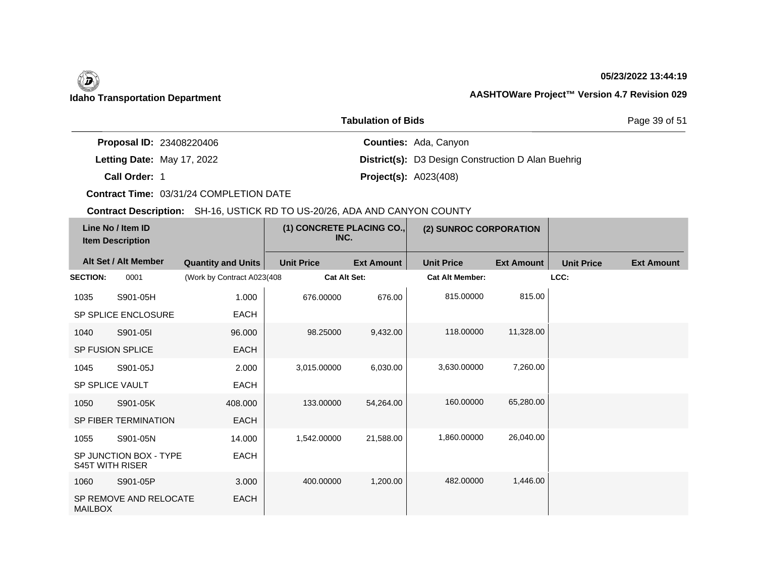## **05/23/2022 13:44:19**

|                                 | <b>Tabulation of Bids</b>                                 | Page 39 of 51 |
|---------------------------------|-----------------------------------------------------------|---------------|
| <b>Proposal ID: 23408220406</b> | <b>Counties: Ada, Canyon</b>                              |               |
| Letting Date: May 17, 2022      | <b>District(s):</b> D3 Design Construction D Alan Buehrig |               |
| <b>Call Order:</b>              | <b>Project(s): A023(408)</b>                              |               |

**Contract Time:** 03/31/24 COMPLETION DATE

|                        | Line No / Item ID<br><b>Item Description</b> |                            | (1) CONCRETE PLACING CO.,<br>INC. |                   | (2) SUNROC CORPORATION |                   |                   |                   |
|------------------------|----------------------------------------------|----------------------------|-----------------------------------|-------------------|------------------------|-------------------|-------------------|-------------------|
|                        | Alt Set / Alt Member                         | <b>Quantity and Units</b>  | <b>Unit Price</b>                 | <b>Ext Amount</b> | <b>Unit Price</b>      | <b>Ext Amount</b> | <b>Unit Price</b> | <b>Ext Amount</b> |
| <b>SECTION:</b>        | 0001                                         | (Work by Contract A023(408 | <b>Cat Alt Set:</b>               |                   | <b>Cat Alt Member:</b> |                   | LCC:              |                   |
| 1035                   | S901-05H                                     | 1.000                      | 676.00000                         | 676.00            | 815.00000              | 815.00            |                   |                   |
|                        | <b>SP SPLICE ENCLOSURE</b>                   | EACH                       |                                   |                   |                        |                   |                   |                   |
| 1040                   | S901-05I                                     | 96.000                     | 98.25000                          | 9,432.00          | 118.00000              | 11,328.00         |                   |                   |
|                        | <b>SP FUSION SPLICE</b>                      | <b>EACH</b>                |                                   |                   |                        |                   |                   |                   |
| 1045                   | S901-05J                                     | 2.000                      | 3,015.00000                       | 6,030.00          | 3,630.00000            | 7,260.00          |                   |                   |
| SP SPLICE VAULT        |                                              | <b>EACH</b>                |                                   |                   |                        |                   |                   |                   |
| 1050                   | S901-05K                                     | 408.000                    | 133.00000                         | 54,264.00         | 160.00000              | 65,280.00         |                   |                   |
|                        | <b>SP FIBER TERMINATION</b>                  | EACH                       |                                   |                   |                        |                   |                   |                   |
| 1055                   | S901-05N                                     | 14.000                     | 1,542.00000                       | 21,588.00         | 1,860.00000            | 26,040.00         |                   |                   |
| <b>S45T WITH RISER</b> | SP JUNCTION BOX - TYPE                       | <b>EACH</b>                |                                   |                   |                        |                   |                   |                   |
| 1060                   | S901-05P                                     | 3.000                      | 400.00000                         | 1,200.00          | 482.00000              | 1,446.00          |                   |                   |
| <b>MAILBOX</b>         | SP REMOVE AND RELOCATE                       | <b>EACH</b>                |                                   |                   |                        |                   |                   |                   |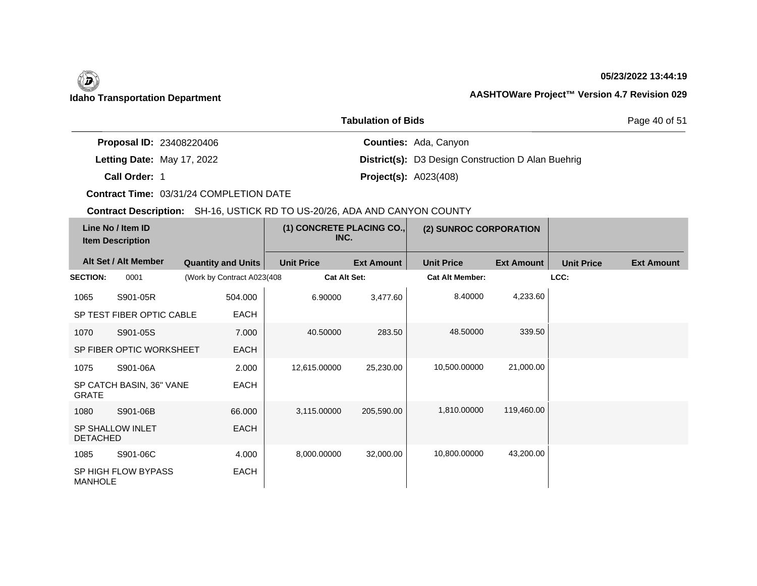## **05/23/2022 13:44:19**

|                                 | <b>Tabulation of Bids</b>                                 | Page 40 of 51 |  |
|---------------------------------|-----------------------------------------------------------|---------------|--|
| <b>Proposal ID: 23408220406</b> | <b>Counties: Ada, Canyon</b>                              |               |  |
| Letting Date: May 17, 2022      | <b>District(s):</b> D3 Design Construction D Alan Buehrig |               |  |
| Call Order: 1                   | <b>Project(s): A023(408)</b>                              |               |  |

**Contract Time:** 03/31/24 COMPLETION DATE

| Line No / Item ID<br><b>Item Description</b> |                           | (1) CONCRETE PLACING CO.,<br>INC. |                     | (2) SUNROC CORPORATION |                        |                   |                   |                   |
|----------------------------------------------|---------------------------|-----------------------------------|---------------------|------------------------|------------------------|-------------------|-------------------|-------------------|
|                                              | Alt Set / Alt Member      | <b>Quantity and Units</b>         | <b>Unit Price</b>   | <b>Ext Amount</b>      | <b>Unit Price</b>      | <b>Ext Amount</b> | <b>Unit Price</b> | <b>Ext Amount</b> |
| <b>SECTION:</b>                              | 0001                      | (Work by Contract A023(408)       | <b>Cat Alt Set:</b> |                        | <b>Cat Alt Member:</b> |                   | LCC:              |                   |
| 1065                                         | S901-05R                  | 504.000                           | 6.90000             | 3,477.60               | 8.40000                | 4,233.60          |                   |                   |
|                                              | SP TEST FIBER OPTIC CABLE | <b>EACH</b>                       |                     |                        |                        |                   |                   |                   |
| 1070                                         | S901-05S                  | 7.000                             | 40.50000            | 283.50                 | 48.50000               | 339.50            |                   |                   |
|                                              | SP FIBER OPTIC WORKSHEET  | <b>EACH</b>                       |                     |                        |                        |                   |                   |                   |
| 1075                                         | S901-06A                  | 2.000                             | 12,615.00000        | 25,230.00              | 10,500.00000           | 21,000.00         |                   |                   |
| <b>GRATE</b>                                 | SP CATCH BASIN, 36" VANE  | <b>EACH</b>                       |                     |                        |                        |                   |                   |                   |
| 1080                                         | S901-06B                  | 66.000                            | 3,115.00000         | 205,590.00             | 1,810.00000            | 119,460.00        |                   |                   |
| <b>DETACHED</b>                              | <b>SP SHALLOW INLET</b>   | <b>EACH</b>                       |                     |                        |                        |                   |                   |                   |
| 1085                                         | S901-06C                  | 4.000                             | 8,000.00000         | 32,000.00              | 10,800.00000           | 43,200.00         |                   |                   |
| <b>MANHOLE</b>                               | SP HIGH FLOW BYPASS       | <b>EACH</b>                       |                     |                        |                        |                   |                   |                   |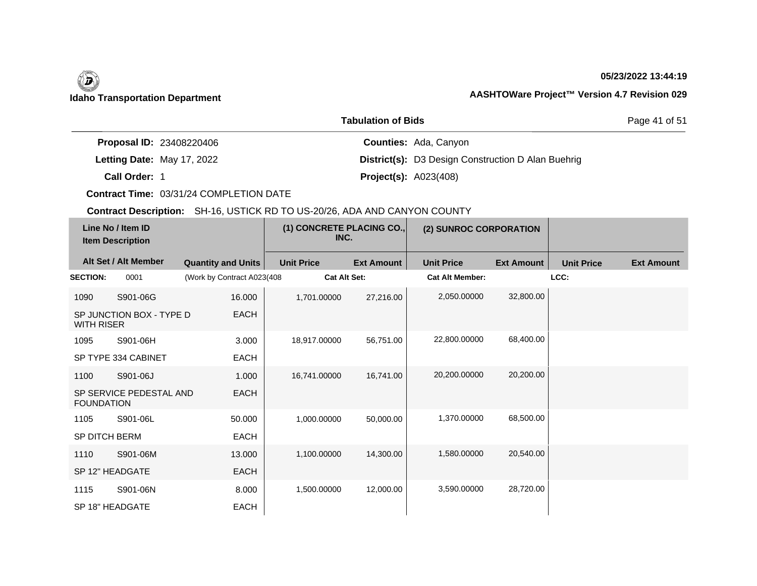**05/23/2022 13:44:19**

|                                 | <b>Tabulation of Bids</b>                                 | Page 41 of 51 |
|---------------------------------|-----------------------------------------------------------|---------------|
| <b>Proposal ID: 23408220406</b> | <b>Counties: Ada, Canyon</b>                              |               |
| Letting Date: May 17, 2022      | <b>District(s): D3 Design Construction D Alan Buehrig</b> |               |

**Call Order:**

1 **Project(s):** A023(408)

**Contract Time:** 03/31/24 COMPLETION DATE

| Line No / Item ID<br><b>Item Description</b> |                          | (1) CONCRETE PLACING CO.,<br>INC. |                     | (2) SUNROC CORPORATION |                        |                   |                   |                   |
|----------------------------------------------|--------------------------|-----------------------------------|---------------------|------------------------|------------------------|-------------------|-------------------|-------------------|
|                                              | Alt Set / Alt Member     | <b>Quantity and Units</b>         | <b>Unit Price</b>   | <b>Ext Amount</b>      | <b>Unit Price</b>      | <b>Ext Amount</b> | <b>Unit Price</b> | <b>Ext Amount</b> |
| <b>SECTION:</b>                              | 0001                     | (Work by Contract A023(408        | <b>Cat Alt Set:</b> |                        | <b>Cat Alt Member:</b> |                   | LCC:              |                   |
| 1090                                         | S901-06G                 | 16.000                            | 1,701.00000         | 27,216.00              | 2,050.00000            | 32,800.00         |                   |                   |
| <b>WITH RISER</b>                            | SP JUNCTION BOX - TYPE D | <b>EACH</b>                       |                     |                        |                        |                   |                   |                   |
| 1095                                         | S901-06H                 | 3.000                             | 18,917.00000        | 56,751.00              | 22,800.00000           | 68,400.00         |                   |                   |
|                                              | SP TYPE 334 CABINET      | <b>EACH</b>                       |                     |                        |                        |                   |                   |                   |
| 1100                                         | S901-06J                 | 1.000                             | 16,741.00000        | 16,741.00              | 20,200.00000           | 20,200.00         |                   |                   |
| <b>FOUNDATION</b>                            | SP SERVICE PEDESTAL AND  | <b>EACH</b>                       |                     |                        |                        |                   |                   |                   |
| 1105                                         | S901-06L                 | 50.000                            | 1,000.00000         | 50,000.00              | 1,370.00000            | 68,500.00         |                   |                   |
| <b>SP DITCH BERM</b>                         |                          | <b>EACH</b>                       |                     |                        |                        |                   |                   |                   |
| 1110                                         | S901-06M                 | 13.000                            | 1,100.00000         | 14,300.00              | 1,580.00000            | 20,540.00         |                   |                   |
|                                              | SP 12" HEADGATE          | <b>EACH</b>                       |                     |                        |                        |                   |                   |                   |
| 1115                                         | S901-06N                 | 8.000                             | 1,500.00000         | 12,000.00              | 3,590.00000            | 28,720.00         |                   |                   |
|                                              | SP 18" HEADGATE          | <b>EACH</b>                       |                     |                        |                        |                   |                   |                   |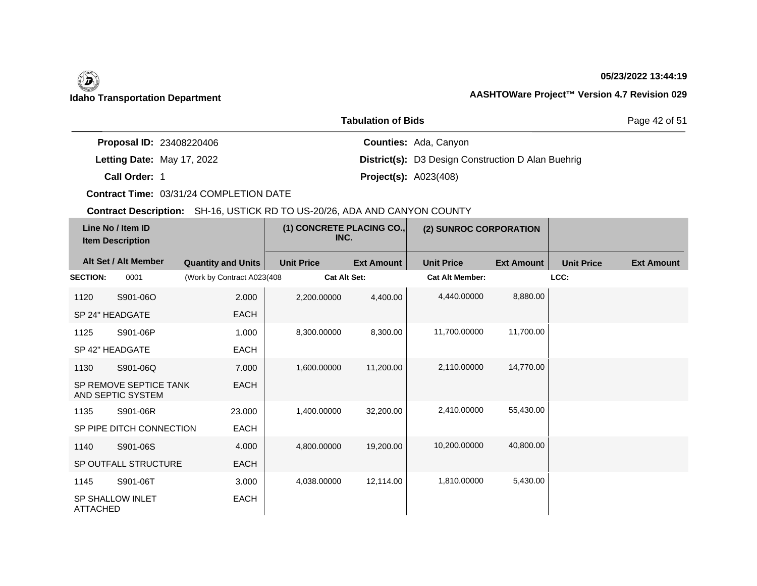## **05/23/2022 13:44:19**

|                                 | <b>Tabulation of Bids</b>                                 | Page 42 of 51 |
|---------------------------------|-----------------------------------------------------------|---------------|
| <b>Proposal ID: 23408220406</b> | <b>Counties: Ada, Canyon</b>                              |               |
| Letting Date: May 17, 2022      | <b>District(s):</b> D3 Design Construction D Alan Buehrig |               |
| Call Order: 1                   | <b>Project(s): A023(408)</b>                              |               |

**Contract Time:** 03/31/24 COMPLETION DATE

| Line No / Item ID<br><b>Item Description</b> |                                             | (1) CONCRETE PLACING CO.,<br>INC. |                     | (2) SUNROC CORPORATION |                        |                   |                   |                   |
|----------------------------------------------|---------------------------------------------|-----------------------------------|---------------------|------------------------|------------------------|-------------------|-------------------|-------------------|
|                                              | Alt Set / Alt Member                        | <b>Quantity and Units</b>         | <b>Unit Price</b>   | <b>Ext Amount</b>      | <b>Unit Price</b>      | <b>Ext Amount</b> | <b>Unit Price</b> | <b>Ext Amount</b> |
| <b>SECTION:</b>                              | 0001                                        | (Work by Contract A023(408)       | <b>Cat Alt Set:</b> |                        | <b>Cat Alt Member:</b> |                   | LCC:              |                   |
| 1120                                         | S901-06O                                    | 2.000                             | 2,200.00000         | 4,400.00               | 4,440.00000            | 8,880.00          |                   |                   |
|                                              | SP 24" HEADGATE                             | <b>EACH</b>                       |                     |                        |                        |                   |                   |                   |
| 1125                                         | S901-06P                                    | 1.000                             | 8,300.00000         | 8,300.00               | 11,700.00000           | 11,700.00         |                   |                   |
|                                              | SP 42" HEADGATE                             | EACH                              |                     |                        |                        |                   |                   |                   |
| 1130                                         | S901-06Q                                    | 7.000                             | 1,600.00000         | 11,200.00              | 2.110.00000            | 14,770.00         |                   |                   |
|                                              | SP REMOVE SEPTICE TANK<br>AND SEPTIC SYSTEM | EACH                              |                     |                        |                        |                   |                   |                   |
| 1135                                         | S901-06R                                    | 23.000                            | 1,400.00000         | 32,200.00              | 2,410.00000            | 55,430.00         |                   |                   |
|                                              | SP PIPE DITCH CONNECTION                    | EACH                              |                     |                        |                        |                   |                   |                   |
| 1140                                         | S901-06S                                    | 4.000                             | 4,800.00000         | 19,200.00              | 10,200.00000           | 40,800.00         |                   |                   |
|                                              | SP OUTFALL STRUCTURE                        | EACH                              |                     |                        |                        |                   |                   |                   |
| 1145                                         | S901-06T                                    | 3.000                             | 4,038.00000         | 12,114.00              | 1,810.00000            | 5,430.00          |                   |                   |
| <b>ATTACHED</b>                              | <b>SP SHALLOW INLET</b>                     | <b>EACH</b>                       |                     |                        |                        |                   |                   |                   |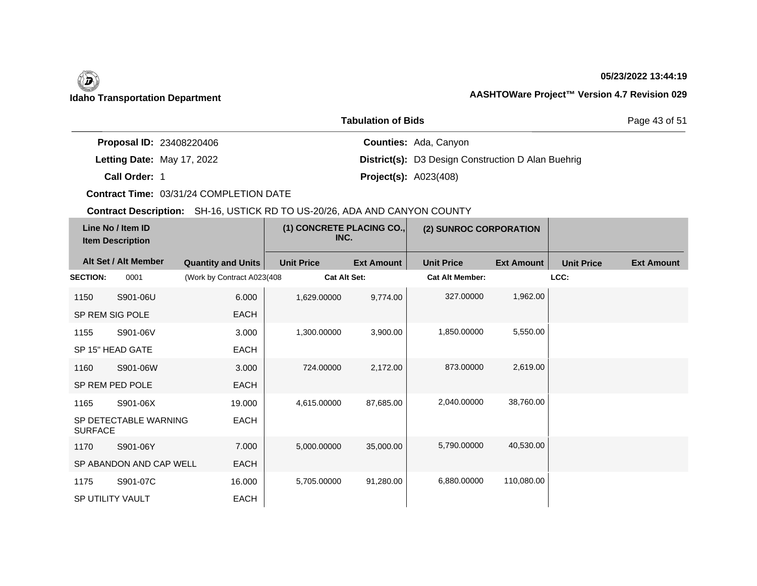## **05/23/2022 13:44:19**

|                                 | <b>Tabulation of Bids</b>                                 | Page 43 of 51 |  |
|---------------------------------|-----------------------------------------------------------|---------------|--|
| <b>Proposal ID: 23408220406</b> | <b>Counties: Ada, Canyon</b>                              |               |  |
| Letting Date: May 17, 2022      | <b>District(s):</b> D3 Design Construction D Alan Buehrig |               |  |
| <b>Call Order:</b>              | <b>Project(s): A023(408)</b>                              |               |  |

**Contract Time:** 03/31/24 COMPLETION DATE

| Line No / Item ID<br><b>Item Description</b> |                         | (1) CONCRETE PLACING CO.,<br>INC. |                     | (2) SUNROC CORPORATION |                        |                   |                   |                   |
|----------------------------------------------|-------------------------|-----------------------------------|---------------------|------------------------|------------------------|-------------------|-------------------|-------------------|
|                                              | Alt Set / Alt Member    | <b>Quantity and Units</b>         | <b>Unit Price</b>   | <b>Ext Amount</b>      | <b>Unit Price</b>      | <b>Ext Amount</b> | <b>Unit Price</b> | <b>Ext Amount</b> |
| <b>SECTION:</b>                              | 0001                    | (Work by Contract A023(408)       | <b>Cat Alt Set:</b> |                        | <b>Cat Alt Member:</b> |                   | LCC:              |                   |
| 1150                                         | S901-06U                | 6.000                             | 1,629.00000         | 9,774.00               | 327.00000              | 1,962.00          |                   |                   |
|                                              | SP REM SIG POLE         | EACH                              |                     |                        |                        |                   |                   |                   |
| 1155                                         | S901-06V                | 3.000                             | 1,300.00000         | 3,900.00               | 1,850.00000            | 5,550.00          |                   |                   |
|                                              | SP 15" HEAD GATE        | <b>EACH</b>                       |                     |                        |                        |                   |                   |                   |
| 1160                                         | S901-06W                | 3.000                             | 724.00000           | 2,172.00               | 873,00000              | 2,619.00          |                   |                   |
|                                              | SP REM PED POLE         | EACH                              |                     |                        |                        |                   |                   |                   |
| 1165                                         | S901-06X                | 19.000                            | 4,615.00000         | 87,685.00              | 2,040.00000            | 38,760.00         |                   |                   |
| <b>SURFACE</b>                               | SP DETECTABLE WARNING   | <b>EACH</b>                       |                     |                        |                        |                   |                   |                   |
| 1170                                         | S901-06Y                | 7.000                             | 5,000.00000         | 35,000.00              | 5,790.00000            | 40,530.00         |                   |                   |
|                                              | SP ABANDON AND CAP WELL | <b>EACH</b>                       |                     |                        |                        |                   |                   |                   |
| 1175                                         | S901-07C                | 16.000                            | 5,705.00000         | 91,280.00              | 6,880.00000            | 110,080.00        |                   |                   |
|                                              | SP UTILITY VAULT        | EACH                              |                     |                        |                        |                   |                   |                   |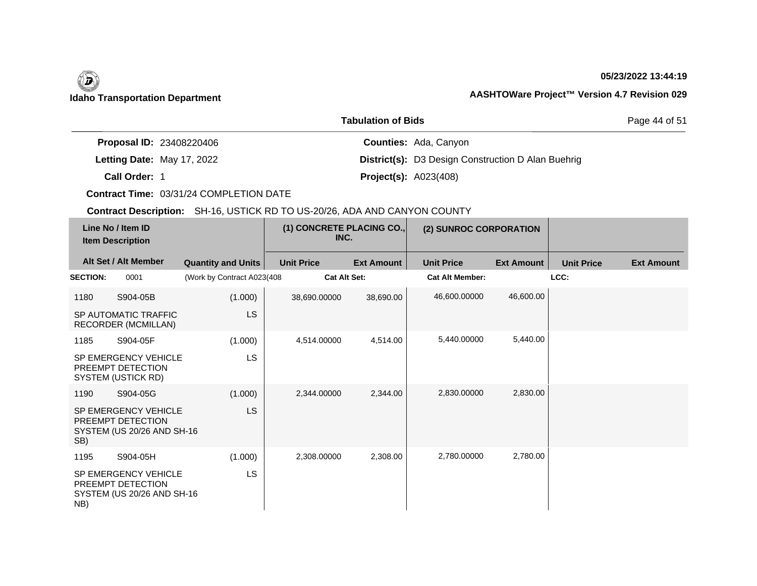# **05/23/2022 13:44:19**

|                                 | <b>Tabulation of Bids</b>                                 | Page 44 of 51 |
|---------------------------------|-----------------------------------------------------------|---------------|
| <b>Proposal ID: 23408220406</b> | <b>Counties: Ada, Canyon</b>                              |               |
| Letting Date: May 17, 2022      | <b>District(s):</b> D3 Design Construction D Alan Buehrig |               |
| Call Order: 1                   | <b>Project(s): A023(408)</b>                              |               |

**Contract Time:** 03/31/24 COMPLETION DATE

| Line No / Item ID<br><b>Item Description</b> |                                                                                | (1) CONCRETE PLACING CO.,<br>INC. |                     | (2) SUNROC CORPORATION |                        |                   |                   |                   |
|----------------------------------------------|--------------------------------------------------------------------------------|-----------------------------------|---------------------|------------------------|------------------------|-------------------|-------------------|-------------------|
|                                              | Alt Set / Alt Member                                                           | <b>Quantity and Units</b>         | <b>Unit Price</b>   | <b>Ext Amount</b>      | <b>Unit Price</b>      | <b>Ext Amount</b> | <b>Unit Price</b> | <b>Ext Amount</b> |
| <b>SECTION:</b>                              | 0001                                                                           | (Work by Contract A023(408        | <b>Cat Alt Set:</b> |                        | <b>Cat Alt Member:</b> |                   | LCC:              |                   |
| 1180                                         | S904-05B                                                                       | (1.000)                           | 38,690.00000        | 38,690.00              | 46,600.00000           | 46,600.00         |                   |                   |
|                                              | SP AUTOMATIC TRAFFIC<br><b>RECORDER (MCMILLAN)</b>                             | <b>LS</b>                         |                     |                        |                        |                   |                   |                   |
| 1185                                         | S904-05F                                                                       | (1.000)                           | 4,514.00000         | 4,514.00               | 5,440.00000            | 5,440.00          |                   |                   |
|                                              | SP EMERGENCY VEHICLE<br>PREEMPT DETECTION<br>SYSTEM (USTICK RD)                | <b>LS</b>                         |                     |                        |                        |                   |                   |                   |
| 1190                                         | S904-05G                                                                       | (1.000)                           | 2,344.00000         | 2,344.00               | 2,830.00000            | 2,830.00          |                   |                   |
| SB)                                          | <b>SP EMERGENCY VEHICLE</b><br>PREEMPT DETECTION<br>SYSTEM (US 20/26 AND SH-16 | <b>LS</b>                         |                     |                        |                        |                   |                   |                   |
| 1195                                         | S904-05H                                                                       | (1.000)                           | 2,308.00000         | 2,308.00               | 2,780.00000            | 2,780.00          |                   |                   |
| NB)                                          | <b>SP EMERGENCY VEHICLE</b><br>PREEMPT DETECTION<br>SYSTEM (US 20/26 AND SH-16 | <b>LS</b>                         |                     |                        |                        |                   |                   |                   |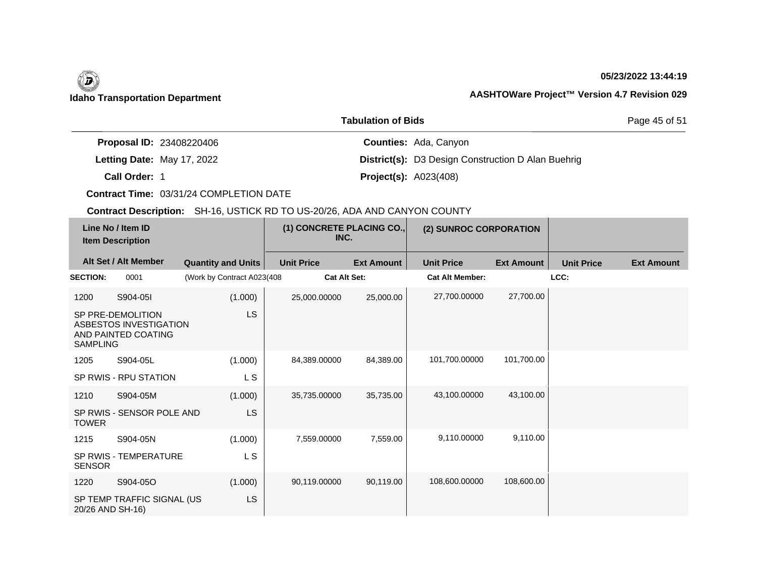**05/23/2022 13:44:19**

|                       | <b>Tabulation of Bids</b>    | Page 45 of 51 |
|-----------------------|------------------------------|---------------|
| <b>D:</b> 23408220406 | <b>Counties: Ada, Canyon</b> |               |

**Proposal ID** 

Letting Date: May 17, 2022

**Call Order:**

**Letting Date:** May 17, 2022 **District(s): D3 Design Construction D Alan Buehrig (in the state of the state of the state of the state of the state of the state of the state of the state of the state of the state of the sta** 1 **Project(s):** A023(408)

**Contract Time:** 03/31/24 COMPLETION DATE

| Line No / Item ID<br><b>Item Description</b> |                                                                    | (1) CONCRETE PLACING CO.,<br>INC. |                     | (2) SUNROC CORPORATION |                        |                   |                   |                   |
|----------------------------------------------|--------------------------------------------------------------------|-----------------------------------|---------------------|------------------------|------------------------|-------------------|-------------------|-------------------|
|                                              | Alt Set / Alt Member                                               | <b>Quantity and Units</b>         | <b>Unit Price</b>   | <b>Ext Amount</b>      | <b>Unit Price</b>      | <b>Ext Amount</b> | <b>Unit Price</b> | <b>Ext Amount</b> |
| <b>SECTION:</b>                              | 0001                                                               | (Work by Contract A023(408        | <b>Cat Alt Set:</b> |                        | <b>Cat Alt Member:</b> |                   | LCC:              |                   |
| 1200                                         | S904-05I                                                           | (1.000)                           | 25,000.00000        | 25,000.00              | 27,700.00000           | 27,700.00         |                   |                   |
| <b>SAMPLING</b>                              | SP PRE-DEMOLITION<br>ASBESTOS INVESTIGATION<br>AND PAINTED COATING | LS.                               |                     |                        |                        |                   |                   |                   |
| 1205                                         | S904-05L                                                           | (1.000)                           | 84,389.00000        | 84,389.00              | 101,700.00000          | 101,700.00        |                   |                   |
|                                              | SP RWIS - RPU STATION                                              | L S                               |                     |                        |                        |                   |                   |                   |
| 1210                                         | S904-05M                                                           | (1.000)                           | 35,735,00000        | 35,735.00              | 43,100.00000           | 43,100.00         |                   |                   |
| <b>TOWER</b>                                 | SP RWIS - SENSOR POLE AND                                          | LS.                               |                     |                        |                        |                   |                   |                   |
| 1215                                         | S904-05N                                                           | (1.000)                           | 7,559.00000         | 7,559.00               | 9,110.00000            | 9,110.00          |                   |                   |
| <b>SENSOR</b>                                | <b>SP RWIS - TEMPERATURE</b>                                       | L S                               |                     |                        |                        |                   |                   |                   |
| 1220                                         | S904-05O                                                           | (1.000)                           | 90,119.00000        | 90,119.00              | 108,600.00000          | 108,600.00        |                   |                   |
| 20/26 AND SH-16)                             | SP TEMP TRAFFIC SIGNAL (US                                         | LS.                               |                     |                        |                        |                   |                   |                   |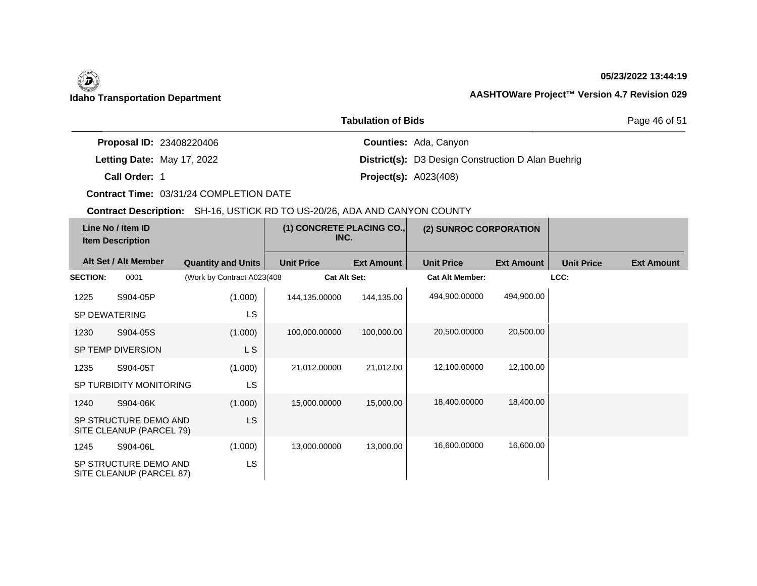# **05/23/2022 13:44:19**

|                                 | <b>Tabulation of Bids</b>                                 | Page 46 of 51 |
|---------------------------------|-----------------------------------------------------------|---------------|
| <b>Proposal ID: 23408220406</b> | <b>Counties: Ada, Canyon</b>                              |               |
| Letting Date: May 17, 2022      | <b>District(s):</b> D3 Design Construction D Alan Buehrig |               |

**Call Order:**

1 **Project(s):** A023(408)

**Contract Time:** 03/31/24 COMPLETION DATE

| Line No / Item ID<br><b>Item Description</b> |                                                   | (1) CONCRETE PLACING CO.,<br>INC. |                     | (2) SUNROC CORPORATION |                        |                   |                   |                   |
|----------------------------------------------|---------------------------------------------------|-----------------------------------|---------------------|------------------------|------------------------|-------------------|-------------------|-------------------|
|                                              | Alt Set / Alt Member                              | <b>Quantity and Units</b>         | <b>Unit Price</b>   | <b>Ext Amount</b>      | <b>Unit Price</b>      | <b>Ext Amount</b> | <b>Unit Price</b> | <b>Ext Amount</b> |
| <b>SECTION:</b>                              | 0001                                              | (Work by Contract A023(408)       | <b>Cat Alt Set:</b> |                        | <b>Cat Alt Member:</b> |                   | LCC:              |                   |
| 1225                                         | S904-05P                                          | (1.000)                           | 144,135.00000       | 144,135.00             | 494,900.00000          | 494,900.00        |                   |                   |
|                                              | SP DEWATERING                                     | LS.                               |                     |                        |                        |                   |                   |                   |
| 1230                                         | S904-05S                                          | (1.000)                           | 100,000.00000       | 100,000.00             | 20,500.00000           | 20,500.00         |                   |                   |
|                                              | SP TEMP DIVERSION                                 | L S                               |                     |                        |                        |                   |                   |                   |
| 1235                                         | S904-05T                                          | (1.000)                           | 21,012.00000        | 21,012.00              | 12,100.00000           | 12,100.00         |                   |                   |
|                                              | SP TURBIDITY MONITORING                           | LS.                               |                     |                        |                        |                   |                   |                   |
| 1240                                         | S904-06K                                          | (1.000)                           | 15,000.00000        | 15,000.00              | 18,400.00000           | 18,400.00         |                   |                   |
|                                              | SP STRUCTURE DEMO AND<br>SITE CLEANUP (PARCEL 79) | <b>LS</b>                         |                     |                        |                        |                   |                   |                   |
| 1245                                         | S904-06L                                          | (1.000)                           | 13,000.00000        | 13,000.00              | 16,600.00000           | 16,600.00         |                   |                   |
|                                              | SP STRUCTURE DEMO AND<br>SITE CLEANUP (PARCEL 87) | LS                                |                     |                        |                        |                   |                   |                   |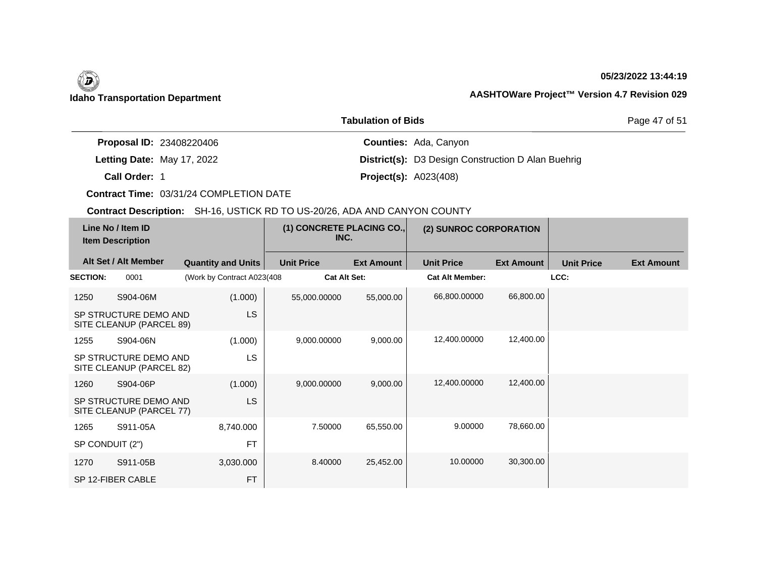# **05/23/2022 13:44:19**

|       | <b>Tabulation of Bids</b>    | Page 47 of 51 |
|-------|------------------------------|---------------|
| 20406 | <b>Counties: Ada, Canyon</b> |               |

**Proposal ID:** 23408220406

**Letting Date:** May 17, 2022 **District(s): D3 Design Construction D Alan Buehrig (in the state of the state of the state of the state of the state of the state of the state of the state of the state of the state of the sta** Letting Date: May 17, 2022

**Call Order:**

1 **Project(s):** A023(408)

**Contract Time:** 03/31/24 COMPLETION DATE

| Line No / Item ID<br><b>Item Description</b> |                                                   | (1) CONCRETE PLACING CO.,<br>INC. |                     | (2) SUNROC CORPORATION |                        |                   |                   |                   |
|----------------------------------------------|---------------------------------------------------|-----------------------------------|---------------------|------------------------|------------------------|-------------------|-------------------|-------------------|
|                                              | Alt Set / Alt Member                              | <b>Quantity and Units</b>         | <b>Unit Price</b>   | <b>Ext Amount</b>      | <b>Unit Price</b>      | <b>Ext Amount</b> | <b>Unit Price</b> | <b>Ext Amount</b> |
| <b>SECTION:</b>                              | 0001                                              | (Work by Contract A023(408)       | <b>Cat Alt Set:</b> |                        | <b>Cat Alt Member:</b> |                   | LCC:              |                   |
| 1250                                         | S904-06M                                          | (1.000)                           | 55,000.00000        | 55,000.00              | 66,800.00000           | 66,800.00         |                   |                   |
|                                              | SP STRUCTURE DEMO AND<br>SITE CLEANUP (PARCEL 89) | LS.                               |                     |                        |                        |                   |                   |                   |
| 1255                                         | S904-06N                                          | (1.000)                           | 9,000.00000         | 9,000.00               | 12,400.00000           | 12,400.00         |                   |                   |
|                                              | SP STRUCTURE DEMO AND<br>SITE CLEANUP (PARCEL 82) | <b>LS</b>                         |                     |                        |                        |                   |                   |                   |
| 1260                                         | S904-06P                                          | (1.000)                           | 9,000.00000         | 9,000.00               | 12,400.00000           | 12,400.00         |                   |                   |
|                                              | SP STRUCTURE DEMO AND<br>SITE CLEANUP (PARCEL 77) | LS.                               |                     |                        |                        |                   |                   |                   |
| 1265                                         | S911-05A                                          | 8,740.000                         | 7.50000             | 65,550.00              | 9.00000                | 78,660.00         |                   |                   |
| SP CONDUIT (2")                              |                                                   | <b>FT</b>                         |                     |                        |                        |                   |                   |                   |
| 1270                                         | S911-05B                                          | 3,030.000                         | 8.40000             | 25,452.00              | 10.00000               | 30,300.00         |                   |                   |
|                                              | SP 12-FIBER CABLE                                 | <b>FT</b>                         |                     |                        |                        |                   |                   |                   |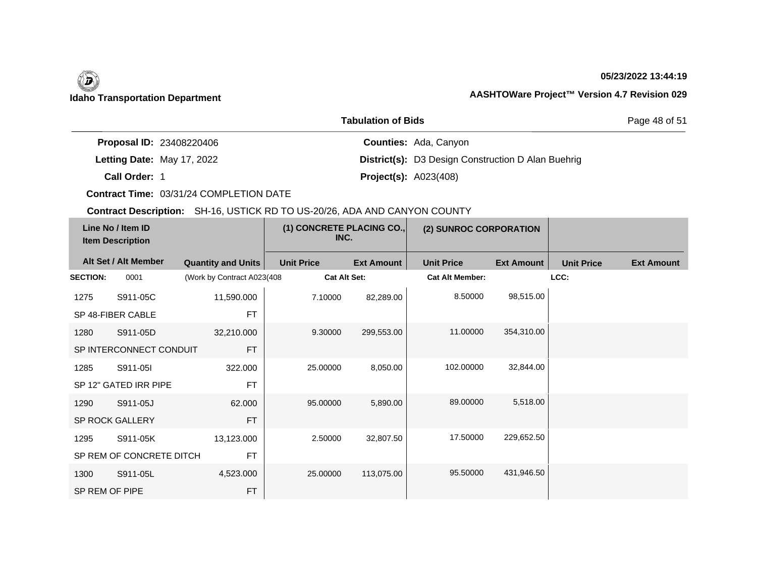## **05/23/2022 13:44:19**

|                                 | <b>Tabulation of Bids</b>                                 | Page 48 of 51 |
|---------------------------------|-----------------------------------------------------------|---------------|
| <b>Proposal ID: 23408220406</b> | <b>Counties: Ada, Canyon</b>                              |               |
| Letting Date: May 17, 2022      | <b>District(s):</b> D3 Design Construction D Alan Buehrig |               |
| Call Order: 1                   | <b>Project(s): A023(408)</b>                              |               |

**Contract Time:** 03/31/24 COMPLETION DATE

| Line No / Item ID<br><b>Item Description</b> |                          | (1) CONCRETE PLACING CO.,<br>INC. |                     | (2) SUNROC CORPORATION |                        |                   |                   |                   |
|----------------------------------------------|--------------------------|-----------------------------------|---------------------|------------------------|------------------------|-------------------|-------------------|-------------------|
|                                              | Alt Set / Alt Member     | <b>Quantity and Units</b>         | <b>Unit Price</b>   | <b>Ext Amount</b>      | <b>Unit Price</b>      | <b>Ext Amount</b> | <b>Unit Price</b> | <b>Ext Amount</b> |
| <b>SECTION:</b>                              | 0001                     | (Work by Contract A023(408        | <b>Cat Alt Set:</b> |                        | <b>Cat Alt Member:</b> |                   | LCC:              |                   |
| 1275                                         | S911-05C                 | 11,590.000                        | 7.10000             | 82,289.00              | 8.50000                | 98,515.00         |                   |                   |
|                                              | SP 48-FIBER CABLE        | <b>FT</b>                         |                     |                        |                        |                   |                   |                   |
| 1280                                         | S911-05D                 | 32,210.000                        | 9.30000             | 299,553.00             | 11.00000               | 354,310.00        |                   |                   |
|                                              | SP INTERCONNECT CONDUIT  | <b>FT</b>                         |                     |                        |                        |                   |                   |                   |
| 1285                                         | S911-05I                 | 322.000                           | 25.00000            | 8,050.00               | 102.00000              | 32,844.00         |                   |                   |
|                                              | SP 12" GATED IRR PIPE    | <b>FT</b>                         |                     |                        |                        |                   |                   |                   |
| 1290                                         | S911-05J                 | 62.000                            | 95.00000            | 5,890.00               | 89.00000               | 5,518.00          |                   |                   |
|                                              | SP ROCK GALLERY          | <b>FT</b>                         |                     |                        |                        |                   |                   |                   |
| 1295                                         | S911-05K                 | 13,123.000                        | 2.50000             | 32,807.50              | 17.50000               | 229,652.50        |                   |                   |
|                                              | SP REM OF CONCRETE DITCH | <b>FT</b>                         |                     |                        |                        |                   |                   |                   |
| 1300                                         | S911-05L                 | 4,523.000                         | 25.00000            | 113,075.00             | 95.50000               | 431,946.50        |                   |                   |
| SP REM OF PIPE                               |                          | <b>FT</b>                         |                     |                        |                        |                   |                   |                   |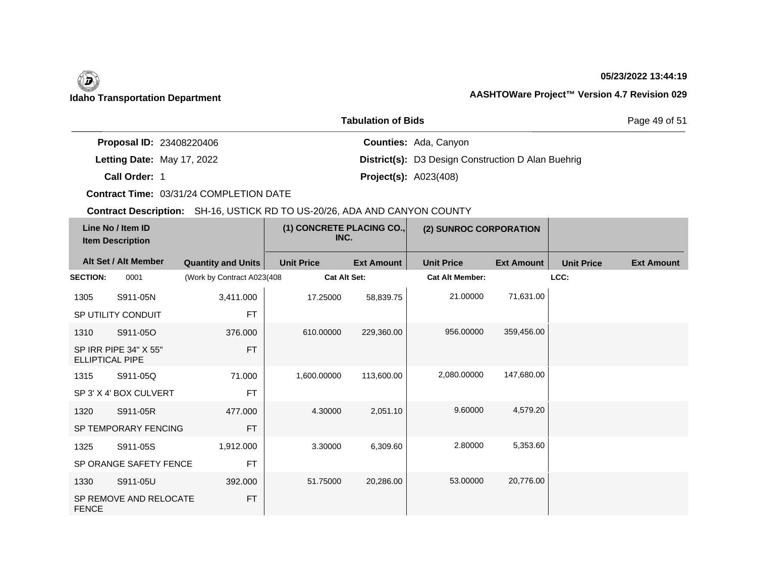## **05/23/2022 13:44:19**

|                                 | <b>Tabulation of Bids</b>                                 | Page 49 of 51 |
|---------------------------------|-----------------------------------------------------------|---------------|
| <b>Proposal ID: 23408220406</b> | <b>Counties: Ada, Canyon</b>                              |               |
| Letting Date: May 17, 2022      | <b>District(s):</b> D3 Design Construction D Alan Buehrig |               |
| Call Order: 1                   | <b>Project(s): A023(408)</b>                              |               |

**Contract Time:** 03/31/24 COMPLETION DATE

| Line No / Item ID<br><b>Item Description</b> |                        | (1) CONCRETE PLACING CO.,<br>INC. |                     | (2) SUNROC CORPORATION |                        |                   |                   |                   |
|----------------------------------------------|------------------------|-----------------------------------|---------------------|------------------------|------------------------|-------------------|-------------------|-------------------|
|                                              | Alt Set / Alt Member   | <b>Quantity and Units</b>         | <b>Unit Price</b>   | <b>Ext Amount</b>      | <b>Unit Price</b>      | <b>Ext Amount</b> | <b>Unit Price</b> | <b>Ext Amount</b> |
| <b>SECTION:</b>                              | 0001                   | (Work by Contract A023(408        | <b>Cat Alt Set:</b> |                        | <b>Cat Alt Member:</b> |                   | LCC:              |                   |
| 1305                                         | S911-05N               | 3,411.000                         | 17.25000            | 58,839.75              | 21.00000               | 71,631.00         |                   |                   |
|                                              | SP UTILITY CONDUIT     | <b>FT</b>                         |                     |                        |                        |                   |                   |                   |
| 1310                                         | S911-05O               | 376,000                           | 610.00000           | 229,360.00             | 956.00000              | 359,456.00        |                   |                   |
| <b>ELLIPTICAL PIPE</b>                       | SP IRR PIPE 34" X 55"  | <b>FT</b>                         |                     |                        |                        |                   |                   |                   |
| 1315                                         | S911-05Q               | 71.000                            | 1,600.00000         | 113,600.00             | 2,080.00000            | 147,680.00        |                   |                   |
|                                              | SP 3' X 4' BOX CULVERT | <b>FT</b>                         |                     |                        |                        |                   |                   |                   |
| 1320                                         | S911-05R               | 477.000                           | 4.30000             | 2,051.10               | 9.60000                | 4,579.20          |                   |                   |
|                                              | SP TEMPORARY FENCING   | <b>FT</b>                         |                     |                        |                        |                   |                   |                   |
| 1325                                         | S911-05S               | 1,912.000                         | 3.30000             | 6,309.60               | 2.80000                | 5,353.60          |                   |                   |
|                                              | SP ORANGE SAFETY FENCE | <b>FT</b>                         |                     |                        |                        |                   |                   |                   |
| 1330                                         | S911-05U               | 392.000                           | 51.75000            | 20,286.00              | 53.00000               | 20,776.00         |                   |                   |
| <b>FENCE</b>                                 | SP REMOVE AND RELOCATE | <b>FT</b>                         |                     |                        |                        |                   |                   |                   |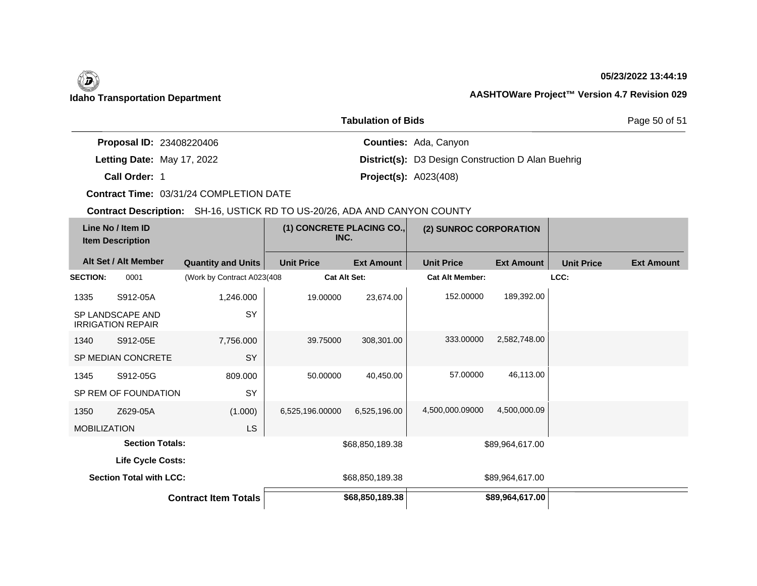# **05/23/2022 13:44:19**

| <b>Tabulation of Bids</b> | Page 50 of 51 |
|---------------------------|---------------|

**Proposal ID:** 23408220406

Letting Date: May 17, 2022

**Call Order:**

**Letting Date:** May 17, 2022 **District(s): D3 Design Construction D Alan Buehrig (in the state of the state of the state of the state of the state of the state of the state of the state of the state of the state of the sta** 1 **Project(s):** A023(408)

**Counties:** Ada, Canyon

**Contract Time:** 03/31/24 COMPLETION DATE

| Line No / Item ID<br><b>Item Description</b> |                                              | (1) CONCRETE PLACING CO.,<br>(2) SUNROC CORPORATION<br>INC. |                     |                   |                        |                   |                   |                   |
|----------------------------------------------|----------------------------------------------|-------------------------------------------------------------|---------------------|-------------------|------------------------|-------------------|-------------------|-------------------|
|                                              | Alt Set / Alt Member                         | <b>Quantity and Units</b>                                   | <b>Unit Price</b>   | <b>Ext Amount</b> | <b>Unit Price</b>      | <b>Ext Amount</b> | <b>Unit Price</b> | <b>Ext Amount</b> |
| <b>SECTION:</b>                              | 0001                                         | (Work by Contract A023(408)                                 | <b>Cat Alt Set:</b> |                   | <b>Cat Alt Member:</b> |                   | LCC:              |                   |
| 1335                                         | S912-05A                                     | 1,246.000                                                   | 19.00000            | 23,674.00         | 152.00000              | 189,392.00        |                   |                   |
|                                              | SP LANDSCAPE AND<br><b>IRRIGATION REPAIR</b> | SY                                                          |                     |                   |                        |                   |                   |                   |
| 1340                                         | S912-05E                                     | 7,756.000                                                   | 39.75000            | 308,301.00        | 333.00000              | 2,582,748.00      |                   |                   |
|                                              | SP MEDIAN CONCRETE                           | SY                                                          |                     |                   |                        |                   |                   |                   |
| 1345                                         | S912-05G                                     | 809.000                                                     | 50.00000            | 40,450.00         | 57.00000               | 46,113.00         |                   |                   |
|                                              | SP REM OF FOUNDATION                         | SY                                                          |                     |                   |                        |                   |                   |                   |
| 1350                                         | Z629-05A                                     | (1.000)                                                     | 6,525,196.00000     | 6,525,196.00      | 4,500,000.09000        | 4,500,000.09      |                   |                   |
| <b>MOBILIZATION</b>                          |                                              | LS.                                                         |                     |                   |                        |                   |                   |                   |
|                                              | <b>Section Totals:</b>                       |                                                             |                     | \$68,850,189.38   |                        | \$89,964,617.00   |                   |                   |
|                                              | Life Cycle Costs:                            |                                                             |                     |                   |                        |                   |                   |                   |
| <b>Section Total with LCC:</b>               |                                              |                                                             | \$68,850,189.38     |                   | \$89,964,617.00        |                   |                   |                   |
| <b>Contract Item Totals</b>                  |                                              |                                                             | \$68,850,189.38     |                   | \$89,964,617.00        |                   |                   |                   |